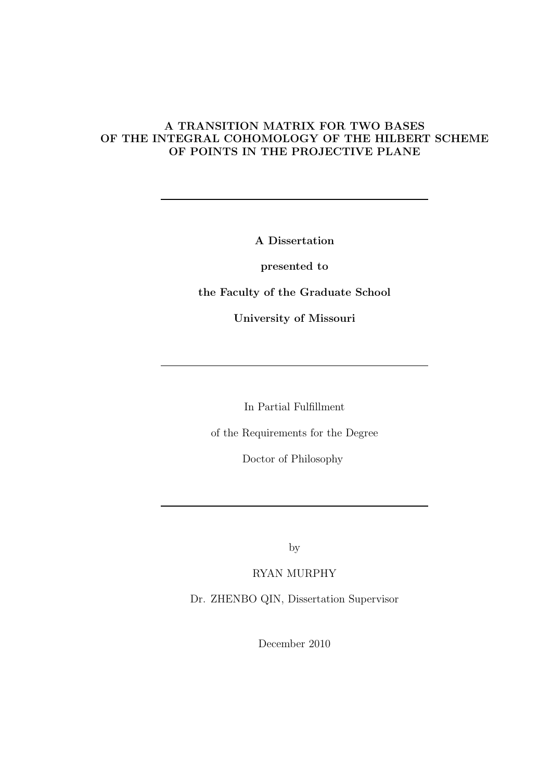#### A TRANSITION MATRIX FOR TWO BASES OF THE INTEGRAL COHOMOLOGY OF THE HILBERT SCHEME OF POINTS IN THE PROJECTIVE PLANE

A Dissertation

presented to

the Faculty of the Graduate School

University of Missouri

In Partial Fulfillment

of the Requirements for the Degree

Doctor of Philosophy

by

RYAN MURPHY

Dr. ZHENBO QIN, Dissertation Supervisor

December 2010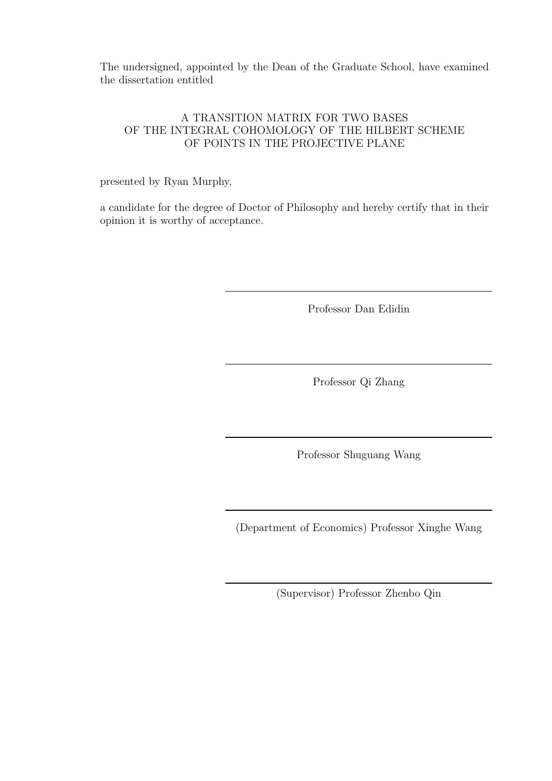The undersigned, appointed by the Dean of the Graduate School, have examined the dissertation entitled

#### A TRANSITION MATRIX FOR TWO BASES OF THE INTEGRAL COHOMOLOGY OF THE HILBERT SCHEME OF POINTS IN THE PROJECTIVE PLANE

presented by Ryan Murphy,

a candidate for the degree of Doctor of Philosophy and hereby certify that in their opinion it is worthy of acceptance.

Professor Dan Edidin

Professor Qi Zhang

Professor Shuguang Wang

(Department of Economics) Professor Xinghe Wang

(Supervisor) Professor Zhenbo Qin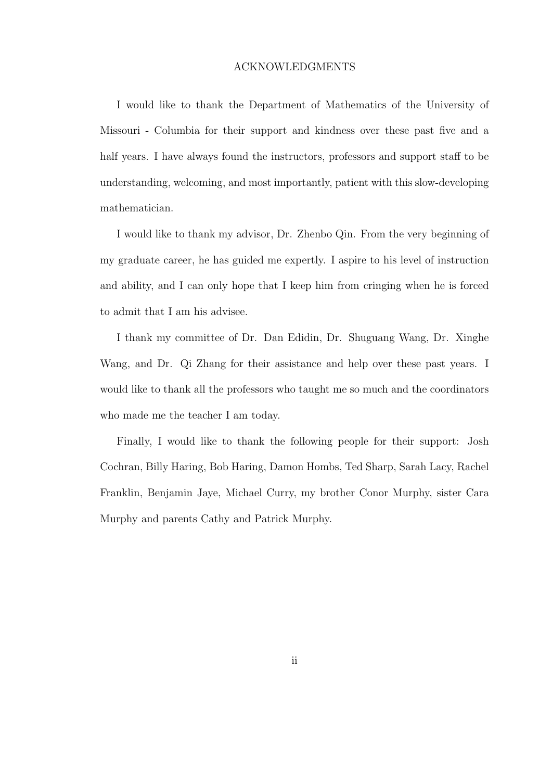#### ACKNOWLEDGMENTS

I would like to thank the Department of Mathematics of the University of Missouri - Columbia for their support and kindness over these past five and a half years. I have always found the instructors, professors and support staff to be understanding, welcoming, and most importantly, patient with this slow-developing mathematician.

I would like to thank my advisor, Dr. Zhenbo Qin. From the very beginning of my graduate career, he has guided me expertly. I aspire to his level of instruction and ability, and I can only hope that I keep him from cringing when he is forced to admit that I am his advisee.

I thank my committee of Dr. Dan Edidin, Dr. Shuguang Wang, Dr. Xinghe Wang, and Dr. Qi Zhang for their assistance and help over these past years. I would like to thank all the professors who taught me so much and the coordinators who made me the teacher I am today.

Finally, I would like to thank the following people for their support: Josh Cochran, Billy Haring, Bob Haring, Damon Hombs, Ted Sharp, Sarah Lacy, Rachel Franklin, Benjamin Jaye, Michael Curry, my brother Conor Murphy, sister Cara Murphy and parents Cathy and Patrick Murphy.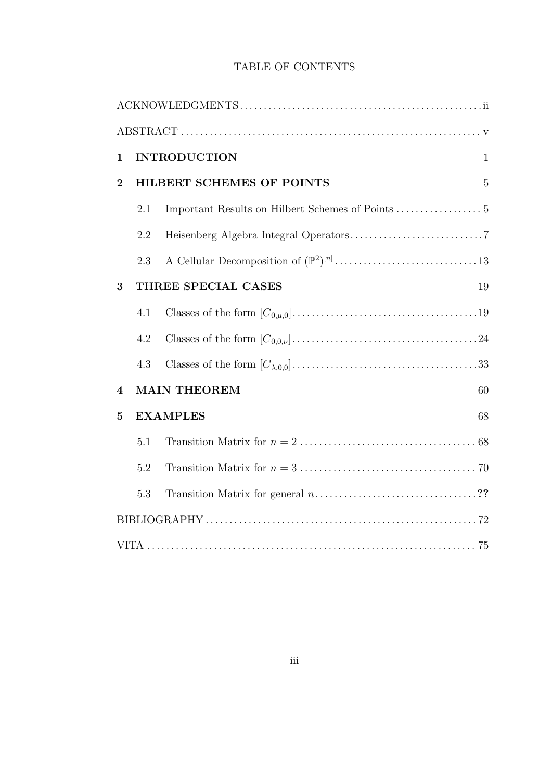#### TABLE OF CONTENTS

| $\mathbf{1}$     |                 | <b>INTRODUCTION</b>       | $\mathbf{1}$   |  |
|------------------|-----------------|---------------------------|----------------|--|
| $\overline{2}$   |                 | HILBERT SCHEMES OF POINTS | $\overline{5}$ |  |
|                  | 2.1             |                           |                |  |
|                  | 2.2             |                           |                |  |
|                  | 2.3             |                           |                |  |
| 3                |                 | THREE SPECIAL CASES       | 19             |  |
|                  | 4.1             |                           |                |  |
|                  | 4.2             |                           |                |  |
|                  | 4.3             |                           |                |  |
| $\boldsymbol{4}$ |                 | <b>MAIN THEOREM</b>       | 60             |  |
| $\overline{5}$   | <b>EXAMPLES</b> |                           | 68             |  |
|                  | 5.1             |                           |                |  |
|                  | 5.2             |                           |                |  |
|                  | 5.3             |                           |                |  |
|                  |                 |                           |                |  |
|                  |                 |                           |                |  |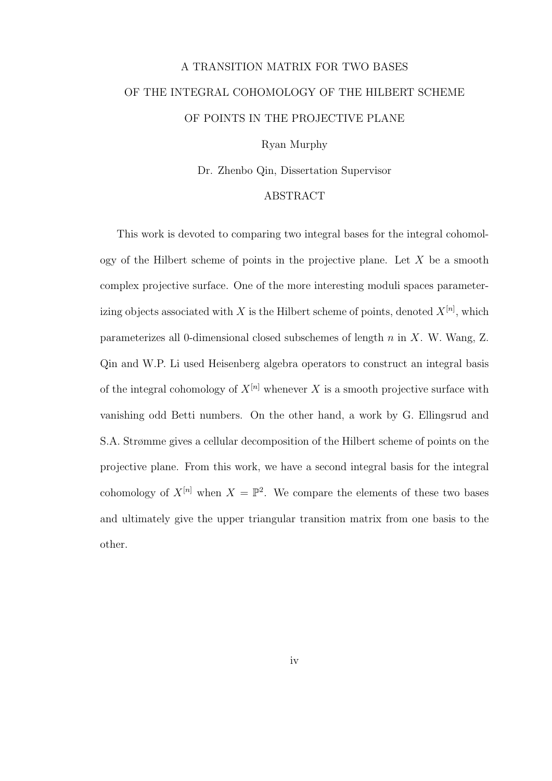# A TRANSITION MATRIX FOR TWO BASES OF THE INTEGRAL COHOMOLOGY OF THE HILBERT SCHEME OF POINTS IN THE PROJECTIVE PLANE

Ryan Murphy

Dr. Zhenbo Qin, Dissertation Supervisor

#### ABSTRACT

This work is devoted to comparing two integral bases for the integral cohomology of the Hilbert scheme of points in the projective plane. Let  $X$  be a smooth complex projective surface. One of the more interesting moduli spaces parameterizing objects associated with X is the Hilbert scheme of points, denoted  $X^{[n]}$ , which parameterizes all 0-dimensional closed subschemes of length n in X. W. Wang, Z. Qin and W.P. Li used Heisenberg algebra operators to construct an integral basis of the integral cohomology of  $X^{[n]}$  whenever X is a smooth projective surface with vanishing odd Betti numbers. On the other hand, a work by G. Ellingsrud and S.A. Strømme gives a cellular decomposition of the Hilbert scheme of points on the projective plane. From this work, we have a second integral basis for the integral cohomology of  $X^{[n]}$  when  $X = \mathbb{P}^2$ . We compare the elements of these two bases and ultimately give the upper triangular transition matrix from one basis to the other.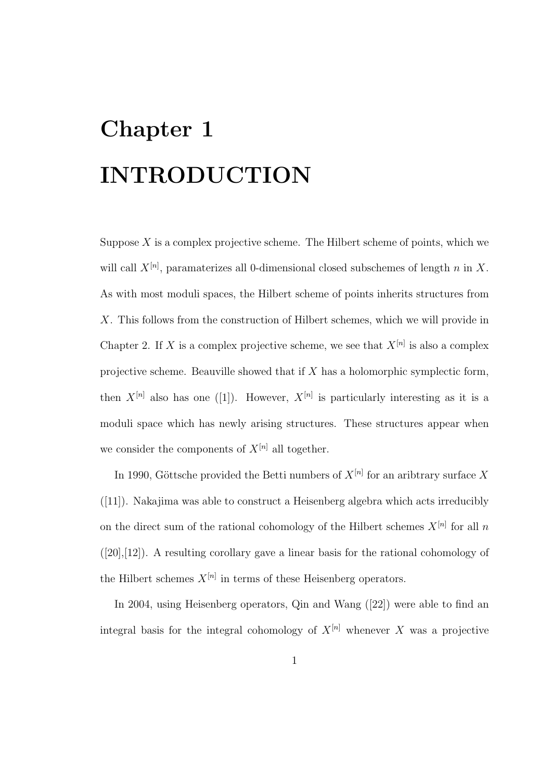# Chapter 1 INTRODUCTION

Suppose  $X$  is a complex projective scheme. The Hilbert scheme of points, which we will call  $X^{[n]}$ , paramaterizes all 0-dimensional closed subschemes of length n in X. As with most moduli spaces, the Hilbert scheme of points inherits structures from X. This follows from the construction of Hilbert schemes, which we will provide in Chapter 2. If X is a complex projective scheme, we see that  $X^{[n]}$  is also a complex projective scheme. Beauville showed that if X has a holomorphic symplectic form, then  $X^{[n]}$  also has one ([1]). However,  $X^{[n]}$  is particularly interesting as it is a moduli space which has newly arising structures. These structures appear when we consider the components of  $X^{[n]}$  all together.

In 1990, Göttsche provided the Betti numbers of  $X^{[n]}$  for an aribtrary surface X ([11]). Nakajima was able to construct a Heisenberg algebra which acts irreducibly on the direct sum of the rational cohomology of the Hilbert schemes  $X^{[n]}$  for all n ([20],[12]). A resulting corollary gave a linear basis for the rational cohomology of the Hilbert schemes  $X^{[n]}$  in terms of these Heisenberg operators.

In 2004, using Heisenberg operators, Qin and Wang ([22]) were able to find an integral basis for the integral cohomology of  $X^{[n]}$  whenever X was a projective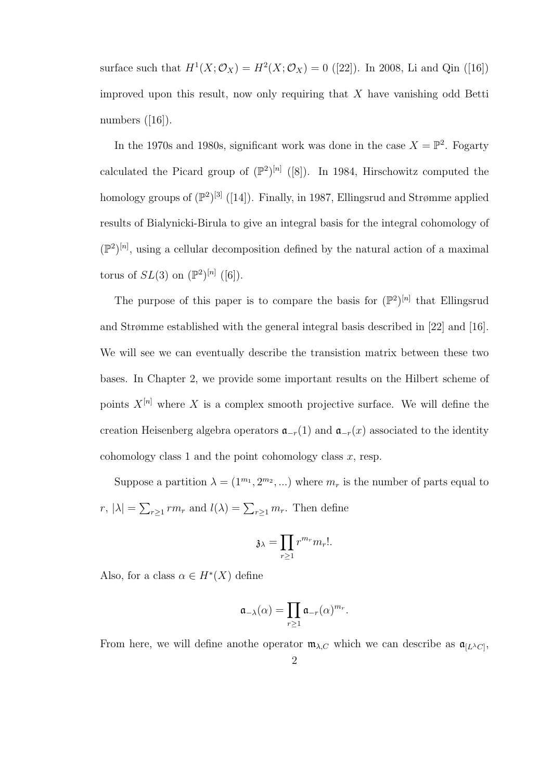surface such that  $H^1(X; \mathcal{O}_X) = H^2(X; \mathcal{O}_X) = 0$  ([22]). In 2008, Li and Qin ([16]) improved upon this result, now only requiring that  $X$  have vanishing odd Betti numbers  $([16])$ .

In the 1970s and 1980s, significant work was done in the case  $X = \mathbb{P}^2$ . Fogarty calculated the Picard group of  $(\mathbb{P}^2)^{[n]}$  ([8]). In 1984, Hirschowitz computed the homology groups of  $(\mathbb{P}^2)^{[3]}$  ([14]). Finally, in 1987, Ellingsrud and Strømme applied results of Bialynicki-Birula to give an integral basis for the integral cohomology of  $(\mathbb{P}^2)^{[n]}$ , using a cellular decomposition defined by the natural action of a maximal torus of  $SL(3)$  on  $(\mathbb{P}^2)^{[n]}$  ([6]).

The purpose of this paper is to compare the basis for  $(\mathbb{P}^2)^{[n]}$  that Ellingsrud and Strømme established with the general integral basis described in [22] and [16]. We will see we can eventually describe the transistion matrix between these two bases. In Chapter 2, we provide some important results on the Hilbert scheme of points  $X^{[n]}$  where X is a complex smooth projective surface. We will define the creation Heisenberg algebra operators  $\mathfrak{a}_{-r}(1)$  and  $\mathfrak{a}_{-r}(x)$  associated to the identity cohomology class 1 and the point cohomology class  $x$ , resp.

Suppose a partition  $\lambda = (1^{m_1}, 2^{m_2}, ...)$  where  $m_r$  is the number of parts equal to  $r, |\lambda| = \sum_{r\geq 1} rm_r$  and  $l(\lambda) = \sum_{r\geq 1} m_r$ . Then define

$$
\mathfrak{z}_{\lambda} = \prod_{r \ge 1} r^{m_r} m_r!.
$$

Also, for a class  $\alpha \in H^*(X)$  define

$$
\mathfrak{a}_{-\lambda}(\alpha) = \prod_{r \geq 1} \mathfrak{a}_{-r}(\alpha)^{m_r}.
$$

From here, we will define anothe operator  $\mathfrak{m}_{\lambda,C}$  which we can describe as  $\mathfrak{a}_{[L^{\lambda}C]}$ ,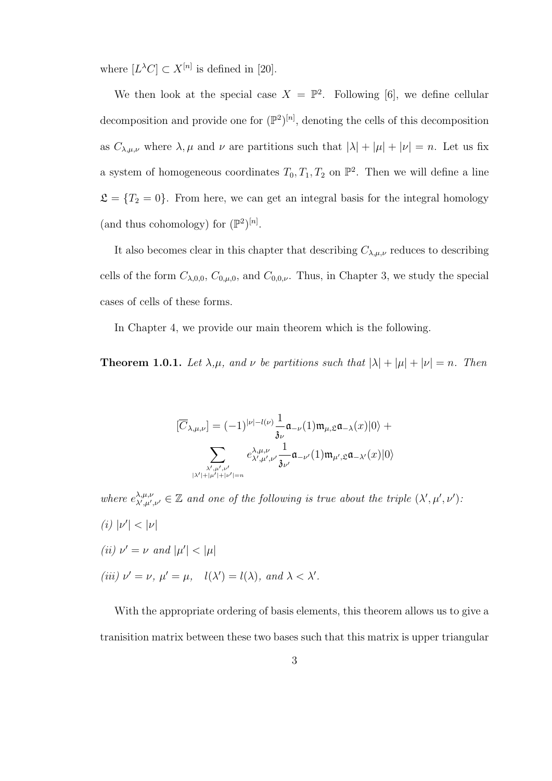where  $[L^{\lambda}C] \subset X^{[n]}$  is defined in [20].

We then look at the special case  $X = \mathbb{P}^2$ . Following [6], we define cellular decomposition and provide one for  $(\mathbb{P}^2)^{[n]}$ , denoting the cells of this decomposition as  $C_{\lambda,\mu,\nu}$  where  $\lambda,\mu$  and  $\nu$  are partitions such that  $|\lambda| + |\mu| + |\nu| = n$ . Let us fix a system of homogeneous coordinates  $T_0, T_1, T_2$  on  $\mathbb{P}^2$ . Then we will define a line  $\mathfrak{L} = \{T_2 = 0\}$ . From here, we can get an integral basis for the integral homology (and thus cohomology) for  $(\mathbb{P}^2)^{[n]}$ .

It also becomes clear in this chapter that describing  $C_{\lambda,\mu,\nu}$  reduces to describing cells of the form  $C_{\lambda,0,0}$ ,  $C_{0,\mu,0}$ , and  $C_{0,0,\nu}$ . Thus, in Chapter 3, we study the special cases of cells of these forms.

In Chapter 4, we provide our main theorem which is the following.

**Theorem 1.0.1.** Let  $\lambda, \mu$ , and  $\nu$  be partitions such that  $|\lambda| + |\mu| + |\nu| = n$ . Then

$$
[\overline{C}_{\lambda,\mu,\nu}] = (-1)^{|\nu|-l(\nu)} \frac{1}{\mathfrak{z}_{\nu}} \mathfrak{a}_{-\nu}(1) \mathfrak{m}_{\mu,\mathfrak{L}} \mathfrak{a}_{-\lambda}(x)|0\rangle + \sum_{\substack{\lambda',\mu',\nu'\\ |\lambda'|+|\mu'|+|\nu'|=n}} e^{\lambda,\mu,\nu}_{\lambda',\mu',\nu'} \frac{1}{\mathfrak{z}_{\nu'}} \mathfrak{a}_{-\nu'}(1) \mathfrak{m}_{\mu',\mathfrak{L}} \mathfrak{a}_{-\lambda'}(x)|0\rangle
$$

where  $e^{\lambda,\mu,\nu}_{\lambda',\mu'}$  $\lambda,\mu,\nu,\lambda,\mu',\nu' \in \mathbb{Z}$  and one of the following is true about the triple  $(\lambda',\mu',\nu')$ . (i)  $|\nu'| < |\nu|$ (*ii*)  $\nu' = \nu$  and  $|\mu'| < |\mu|$ (iii)  $\nu' = \nu$ ,  $\mu' = \mu$ ,  $l(\lambda') = l(\lambda)$ , and  $\lambda < \lambda'$ .

With the appropriate ordering of basis elements, this theorem allows us to give a tranisition matrix between these two bases such that this matrix is upper triangular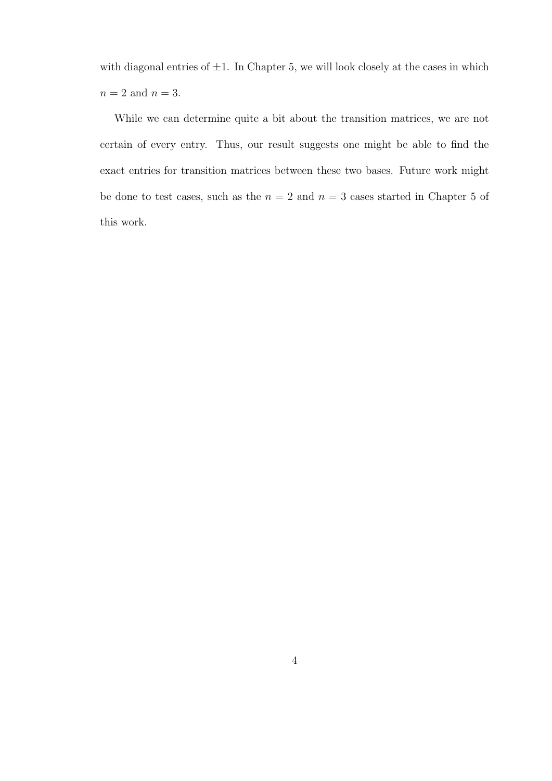with diagonal entries of  $\pm 1$ . In Chapter 5, we will look closely at the cases in which  $n=2$  and  $n=3.$ 

While we can determine quite a bit about the transition matrices, we are not certain of every entry. Thus, our result suggests one might be able to find the exact entries for transition matrices between these two bases. Future work might be done to test cases, such as the  $n = 2$  and  $n = 3$  cases started in Chapter 5 of this work.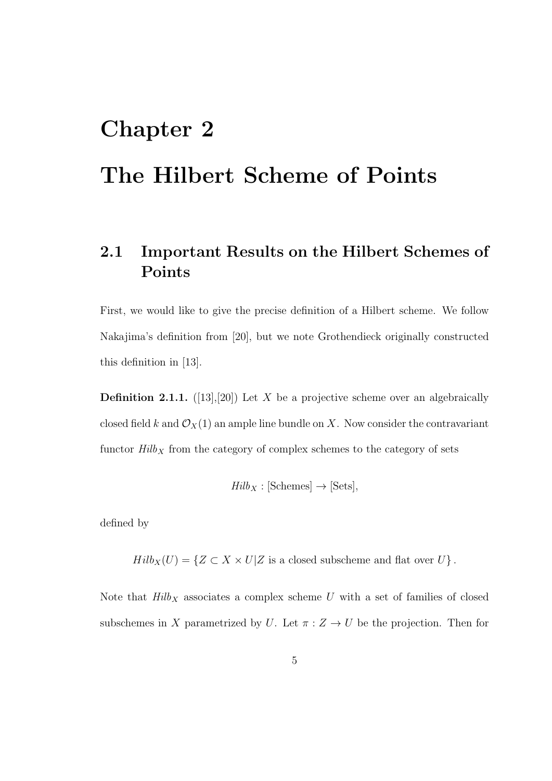# Chapter 2 The Hilbert Scheme of Points

## 2.1 Important Results on the Hilbert Schemes of Points

First, we would like to give the precise definition of a Hilbert scheme. We follow Nakajima's definition from [20], but we note Grothendieck originally constructed this definition in [13].

**Definition 2.1.1.** ([13],[20]) Let X be a projective scheme over an algebraically closed field k and  $\mathcal{O}_X(1)$  an ample line bundle on X. Now consider the contravariant functor  $\it Hilb_X$  from the category of complex schemes to the category of sets

$$
Hilb_X : [Schemes] \to [Sets],
$$

defined by

 $Hilb_X(U) = \{ Z \subset X \times U | Z \text{ is a closed subscheme and flat over } U \}.$ 

Note that  $Hilb_X$  associates a complex scheme U with a set of families of closed subschemes in X parametrized by U. Let  $\pi: Z \to U$  be the projection. Then for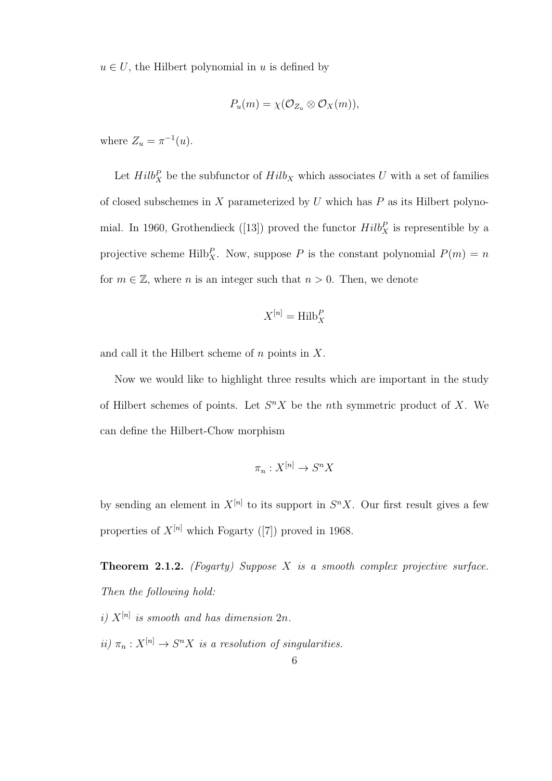$u \in U$ , the Hilbert polynomial in u is defined by

$$
P_u(m) = \chi(\mathcal{O}_{Z_u} \otimes \mathcal{O}_X(m)),
$$

where  $Z_u = \pi^{-1}(u)$ .

Let  $Hilb_X^P$  be the subfunctor of  $Hilb_X$  which associates U with a set of families of closed subschemes in  $X$  parameterized by  $U$  which has  $P$  as its Hilbert polynomial. In 1960, Grothendieck ([13]) proved the functor  $Hilb_X^P$  is representible by a projective scheme Hilb $_X^P$ . Now, suppose P is the constant polynomial  $P(m) = n$ for  $m \in \mathbb{Z}$ , where n is an integer such that  $n > 0$ . Then, we denote

$$
X^{[n]} = \operatorname{Hilb}_X^P
$$

and call it the Hilbert scheme of  $n$  points in  $X$ .

Now we would like to highlight three results which are important in the study of Hilbert schemes of points. Let  $S<sup>n</sup>X$  be the nth symmetric product of X. We can define the Hilbert-Chow morphism

$$
\pi_n: X^{[n]} \to S^n X
$$

by sending an element in  $X^{[n]}$  to its support in  $S^n X$ . Our first result gives a few properties of  $X^{[n]}$  which Fogarty ([7]) proved in 1968.

**Theorem 2.1.2.** (Fogarty) Suppose  $X$  is a smooth complex projective surface. Then the following hold:

i)  $X^{[n]}$  is smooth and has dimension  $2n$ . ii)  $\pi_n: X^{[n]} \to S^n X$  is a resolution of singularities.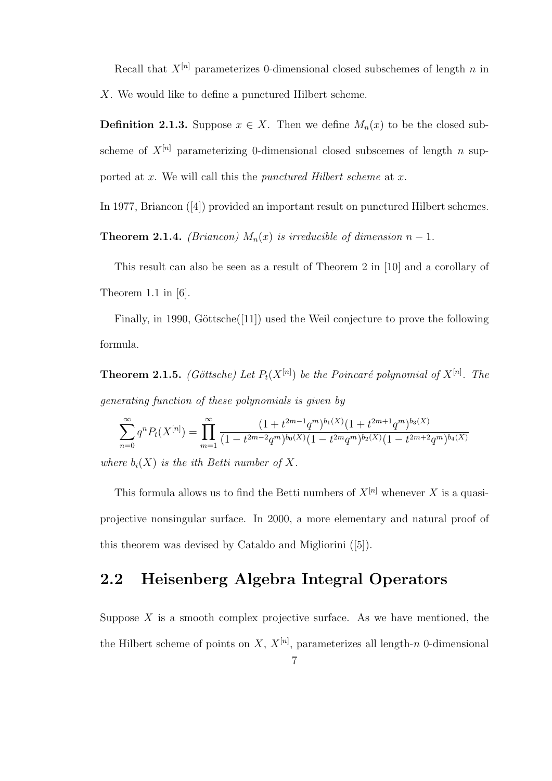Recall that  $X^{[n]}$  parameterizes 0-dimensional closed subschemes of length n in X. We would like to define a punctured Hilbert scheme.

**Definition 2.1.3.** Suppose  $x \in X$ . Then we define  $M_n(x)$  to be the closed subscheme of  $X^{[n]}$  parameterizing 0-dimensional closed subscemes of length n supported at  $x$ . We will call this the *punctured Hilbert scheme* at  $x$ .

In 1977, Briancon ([4]) provided an important result on punctured Hilbert schemes.

**Theorem 2.1.4.** (Briancon)  $M_n(x)$  is irreducible of dimension  $n-1$ .

This result can also be seen as a result of Theorem 2 in [10] and a corollary of Theorem 1.1 in [6].

Finally, in 1990, Göttsche $([11])$  used the Weil conjecture to prove the following formula.

**Theorem 2.1.5.** (Göttsche) Let  $P_t(X^{[n]})$  be the Poincaré polynomial of  $X^{[n]}$ . The generating function of these polynomials is given by

$$
\sum_{n=0}^{\infty} q^n P_t(X^{[n]}) = \prod_{m=1}^{\infty} \frac{(1+t^{2m-1}q^m)^{b_1(X)}(1+t^{2m+1}q^m)^{b_3(X)}}{(1-t^{2m-2}q^m)^{b_0(X)}(1-t^{2m}q^m)^{b_2(X)}(1-t^{2m+2}q^m)^{b_4(X)}}
$$

where  $b_i(X)$  is the ith Betti number of X.

This formula allows us to find the Betti numbers of  $X^{[n]}$  whenever X is a quasiprojective nonsingular surface. In 2000, a more elementary and natural proof of this theorem was devised by Cataldo and Migliorini ([5]).

### 2.2 Heisenberg Algebra Integral Operators

Suppose  $X$  is a smooth complex projective surface. As we have mentioned, the the Hilbert scheme of points on X,  $X^{[n]}$ , parameterizes all length-n 0-dimensional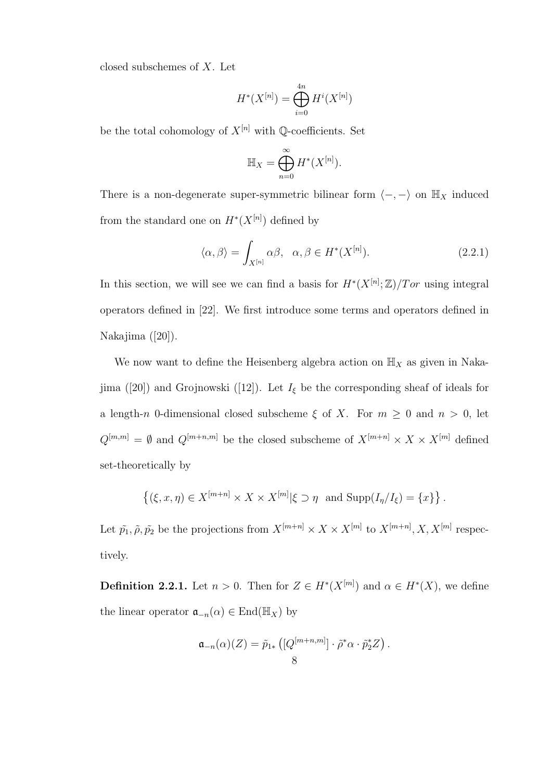closed subschemes of X. Let

$$
H^*(X^{[n]}) = \bigoplus_{i=0}^{4n} H^i(X^{[n]})
$$

be the total cohomology of  $X^{[n]}$  with  $\mathbb{Q}$ -coefficients. Set

$$
\mathbb{H}_X = \bigoplus_{n=0}^{\infty} H^*(X^{[n]}).
$$

There is a non-degenerate super-symmetric bilinear form  $\langle -, - \rangle$  on  $\mathbb{H}_X$  induced from the standard one on  $H^*(X^{[n]})$  defined by

$$
\langle \alpha, \beta \rangle = \int_{X^{[n]}} \alpha \beta, \quad \alpha, \beta \in H^*(X^{[n]}). \tag{2.2.1}
$$

In this section, we will see we can find a basis for  $H^*(X^{[n]}; \mathbb{Z})/Tor$  using integral operators defined in [22]. We first introduce some terms and operators defined in Nakajima ([20]).

We now want to define the Heisenberg algebra action on  $\mathbb{H}_X$  as given in Nakajima ([20]) and Grojnowski ([12]). Let  $I_{\xi}$  be the corresponding sheaf of ideals for a length-n 0-dimensional closed subscheme  $\xi$  of X. For  $m \geq 0$  and  $n > 0$ , let  $Q^{[m,m]} = \emptyset$  and  $Q^{[m+n,m]}$  be the closed subscheme of  $X^{[m+n]} \times X \times X^{[m]}$  defined set-theoretically by

$$
\left\{ (\xi, x, \eta) \in X^{[m+n]} \times X \times X^{[m]} | \xi \supset \eta \text{ and } \text{Supp}(I_{\eta}/I_{\xi}) = \{x\} \right\}.
$$

Let  $\tilde{p_1}, \tilde{p_2}$  be the projections from  $X^{[m+n]} \times X \times X^{[m]}$  to  $X^{[m+n]}$ ,  $X, X^{[m]}$  respectively.

**Definition 2.2.1.** Let  $n > 0$ . Then for  $Z \in H^*(X^{[m]})$  and  $\alpha \in H^*(X)$ , we define the linear operator  $\mathfrak{a}_{-n}(\alpha) \in \text{End}(\mathbb{H}_X)$  by

$$
\mathfrak{a}_{-n}(\alpha)(Z) = \tilde{p}_{1*} ([Q^{[m+n,m]}] \cdot \tilde{\rho}^* \alpha \cdot \tilde{p}_2^* Z).
$$
8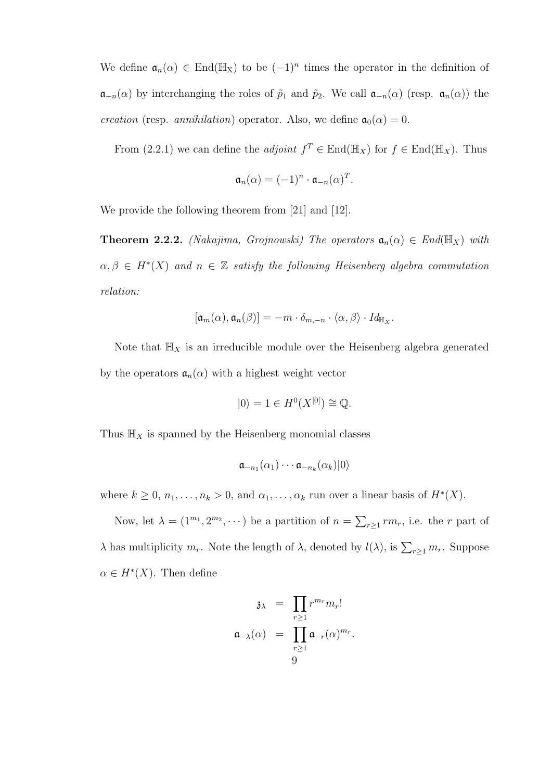We define  $\mathfrak{a}_n(\alpha) \in \text{End}(\mathbb{H}_X)$  to be  $(-1)^n$  times the operator in the definition of  $\mathfrak{a}_{-n}(\alpha)$  by interchanging the roles of  $\tilde{p}_1$  and  $\tilde{p}_2$ . We call  $\mathfrak{a}_{-n}(\alpha)$  (resp.  $\mathfrak{a}_n(\alpha)$ ) the *creation* (resp. *annihilation*) operator. Also, we define  $a_0(\alpha) = 0$ .

From (2.2.1) we can define the *adjoint*  $f^T \in End(\mathbb{H}_X)$  for  $f \in End(\mathbb{H}_X)$ . Thus

$$
\mathfrak{a}_n(\alpha) = (-1)^n \cdot \mathfrak{a}_{-n}(\alpha)^T.
$$

We provide the following theorem from [21] and [12].

**Theorem 2.2.2.** (Nakajima, Grojnowski) The operators  $\mathfrak{a}_n(\alpha) \in End(\mathbb{H}_X)$  with  $\alpha, \beta \in H^*(X)$  and  $n \in \mathbb{Z}$  satisfy the following Heisenberg algebra commutation relation:

$$
[\mathfrak{a}_m(\alpha), \mathfrak{a}_n(\beta)] = -m \cdot \delta_{m,-n} \cdot \langle \alpha, \beta \rangle \cdot Id_{\mathbb{H}_X}.
$$

Note that  $\mathbb{H}_X$  is an irreducible module over the Heisenberg algebra generated by the operators  $a_n(\alpha)$  with a highest weight vector

$$
|0\rangle = 1 \in H^0(X^{[0]}) \cong \mathbb{Q}.
$$

Thus  $\mathbb{H}_X$  is spanned by the Heisenberg monomial classes

$$
\mathfrak{a}_{-n_1}(\alpha_1)\cdots \mathfrak{a}_{-n_k}(\alpha_k)|0\rangle
$$

where  $k \geq 0$ ,  $n_1, \ldots, n_k > 0$ , and  $\alpha_1, \ldots, \alpha_k$  run over a linear basis of  $H^*(X)$ .

Now, let  $\lambda = (1^{m_1}, 2^{m_2}, \dots)$  be a partition of  $n = \sum_{r \geq 1} r m_r$ , i.e. the r part of  $\lambda$  has multiplicity  $m_r$ . Note the length of  $\lambda$ , denoted by  $l(\lambda)$ , is  $\sum_{r\geq 1} m_r$ . Suppose  $\alpha \in H^*(X)$ . Then define

$$
\mathfrak{z}_{\lambda} = \prod_{r \geq 1} r^{m_r} m_r!
$$

$$
\mathfrak{a}_{-\lambda}(\alpha) = \prod_{r \geq 1} \mathfrak{a}_{-r}(\alpha)^{m_r}.
$$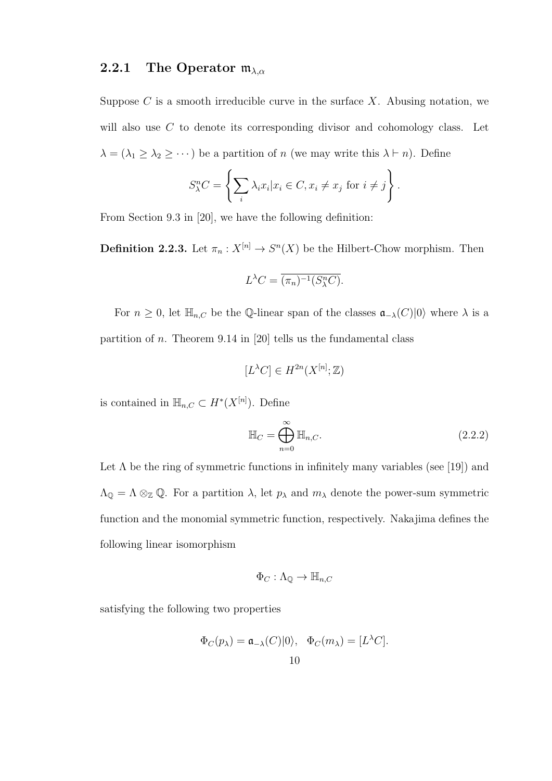#### 2.2.1 The Operator  $m_{\lambda,\alpha}$

Suppose  $C$  is a smooth irreducible curve in the surface  $X$ . Abusing notation, we will also use C to denote its corresponding divisor and cohomology class. Let  $\lambda = (\lambda_1 \geq \lambda_2 \geq \cdots)$  be a partition of n (we may write this  $\lambda \vdash n$ ). Define

$$
S_{\lambda}^{n}C = \left\{ \sum_{i} \lambda_{i} x_{i} | x_{i} \in C, x_{i} \neq x_{j} \text{ for } i \neq j \right\}.
$$

From Section 9.3 in [20], we have the following definition:

**Definition 2.2.3.** Let  $\pi_n: X^{[n]} \to S^n(X)$  be the Hilbert-Chow morphism. Then

$$
L^{\lambda}C = \overline{(\pi_n)^{-1}(S_{\lambda}^n C)}.
$$

For  $n \geq 0$ , let  $\mathbb{H}_{n,C}$  be the Q-linear span of the classes  $\mathfrak{a}_{-\lambda}(C)|0\rangle$  where  $\lambda$  is a partition of *n*. Theorem 9.14 in [20] tells us the fundamental class

$$
[L^{\lambda}C]\in H^{2n}(X^{[n]};\mathbb{Z})
$$

is contained in  $\mathbb{H}_{n,C} \subset H^*(X^{[n]})$ . Define

$$
\mathbb{H}_C = \bigoplus_{n=0}^{\infty} \mathbb{H}_{n,C}.
$$
\n(2.2.2)

Let  $\Lambda$  be the ring of symmetric functions in infinitely many variables (see [19]) and  $\Lambda_{\mathbb{Q}} = \Lambda \otimes_{\mathbb{Z}} \mathbb{Q}$ . For a partition  $\lambda$ , let  $p_{\lambda}$  and  $m_{\lambda}$  denote the power-sum symmetric function and the monomial symmetric function, respectively. Nakajima defines the following linear isomorphism

$$
\Phi_C : \Lambda_{\mathbb{Q}} \to \mathbb{H}_{n,C}
$$

satisfying the following two properties

$$
\Phi_C(p_\lambda) = \mathfrak{a}_{-\lambda}(C)|0\rangle, \quad \Phi_C(m_\lambda) = [L^\lambda C].
$$
  
10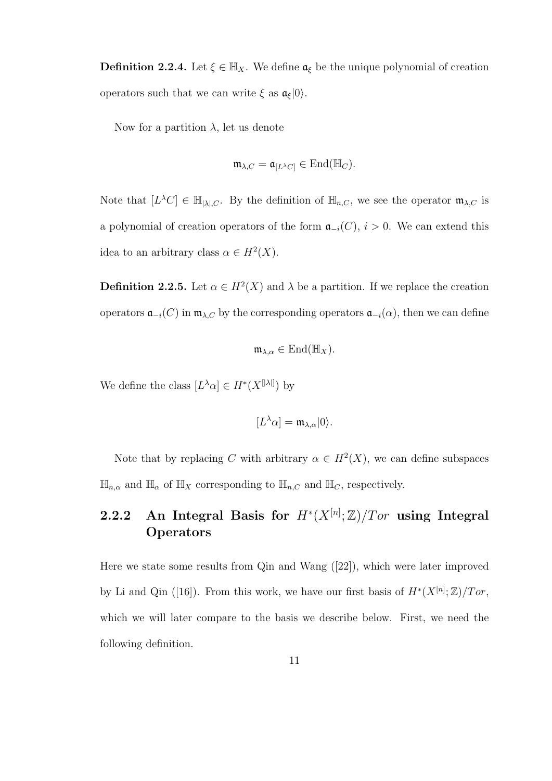**Definition 2.2.4.** Let  $\xi \in \mathbb{H}_X$ . We define  $\mathfrak{a}_{\xi}$  be the unique polynomial of creation operators such that we can write  $\xi$  as  $\mathfrak{a}_{\xi}|0\rangle$ .

Now for a partition  $\lambda$ , let us denote

$$
\mathfrak{m}_{\lambda,C} = \mathfrak{a}_{[L^{\lambda}C]} \in \text{End}(\mathbb{H}_C).
$$

Note that  $[L^{\lambda}C] \in \mathbb{H}_{[\lambda],C}$ . By the definition of  $\mathbb{H}_{n,C}$ , we see the operator  $\mathfrak{m}_{\lambda,C}$  is a polynomial of creation operators of the form  $\mathfrak{a}_{-i}(C)$ ,  $i > 0$ . We can extend this idea to an arbitrary class  $\alpha \in H^2(X)$ .

**Definition 2.2.5.** Let  $\alpha \in H^2(X)$  and  $\lambda$  be a partition. If we replace the creation operators  $\mathfrak{a}_{-i}(C)$  in  $\mathfrak{m}_{\lambda,C}$  by the corresponding operators  $\mathfrak{a}_{-i}(\alpha)$ , then we can define

$$
\mathfrak{m}_{\lambda,\alpha}\in \mathrm{End}(\mathbb{H}_X).
$$

We define the class  $[L^{\lambda}\alpha] \in H^*(X^{[|\lambda|]})$  by

$$
[L^{\lambda}\alpha] = \mathfrak{m}_{\lambda,\alpha}|0\rangle.
$$

Note that by replacing C with arbitrary  $\alpha \in H^2(X)$ , we can define subspaces  $\mathbb{H}_{n,\alpha}$  and  $\mathbb{H}_{\alpha}$  of  $\mathbb{H}_X$  corresponding to  $\mathbb{H}_{n,C}$  and  $\mathbb{H}_C$ , respectively.

### 2.2.2 An Integral Basis for  $H^*(X^{[n]};\mathbb{Z})/Tor$  using Integral **Operators**

Here we state some results from Qin and Wang ([22]), which were later improved by Li and Qin ([16]). From this work, we have our first basis of  $H^*(X^{[n]};\mathbb{Z})/Tor$ , which we will later compare to the basis we describe below. First, we need the following definition.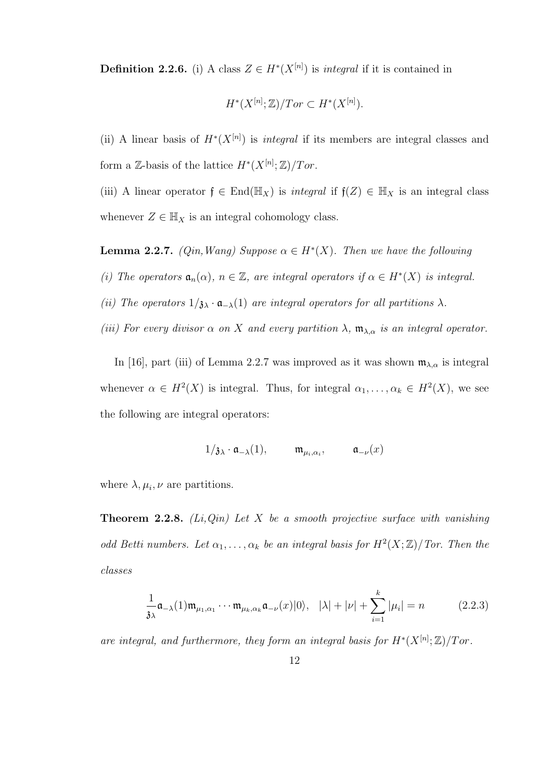**Definition 2.2.6.** (i) A class  $Z \in H^*(X^{[n]})$  is *integral* if it is contained in

$$
H^*(X^{[n]};\mathbb{Z})/Tor \subset H^*(X^{[n]}).
$$

(ii) A linear basis of  $H^*(X^{[n]})$  is *integral* if its members are integral classes and form a Z-basis of the lattice  $H^*(X^{[n]};\mathbb{Z})/Tor$ .

(iii) A linear operator  $f \in End(\mathbb{H}_X)$  is *integral* if  $f(Z) \in \mathbb{H}_X$  is an integral class whenever  $Z \in \mathbb{H}_X$  is an integral cohomology class.

**Lemma 2.2.7.** (Qin, Wang) Suppose  $\alpha \in H^*(X)$ . Then we have the following

(i) The operators  $\mathfrak{a}_n(\alpha)$ ,  $n \in \mathbb{Z}$ , are integral operators if  $\alpha \in H^*(X)$  is integral.

(ii) The operators  $1/\mathfrak{z}_{\lambda} \cdot \mathfrak{a}_{-\lambda}(1)$  are integral operators for all partitions  $\lambda$ .

(iii) For every divisor  $\alpha$  on X and every partition  $\lambda$ ,  $\mathfrak{m}_{\lambda,\alpha}$  is an integral operator.

In [16], part (iii) of Lemma 2.2.7 was improved as it was shown  $\mathfrak{m}_{\lambda,\alpha}$  is integral whenever  $\alpha \in H^2(X)$  is integral. Thus, for integral  $\alpha_1, \ldots, \alpha_k \in H^2(X)$ , we see the following are integral operators:

$$
1/\mathfrak{z}_{\lambda} \cdot \mathfrak{a}_{-\lambda}(1), \qquad \mathfrak{m}_{\mu_i, \alpha_i}, \qquad \mathfrak{a}_{-\nu}(x)
$$

where  $\lambda, \mu_i, \nu$  are partitions.

**Theorem 2.2.8.** (Li,Qin) Let X be a smooth projective surface with vanishing odd Betti numbers. Let  $\alpha_1, \ldots, \alpha_k$  be an integral basis for  $H^2(X; \mathbb{Z})/T$ or. Then the classes

$$
\frac{1}{3\lambda}\mathfrak{a}_{-\lambda}(1)\mathfrak{m}_{\mu_1,\alpha_1}\cdots\mathfrak{m}_{\mu_k,\alpha_k}\mathfrak{a}_{-\nu}(x)|0\rangle, \quad |\lambda|+|\nu|+\sum_{i=1}^k|\mu_i|=n\tag{2.2.3}
$$

are integral, and furthermore, they form an integral basis for  $H^*(X^{[n]}; \mathbb{Z})/Tor$ .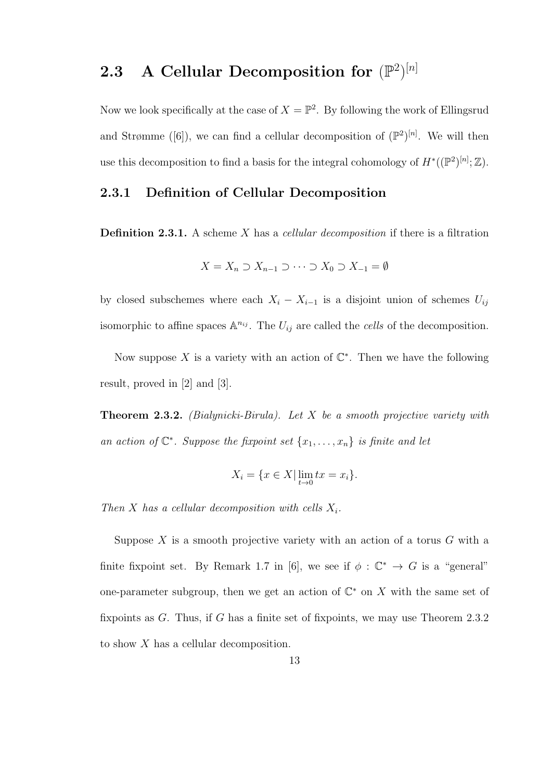## 2.3 A Cellular Decomposition for  $(\mathbb{P}^2)^{[n]}$

Now we look specifically at the case of  $X = \mathbb{P}^2$ . By following the work of Ellingsrud and Strømme ([6]), we can find a cellular decomposition of  $(\mathbb{P}^2)^{[n]}$ . We will then use this decomposition to find a basis for the integral cohomology of  $H^*((\mathbb{P}^2)^{[n]}; \mathbb{Z})$ .

#### 2.3.1 Definition of Cellular Decomposition

**Definition 2.3.1.** A scheme X has a *cellular decomposition* if there is a filtration

$$
X = X_n \supset X_{n-1} \supset \cdots \supset X_0 \supset X_{-1} = \emptyset
$$

by closed subschemes where each  $X_i - X_{i-1}$  is a disjoint union of schemes  $U_{ij}$ isomorphic to affine spaces  $\mathbb{A}^{n_{ij}}$ . The  $U_{ij}$  are called the *cells* of the decomposition.

Now suppose X is a variety with an action of  $\mathbb{C}^*$ . Then we have the following result, proved in [2] and [3].

**Theorem 2.3.2.** (Bialynicki-Birula). Let X be a smooth projective variety with an action of  $\mathbb{C}^*$ . Suppose the fixpoint set  $\{x_1, \ldots, x_n\}$  is finite and let

$$
X_i = \{ x \in X \mid \lim_{t \to 0} tx = x_i \}.
$$

Then X has a cellular decomposition with cells  $X_i$ .

Suppose  $X$  is a smooth projective variety with an action of a torus  $G$  with a finite fixpoint set. By Remark 1.7 in [6], we see if  $\phi : \mathbb{C}^* \to G$  is a "general" one-parameter subgroup, then we get an action of  $\mathbb{C}^*$  on X with the same set of fixpoints as G. Thus, if G has a finite set of fixpoints, we may use Theorem 2.3.2 to show X has a cellular decomposition.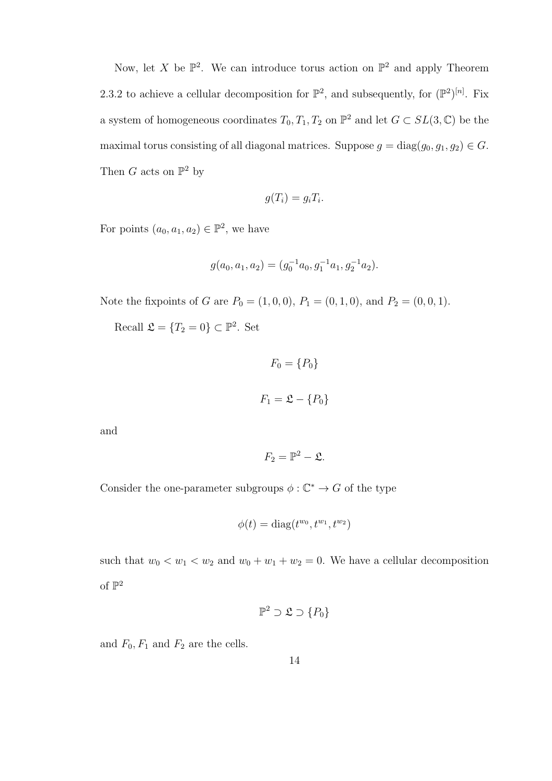Now, let X be  $\mathbb{P}^2$ . We can introduce torus action on  $\mathbb{P}^2$  and apply Theorem 2.3.2 to achieve a cellular decomposition for  $\mathbb{P}^2$ , and subsequently, for  $(\mathbb{P}^2)^{[n]}$ . Fix a system of homogeneous coordinates  $T_0, T_1, T_2$  on  $\mathbb{P}^2$  and let  $G \subset SL(3, \mathbb{C})$  be the maximal torus consisting of all diagonal matrices. Suppose  $g = diag(g_0, g_1, g_2) \in G$ . Then G acts on  $\mathbb{P}^2$  by

$$
g(T_i) = g_i T_i.
$$

For points  $(a_0, a_1, a_2) \in \mathbb{P}^2$ , we have

$$
g(a_0, a_1, a_2) = (g_0^{-1}a_0, g_1^{-1}a_1, g_2^{-1}a_2).
$$

Note the fixpoints of G are  $P_0 = (1, 0, 0), P_1 = (0, 1, 0),$  and  $P_2 = (0, 0, 1)$ .

Recall  $\mathfrak{L} = \{T_2 = 0\} \subset \mathbb{P}^2$ . Set

$$
F_0 = \{P_0\}
$$

$$
F_1 = \mathfrak{L} - \{P_0\}
$$

and

$$
F_2=\mathbb{P}^2-\mathfrak{L}.
$$

Consider the one-parameter subgroups  $\phi : \mathbb{C}^* \to G$  of the type

$$
\phi(t) = \text{diag}(t^{w_0}, t^{w_1}, t^{w_2})
$$

such that  $w_0 < w_1 < w_2$  and  $w_0 + w_1 + w_2 = 0$ . We have a cellular decomposition of  $\mathbb{P}^2$ 

$$
\mathbb{P}^2 \supset \mathfrak{L} \supset \{P_0\}
$$

and  $F_0, F_1$  and  $F_2$  are the cells.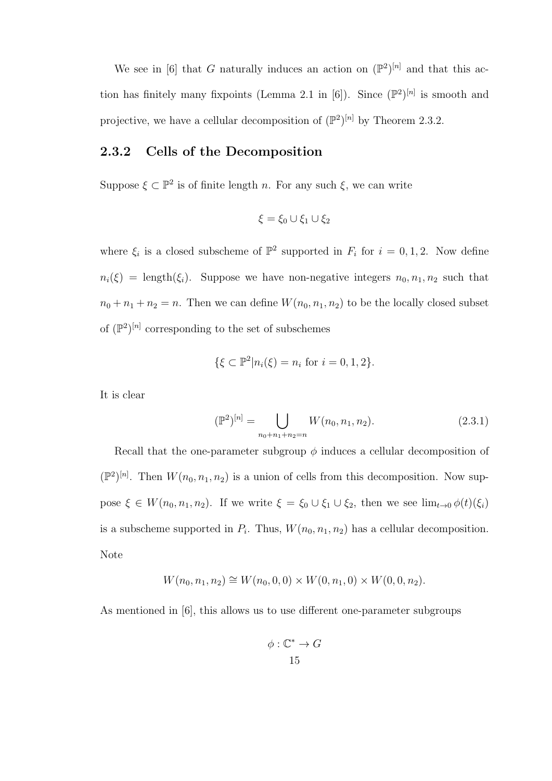We see in [6] that G naturally induces an action on  $(\mathbb{P}^2)^{[n]}$  and that this action has finitely many fixpoints (Lemma 2.1 in [6]). Since  $(\mathbb{P}^2)^{[n]}$  is smooth and projective, we have a cellular decomposition of  $(\mathbb{P}^2)^{[n]}$  by Theorem 2.3.2.

#### 2.3.2 Cells of the Decomposition

Suppose  $\xi \subset \mathbb{P}^2$  is of finite length n. For any such  $\xi$ , we can write

$$
\xi = \xi_0 \cup \xi_1 \cup \xi_2
$$

where  $\xi_i$  is a closed subscheme of  $\mathbb{P}^2$  supported in  $F_i$  for  $i = 0, 1, 2$ . Now define  $n_i(\xi) = \text{length}(\xi_i)$ . Suppose we have non-negative integers  $n_0, n_1, n_2$  such that  $n_0 + n_1 + n_2 = n$ . Then we can define  $W(n_0, n_1, n_2)$  to be the locally closed subset of  $(\mathbb{P}^2)^{[n]}$  corresponding to the set of subschemes

$$
\{\xi \subset \mathbb{P}^2 | n_i(\xi) = n_i \text{ for } i = 0, 1, 2\}.
$$

It is clear

$$
(\mathbb{P}^2)^{[n]} = \bigcup_{n_0+n_1+n_2=n} W(n_0, n_1, n_2). \tag{2.3.1}
$$

Recall that the one-parameter subgroup  $\phi$  induces a cellular decomposition of  $(\mathbb{P}^2)^{[n]}$ . Then  $W(n_0, n_1, n_2)$  is a union of cells from this decomposition. Now suppose  $\xi \in W(n_0, n_1, n_2)$ . If we write  $\xi = \xi_0 \cup \xi_1 \cup \xi_2$ , then we see  $\lim_{t\to 0} \phi(t)(\xi_i)$ is a subscheme supported in  $P_i$ . Thus,  $W(n_0, n_1, n_2)$  has a cellular decomposition. Note

$$
W(n_0, n_1, n_2) \cong W(n_0, 0, 0) \times W(0, n_1, 0) \times W(0, 0, n_2).
$$

As mentioned in [6], this allows us to use different one-parameter subgroups

$$
\phi: \mathbb{C}^* \to G
$$
  
15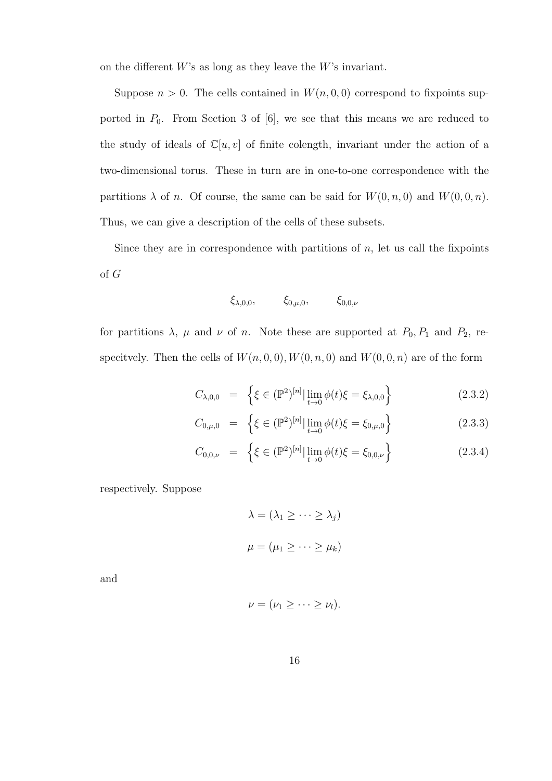on the different  $W$ 's as long as they leave the  $W$ 's invariant.

Suppose  $n > 0$ . The cells contained in  $W(n, 0, 0)$  correspond to fixpoints supported in  $P_0$ . From Section 3 of [6], we see that this means we are reduced to the study of ideals of  $\mathbb{C}[u, v]$  of finite colength, invariant under the action of a two-dimensional torus. These in turn are in one-to-one correspondence with the partitions  $\lambda$  of n. Of course, the same can be said for  $W(0, n, 0)$  and  $W(0, 0, n)$ . Thus, we can give a description of the cells of these subsets.

Since they are in correspondence with partitions of  $n$ , let us call the fixpoints of G

$$
\xi_{\lambda,0,0}, \xi_{0,\mu,0}, \xi_{0,0,\nu}
$$

for partitions  $\lambda$ ,  $\mu$  and  $\nu$  of n. Note these are supported at  $P_0, P_1$  and  $P_2$ , respecitvely. Then the cells of  $W(n, 0, 0), W(0, n, 0)$  and  $W(0, 0, n)$  are of the form

$$
C_{\lambda,0,0} = \left\{ \xi \in (\mathbb{P}^2)^{[n]} \, | \, \lim_{t \to 0} \phi(t) \xi = \xi_{\lambda,0,0} \right\} \tag{2.3.2}
$$

$$
C_{0,\mu,0} = \left\{ \xi \in (\mathbb{P}^2)^{[n]} \, \Big| \, \lim_{t \to 0} \phi(t) \xi = \xi_{0,\mu,0} \right\} \tag{2.3.3}
$$

$$
C_{0,0,\nu} = \left\{ \xi \in (\mathbb{P}^2)^{[n]} \, | \, \lim_{t \to 0} \phi(t) \xi = \xi_{0,0,\nu} \right\} \tag{2.3.4}
$$

respectively. Suppose

$$
\lambda = (\lambda_1 \ge \dots \ge \lambda_j)
$$
  

$$
\mu = (\mu_1 \ge \dots \ge \mu_k)
$$

and

$$
\nu=(\nu_1\geq\cdots\geq\nu_l).
$$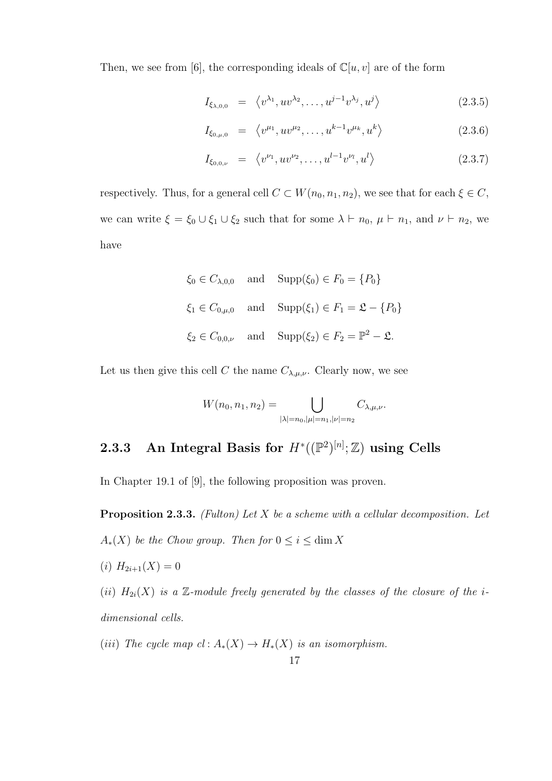Then, we see from [6], the corresponding ideals of  $\mathbb{C}[u, v]$  are of the form

$$
I_{\xi_{\lambda,0,0}} = \langle v^{\lambda_1}, uv^{\lambda_2}, \dots, u^{j-1}v^{\lambda_j}, u^j \rangle \qquad (2.3.5)
$$

$$
I_{\xi_{0,\mu,0}} = \langle v^{\mu_1}, uv^{\mu_2}, \dots, u^{k-1}v^{\mu_k}, u^k \rangle \qquad (2.3.6)
$$

$$
I_{\xi_{0,0,\nu}} = \langle v^{\nu_1}, uv^{\nu_2}, \dots, u^{l-1}v^{\nu_l}, u^l \rangle \qquad (2.3.7)
$$

respectively. Thus, for a general cell  $C \subset W(n_0, n_1, n_2)$ , we see that for each  $\xi \in C$ , we can write  $\xi = \xi_0 \cup \xi_1 \cup \xi_2$  such that for some  $\lambda \vdash n_0, \mu \vdash n_1$ , and  $\nu \vdash n_2$ , we have

$$
\xi_0 \in C_{\lambda,0,0}
$$
 and  $\text{Supp}(\xi_0) \in F_0 = \{P_0\}$   
\n $\xi_1 \in C_{0,\mu,0}$  and  $\text{Supp}(\xi_1) \in F_1 = \mathfrak{L} - \{P_0\}$   
\n $\xi_2 \in C_{0,0,\nu}$  and  $\text{Supp}(\xi_2) \in F_2 = \mathbb{P}^2 - \mathfrak{L}$ .

Let us then give this cell C the name  $C_{\lambda,\mu,\nu}$ . Clearly now, we see

$$
W(n_0, n_1, n_2) = \bigcup_{|\lambda| = n_0, |\mu| = n_1, |\nu| = n_2} C_{\lambda, \mu, \nu}.
$$

### 2.3.3 An Integral Basis for  $H^*((\mathbb{P}^2)^{[n]}; \mathbb{Z})$  using Cells

In Chapter 19.1 of [9], the following proposition was proven.

**Proposition 2.3.3.** (Fulton) Let  $X$  be a scheme with a cellular decomposition. Let  $A_*(X)$  be the Chow group. Then for  $0 \leq i \leq \dim X$ 

(i)  $H_{2i+1}(X) = 0$ 

(ii)  $H_{2i}(X)$  is a Z-module freely generated by the classes of the closure of the idimensional cells.

(iii) The cycle map  $cl: A_*(X) \to H_*(X)$  is an isomorphism.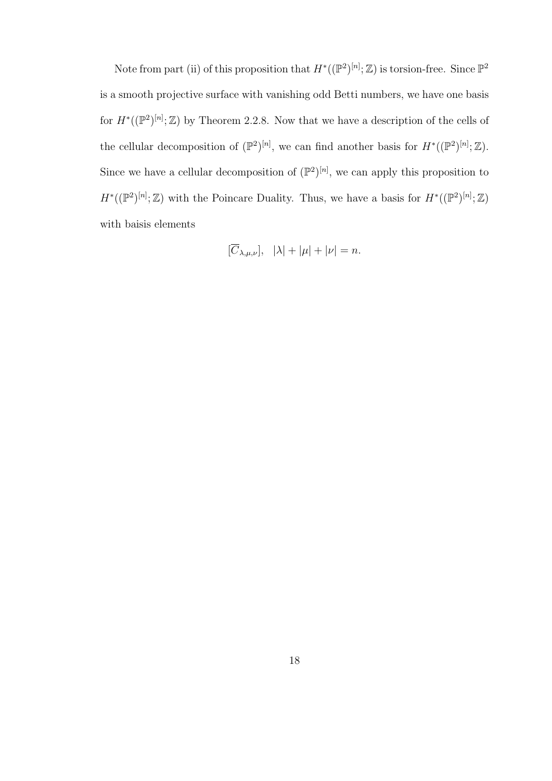Note from part (ii) of this proposition that  $H^*((\mathbb{P}^2)^{[n]}; \mathbb{Z})$  is torsion-free. Since  $\mathbb{P}^2$ is a smooth projective surface with vanishing odd Betti numbers, we have one basis for  $H^*((\mathbb{P}^2)^{[n]}; \mathbb{Z})$  by Theorem 2.2.8. Now that we have a description of the cells of the cellular decomposition of  $(\mathbb{P}^2)^{[n]}$ , we can find another basis for  $H^*((\mathbb{P}^2)^{[n]};\mathbb{Z})$ . Since we have a cellular decomposition of  $(\mathbb{P}^2)^{[n]}$ , we can apply this proposition to  $H^*((\mathbb{P}^2)^{[n]};\mathbb{Z})$  with the Poincare Duality. Thus, we have a basis for  $H^*((\mathbb{P}^2)^{[n]};\mathbb{Z})$ with baisis elements

$$
[\overline{C}_{\lambda,\mu,\nu}], \ \ |\lambda|+|\mu|+|\nu|=n.
$$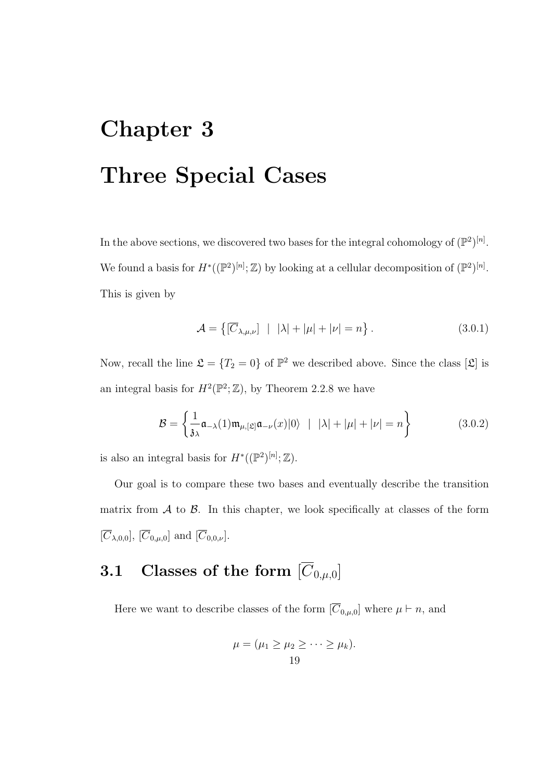# Chapter 3 Three Special Cases

In the above sections, we discovered two bases for the integral cohomology of  $(\mathbb{P}^2)^{[n]}$ . We found a basis for  $H^*((\mathbb{P}^2)^{[n]}; \mathbb{Z})$  by looking at a cellular decomposition of  $(\mathbb{P}^2)^{[n]}$ . This is given by

$$
\mathcal{A} = \left\{ \left[ \overline{C}_{\lambda,\mu,\nu} \right] \mid |\lambda| + |\mu| + |\nu| = n \right\}.
$$
 (3.0.1)

Now, recall the line  $\mathfrak{L} = \{T_2 = 0\}$  of  $\mathbb{P}^2$  we described above. Since the class  $[\mathfrak{L}]$  is an integral basis for  $H^2(\mathbb{P}^2; \mathbb{Z})$ , by Theorem 2.2.8 we have

$$
\mathcal{B} = \left\{ \frac{1}{3\lambda} \mathfrak{a}_{-\lambda}(1) \mathfrak{m}_{\mu,[\mathfrak{L}]} \mathfrak{a}_{-\nu}(x) |0\rangle \ \mid \ |\lambda| + |\mu| + |\nu| = n \right\}
$$
(3.0.2)

is also an integral basis for  $H^*((\mathbb{P}^2)^{[n]}; \mathbb{Z})$ .

Our goal is to compare these two bases and eventually describe the transition matrix from  $A$  to  $B$ . In this chapter, we look specifically at classes of the form  $[\overline{C}_{\lambda,0,0}], [\overline{C}_{0,\mu,0}]$  and  $[\overline{C}_{0,0,\nu}].$ 

# 3.1 Classes of the form  $[\overline{C}_{0,\mu,0}]$

Here we want to describe classes of the form  $[\overline{C}_{0,\mu,0}]$  where  $\mu \vdash n$ , and

$$
\mu = (\mu_1 \ge \mu_2 \ge \cdots \ge \mu_k).
$$
  
19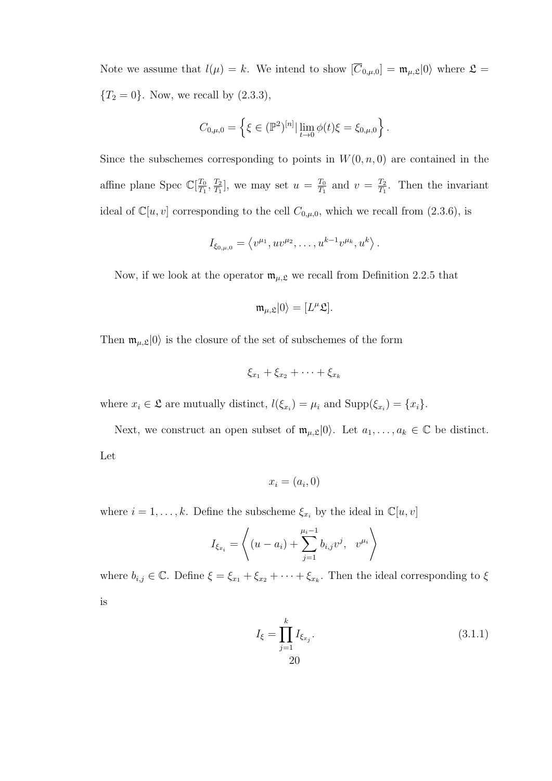Note we assume that  $l(\mu) = k$ . We intend to show  $[\overline{C}_{0,\mu,0}] = \mathfrak{m}_{\mu,\mathfrak{L}}|0\rangle$  where  $\mathfrak{L} =$  ${T_2 = 0}$ . Now, we recall by  $(2.3.3)$ ,

$$
C_{0,\mu,0} = \left\{ \xi \in (\mathbb{P}^2)^{[n]} | \lim_{t \to 0} \phi(t) \xi = \xi_{0,\mu,0} \right\}.
$$

Since the subschemes corresponding to points in  $W(0, n, 0)$  are contained in the affine plane Spec  $\mathbb{C}[\frac{T_0}{T_1}]$  $\frac{T_0}{T_1}, \frac{T_2}{T_1}$  $\frac{T_2}{T_1}$ , we may set  $u = \frac{T_0}{T_1}$  $\frac{T_0}{T_1}$  and  $v = \frac{T_2}{T_1}$  $\frac{T_2}{T_1}$ . Then the invariant ideal of  $\mathbb{C}[u, v]$  corresponding to the cell  $C_{0,\mu,0}$ , which we recall from (2.3.6), is

$$
I_{\xi_{0,\mu,0}} = \langle v^{\mu_1}, uv^{\mu_2}, \dots, u^{k-1}v^{\mu_k}, u^k \rangle.
$$

Now, if we look at the operator  $\mathfrak{m}_{\mu,\mathfrak{L}}$  we recall from Definition 2.2.5 that

$$
\mathfrak{m}_{\mu,\mathfrak{L}}|0\rangle=[L^{\mu}\mathfrak{L}].
$$

Then  $\mathfrak{m}_{\mu,\mathfrak{L}}|0\rangle$  is the closure of the set of subschemes of the form

$$
\xi_{x_1}+\xi_{x_2}+\cdots+\xi_{x_k}
$$

where  $x_i \in \mathfrak{L}$  are mutually distinct,  $l(\xi_{x_i}) = \mu_i$  and  $\text{Supp}(\xi_{x_i}) = \{x_i\}.$ 

Next, we construct an open subset of  $\mathfrak{m}_{\mu,\mathfrak{L}}|0\rangle$ . Let  $a_1,\ldots,a_k\in\mathbb{C}$  be distinct. Let

$$
x_i = (a_i, 0)
$$

where  $i = 1, ..., k$ . Define the subscheme  $\xi_{x_i}$  by the ideal in  $\mathbb{C}[u, v]$ 

$$
I_{\xi_{x_i}} = \left\langle (u - a_i) + \sum_{j=1}^{\mu_i - 1} b_{i,j} v^j, v^{\mu_i} \right\rangle
$$

where  $b_{i,j} \in \mathbb{C}$ . Define  $\xi = \xi_{x_1} + \xi_{x_2} + \cdots + \xi_{x_k}$ . Then the ideal corresponding to  $\xi$ is

$$
I_{\xi} = \prod_{j=1}^{k} I_{\xi_{x_j}}.
$$
\n(3.1.1)\n  
\n20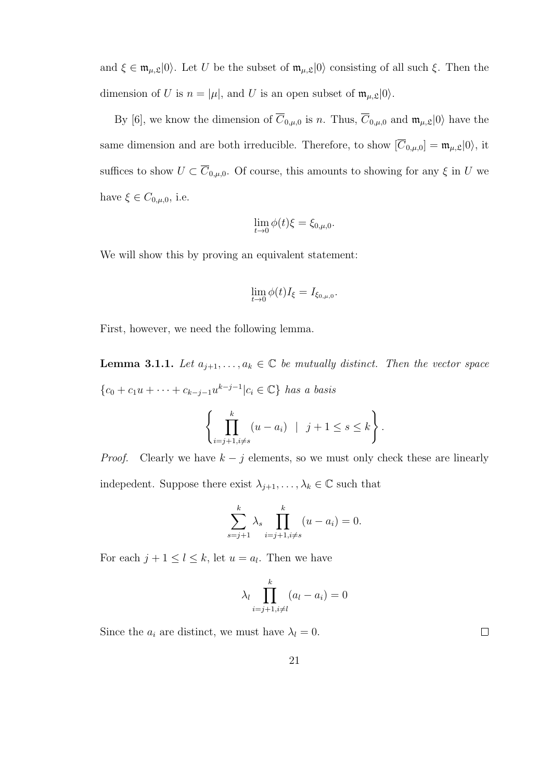and  $\xi \in \mathfrak{m}_{\mu,\mathfrak{L}}|0\rangle$ . Let U be the subset of  $\mathfrak{m}_{\mu,\mathfrak{L}}|0\rangle$  consisting of all such  $\xi$ . Then the dimension of U is  $n = |\mu|$ , and U is an open subset of  $\mathfrak{m}_{\mu, \mathfrak{L}} |0\rangle$ .

By [6], we know the dimension of  $\overline{C}_{0,\mu,0}$  is n. Thus,  $\overline{C}_{0,\mu,0}$  and  $\mathfrak{m}_{\mu,\mathfrak{L}}|0\rangle$  have the same dimension and are both irreducible. Therefore, to show  $[\overline{C}_{0,\mu,0}] = \mathfrak{m}_{\mu,\mathfrak{L}} |0\rangle$ , it suffices to show  $U \subset \overline{C}_{0,\mu,0}$ . Of course, this amounts to showing for any  $\xi$  in U we have  $\xi \in C_{0,\mu,0}$ , i.e.

$$
\lim_{t \to 0} \phi(t)\xi = \xi_{0,\mu,0}.
$$

We will show this by proving an equivalent statement:

$$
\lim_{t\to 0}\phi(t)I_{\xi}=I_{\xi_{0,\mu,0}}.
$$

First, however, we need the following lemma.

**Lemma 3.1.1.** Let  $a_{j+1}, \ldots, a_k \in \mathbb{C}$  be mutually distinct. Then the vector space  ${c_0 + c_1u + \cdots + c_{k-j-1}u^{k-j-1}|c_i \in \mathbb{C}}$  has a basis

$$
\left\{\prod_{i=j+1, i\neq s}^{k} (u-a_i) \mid j+1 \leq s \leq k\right\}.
$$

*Proof.* Clearly we have  $k - j$  elements, so we must only check these are linearly indepedent. Suppose there exist  $\lambda_{j+1}, \ldots, \lambda_k \in \mathbb{C}$  such that

$$
\sum_{s=j+1}^{k} \lambda_s \prod_{i=j+1, i \neq s}^{k} (u - a_i) = 0.
$$

For each  $j + 1 \leq l \leq k$ , let  $u = a_l$ . Then we have

$$
\lambda_l \prod_{i=j+1, i \neq l}^{k} (a_l - a_i) = 0
$$

Since the  $a_i$  are distinct, we must have  $\lambda_l = 0$ .

 $\Box$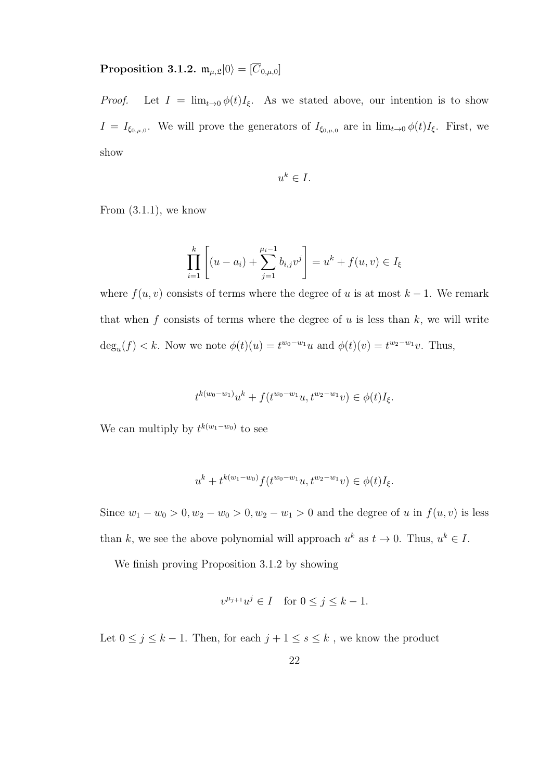## Proposition 3.1.2.  $\mathfrak{m}_{\mu,\mathfrak{L}}|0\rangle = [\overline{C}_{0,\mu,0}]$

*Proof.* Let  $I = \lim_{t\to 0} \phi(t)I_{\xi}$ . As we stated above, our intention is to show  $I = I_{\xi_{0,\mu,0}}$ . We will prove the generators of  $I_{\xi_{0,\mu,0}}$  are in  $\lim_{t\to 0} \phi(t)I_{\xi}$ . First, we show

$$
u^k \in I.
$$

From  $(3.1.1)$ , we know

$$
\prod_{i=1}^{k} \left[ (u - a_i) + \sum_{j=1}^{\mu_i - 1} b_{i,j} v^j \right] = u^k + f(u, v) \in I_{\xi}
$$

where  $f(u, v)$  consists of terms where the degree of u is at most  $k - 1$ . We remark that when f consists of terms where the degree of  $u$  is less than  $k$ , we will write  $\deg_u(f) < k$ . Now we note  $\phi(t)(u) = t^{w_0 - w_1}u$  and  $\phi(t)(v) = t^{w_2 - w_1}v$ . Thus,

$$
t^{k(w_0-w_1)}u^k + f(t^{w_0-w_1}u, t^{w_2-w_1}v) \in \phi(t)I_{\xi}.
$$

We can multiply by  $t^{k(w_1-w_0)}$  to see

$$
u^k + t^{k(w_1 - w_0)} f(t^{w_0 - w_1} u, t^{w_2 - w_1} v) \in \phi(t) I_{\xi}.
$$

Since  $w_1 - w_0 > 0, w_2 - w_0 > 0, w_2 - w_1 > 0$  and the degree of u in  $f(u, v)$  is less than k, we see the above polynomial will approach  $u^k$  as  $t \to 0$ . Thus,  $u^k \in I$ .

We finish proving Proposition 3.1.2 by showing

$$
v^{\mu_{j+1}}u^j \in I \quad \text{for } 0 \le j \le k-1.
$$

Let  $0\leq j\leq k-1.$  Then, for each  $j+1\leq s\leq k$  , we know the product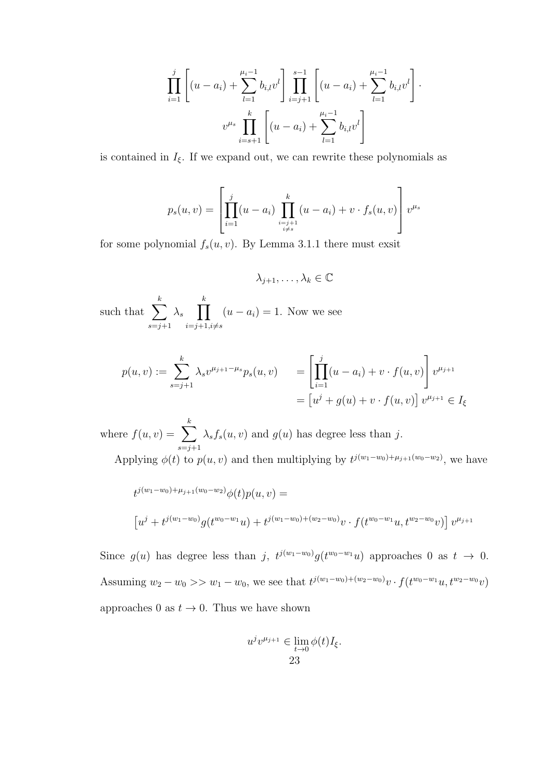$$
\prod_{i=1}^{j} \left[ (u - a_i) + \sum_{l=1}^{\mu_i - 1} b_{i,l} v^l \right] \prod_{i=j+1}^{s-1} \left[ (u - a_i) + \sum_{l=1}^{\mu_i - 1} b_{i,l} v^l \right] \cdot \frac{v^{\mu_s}}{v^{\mu_s}} \prod_{i=s+1}^{k} \left[ (u - a_i) + \sum_{l=1}^{\mu_i - 1} b_{i,l} v^l \right]
$$

is contained in  $I_{\xi}$ . If we expand out, we can rewrite these polynomials as

$$
p_s(u, v) = \left[ \prod_{i=1}^j (u - a_i) \prod_{\substack{i=j+1 \\ i \neq s}}^k (u - a_i) + v \cdot f_s(u, v) \right] v^{\mu_s}
$$

for some polynomial  $f_s(u, v)$ . By Lemma 3.1.1 there must exsit

 $\lambda_{i+1}, \ldots, \lambda_k \in \mathbb{C}$ 

such that  $\sum$ k  $s=j+1$  $\lambda_s$   $\prod$ k  $i=j+1,i\neq s$  $(u - a_i) = 1$ . Now we see

$$
p(u, v) := \sum_{s=j+1}^{k} \lambda_s v^{\mu_{j+1} - \mu_s} p_s(u, v) = \left[ \prod_{i=1}^{j} (u - a_i) + v \cdot f(u, v) \right] v^{\mu_{j+1}} = \left[ u^j + g(u) + v \cdot f(u, v) \right] v^{\mu_{j+1}} \in I_{\xi}
$$

where  $f(u, v) = \sum$ k  $s=j+1$  $\lambda_s f_s(u, v)$  and  $g(u)$  has degree less than j. Applying  $\phi(t)$  to  $p(u, v)$  and then multiplying by  $t^{j(w_1-w_0)+\mu_{j+1}(w_0-w_2)}$ , we have

$$
t^{j(w_1-w_0)+\mu_{j+1}(w_0-w_2)}\phi(t)p(u,v) =
$$
  
\n
$$
\left[u^{j}+t^{j(w_1-w_0)}g(t^{w_0-w_1}u)+t^{j(w_1-w_0)+(w_2-w_0)}v \cdot f(t^{w_0-w_1}u,t^{w_2-w_0}v)\right]v^{\mu_{j+1}}
$$

Since  $g(u)$  has degree less than j,  $t^{j(w_1-w_0)}g(t^{w_0-w_1}u)$  approaches 0 as  $t \to 0$ . Assuming  $w_2 - w_0 >> w_1 - w_0$ , we see that  $t^{j(w_1-w_0)+(w_2-w_0)}v \cdot f(t^{w_0-w_1}u, t^{w_2-w_0}v)$ approaches 0 as  $t \to 0$ . Thus we have shown

$$
u^{j}v^{\mu_{j+1}} \in \lim_{t \to 0} \phi(t)I_{\xi}.
$$
  
23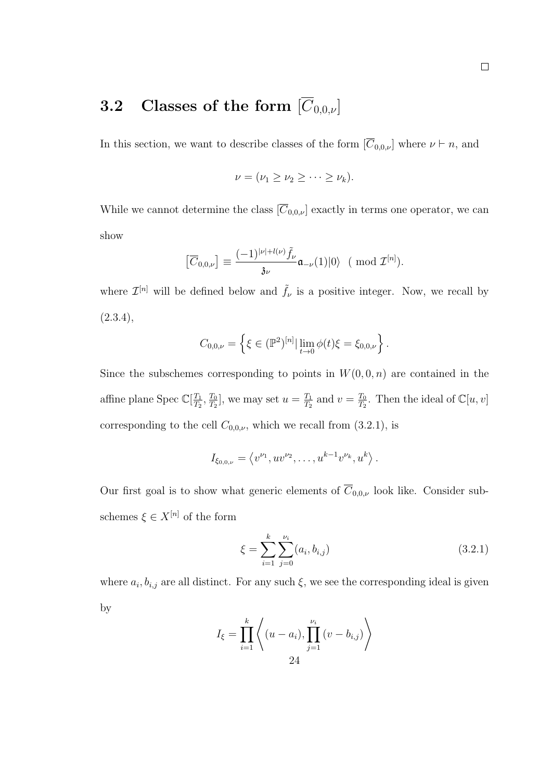## **3.2** Classes of the form  $[\overline{C}_{0,0,\nu}]$

In this section, we want to describe classes of the form  $[\overline{C}_{0,0,\nu}]$  where  $\nu \vdash n$ , and

$$
\nu=(\nu_1\geq \nu_2\geq \cdots \geq \nu_k).
$$

While we cannot determine the class  $[\overline{C}_{0,0,\nu}]$  exactly in terms one operator, we can show

$$
\left[\overline{C}_{0,0,\nu}\right] \equiv \frac{(-1)^{|\nu| + l(\nu)}\tilde{f}_{\nu}}{3\nu} \mathfrak{a}_{-\nu}(1) |0\rangle \ \ (\bmod\ \mathcal{I}^{[n]}).
$$

where  $\mathcal{I}^{[n]}$  will be defined below and  $\tilde{f}_{\nu}$  is a positive integer. Now, we recall by  $(2.3.4),$ 

$$
C_{0,0,\nu} = \left\{ \xi \in (\mathbb{P}^2)^{[n]} | \lim_{t \to 0} \phi(t) \xi = \xi_{0,0,\nu} \right\}.
$$

Since the subschemes corresponding to points in  $W(0, 0, n)$  are contained in the affine plane Spec  $\mathbb{C}[\frac{T_1}{T_2}]$  $\frac{T_1}{T_2}, \frac{T_0}{T_2}$  $\frac{T_0}{T_2}$ , we may set  $u = \frac{T_1}{T_2}$  $\frac{T_1}{T_2}$  and  $v = \frac{T_0}{T_2}$  $\frac{T_0}{T_2}$ . Then the ideal of  $\mathbb{C}[u, v]$ corresponding to the cell  $C_{0,0,\nu}$ , which we recall from  $(3.2.1)$ , is

$$
I_{\xi_{0,0,\nu}} = \langle v^{\nu_1}, uv^{\nu_2}, \dots, u^{k-1}v^{\nu_k}, u^k \rangle.
$$

Our first goal is to show what generic elements of  $\overline{C}_{0,0,\nu}$  look like. Consider subschemes  $\xi \in X^{[n]}$  of the form

$$
\xi = \sum_{i=1}^{k} \sum_{j=0}^{\nu_i} (a_i, b_{i,j})
$$
\n(3.2.1)

where  $a_i, b_{i,j}$  are all distinct. For any such  $\xi$ , we see the corresponding ideal is given by

$$
I_{\xi} = \prod_{i=1}^{k} \left\langle (u - a_i), \prod_{j=1}^{\nu_i} (v - b_{i,j}) \right\rangle
$$
  
24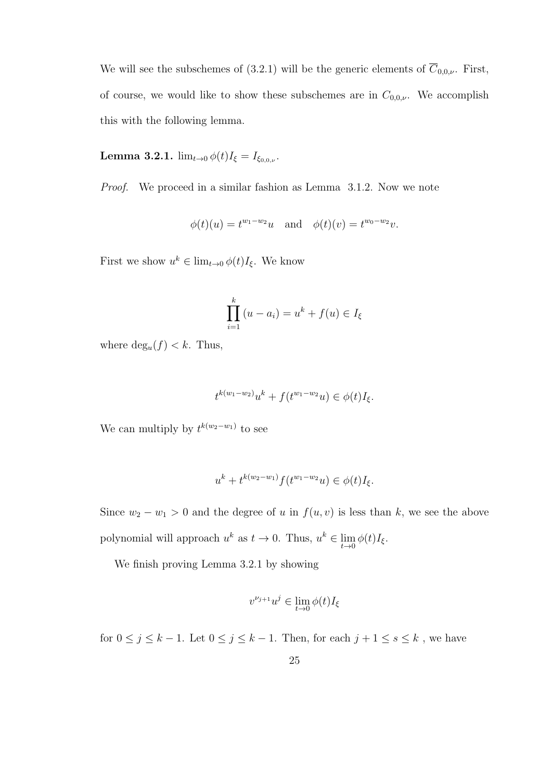We will see the subschemes of (3.2.1) will be the generic elements of  $\overline{C}_{0,0,\nu}$ . First, of course, we would like to show these subschemes are in  $C_{0,0,\nu}$ . We accomplish this with the following lemma.

**Lemma 3.2.1.**  $\lim_{t\to 0} \phi(t) I_{\xi} = I_{\xi_{0,0,\nu}}$ .

Proof. We proceed in a similar fashion as Lemma 3.1.2. Now we note

$$
\phi(t)(u) = t^{w_1 - w_2}u
$$
 and  $\phi(t)(v) = t^{w_0 - w_2}v$ .

First we show  $u^k \in \lim_{t \to 0} \phi(t)I_{\xi}$ . We know

$$
\prod_{i=1}^k (u - a_i) = u^k + f(u) \in I_{\xi}
$$

where  $deg_u(f) < k$ . Thus,

$$
t^{k(w_1-w_2)}u^k + f(t^{w_1-w_2}u) \in \phi(t)I_{\xi}.
$$

We can multiply by  $t^{k(w_2-w_1)}$  to see

$$
u^{k} + t^{k(w_{2} - w_{1})} f(t^{w_{1} - w_{2}} u) \in \phi(t) I_{\xi}.
$$

Since  $w_2 - w_1 > 0$  and the degree of u in  $f(u, v)$  is less than k, we see the above polynomial will approach  $u^k$  as  $t \to 0$ . Thus,  $u^k \in \lim_{t \to 0} \phi(t)I_{\xi}$ .

We finish proving Lemma 3.2.1 by showing

$$
v^{\nu_{j+1}}u^j\in\lim_{t\to 0}\phi(t)I_\xi
$$

for  $0 \leq j \leq k-1.$  Let  $0 \leq j \leq k-1.$  Then, for each  $j+1 \leq s \leq k$  , we have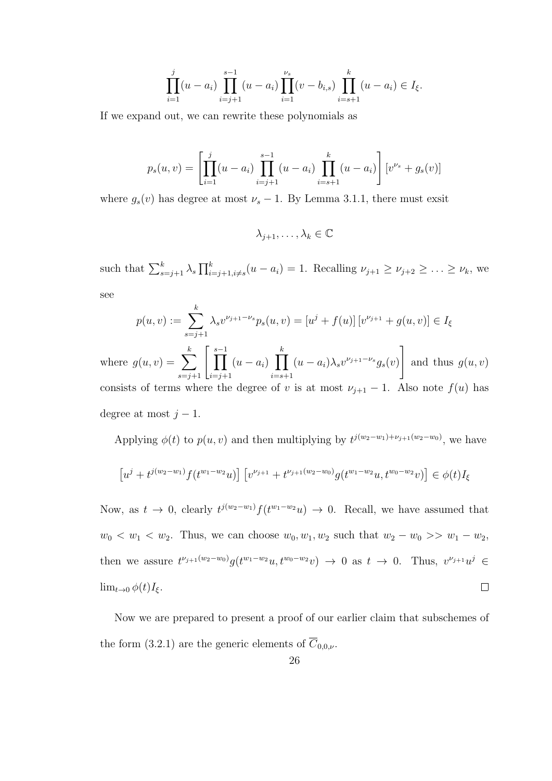$$
\prod_{i=1}^{j} (u - a_i) \prod_{i=j+1}^{s-1} (u - a_i) \prod_{i=1}^{\nu_s} (v - b_{i,s}) \prod_{i=s+1}^{k} (u - a_i) \in I_{\xi}.
$$

If we expand out, we can rewrite these polynomials as

$$
p_s(u,v) = \left[ \prod_{i=1}^j (u - a_i) \prod_{i=j+1}^{s-1} (u - a_i) \prod_{i=s+1}^k (u - a_i) \right] [v^{\nu_s} + g_s(v)]
$$

where  $g_s(v)$  has degree at most  $\nu_s - 1$ . By Lemma 3.1.1, there must exsit

 $\lambda_{i+1}, \ldots, \lambda_k \in \mathbb{C}$ 

such that  $\sum_{s=j+1}^{k} \lambda_s \prod_{i=j+1, i \neq s}^{k} (u - a_i) = 1$ . Recalling  $\nu_{j+1} \geq \nu_{j+2} \geq \ldots \geq \nu_k$ , we see

$$
p(u, v) := \sum_{s=j+1}^{k} \lambda_s v^{\nu_{j+1} - \nu_s} p_s(u, v) = [u^j + f(u)] [v^{\nu_{j+1}} + g(u, v)] \in I_{\xi}
$$

where  $g(u, v) = \sum$  $\sum_{s=j+1}^{k} \left[ \prod_{i=j+1}^{s-1} \right]$  $(u-a_i)$   $\prod$ k  $i=$ s $+1$  $(u - a_i)\lambda_s v^{\nu_{j+1} - \nu_s} g_s(v)$ 1 and thus  $g(u, v)$ consists of terms where the degree of v is at most  $\nu_{j+1} - 1$ . Also note  $f(u)$  has degree at most  $j - 1$ .

Applying  $\phi(t)$  to  $p(u, v)$  and then multiplying by  $t^{j(w_2-w_1)+\nu_{j+1}(w_2-w_0)}$ , we have

$$
\left[u^{j}+t^{j(w_{2}-w_{1})}f(t^{w_{1}-w_{2}}u)\right]\left[v^{\nu_{j+1}}+t^{\nu_{j+1}(w_{2}-w_{0})}g(t^{w_{1}-w_{2}}u,t^{w_{0}-w_{2}}v)\right]\in\phi(t)I_{\xi}
$$

Now, as  $t \to 0$ , clearly  $t^{j(w_2-w_1)} f(t^{w_1-w_2}u) \to 0$ . Recall, we have assumed that  $w_0 < w_1 < w_2$ . Thus, we can choose  $w_0, w_1, w_2$  such that  $w_2 - w_0 >> w_1 - w_2$ , then we assure  $t^{\nu_{j+1}(w_2-w_0)}g(t^{w_1-w_2}u,t^{w_0-w_2}v) \to 0$  as  $t \to 0$ . Thus,  $v^{\nu_{j+1}}u^j \in$  $\Box$  $\lim_{t\to 0} \phi(t)I_{\xi}$ .

Now we are prepared to present a proof of our earlier claim that subschemes of the form (3.2.1) are the generic elements of  $\overline{C}_{0.0,\nu}$ .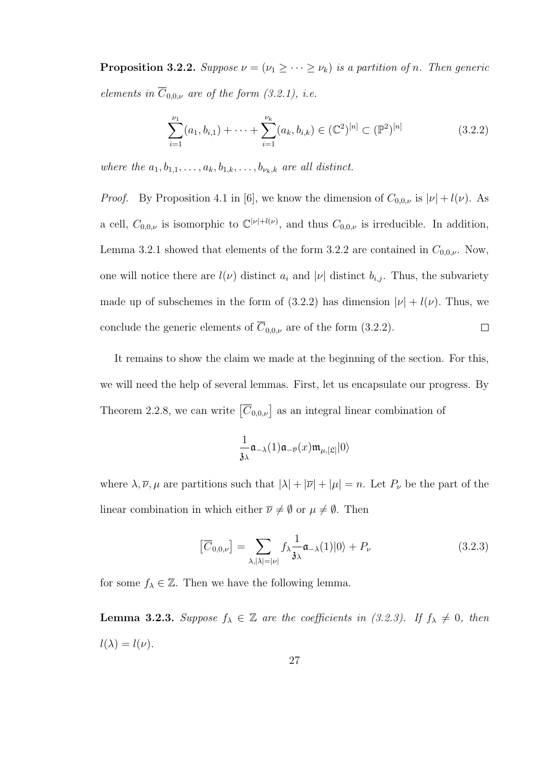**Proposition 3.2.2.** Suppose  $\nu = (\nu_1 \geq \cdots \geq \nu_k)$  is a partition of n. Then generic elements in  $\overline{C}_{0,0,\nu}$  are of the form (3.2.1), i.e.

$$
\sum_{i=1}^{\nu_1} (a_1, b_{i,1}) + \dots + \sum_{i=1}^{\nu_k} (a_k, b_{i,k}) \in (\mathbb{C}^2)^{[n]} \subset (\mathbb{P}^2)^{[n]}
$$
 (3.2.2)

where the  $a_1, b_{1,1}, \ldots, a_k, b_{1,k}, \ldots, b_{\nu_k,k}$  are all distinct.

*Proof.* By Proposition 4.1 in [6], we know the dimension of  $C_{0,0,\nu}$  is  $|\nu| + l(\nu)$ . As a cell,  $C_{0,0,\nu}$  is isomorphic to  $\mathbb{C}^{|\nu|+l(\nu)}$ , and thus  $C_{0,0,\nu}$  is irreducible. In addition, Lemma 3.2.1 showed that elements of the form 3.2.2 are contained in  $C_{0,0,\nu}$ . Now, one will notice there are  $l(\nu)$  distinct  $a_i$  and  $|\nu|$  distinct  $b_{i,j}$ . Thus, the subvariety made up of subschemes in the form of (3.2.2) has dimension  $|\nu| + l(\nu)$ . Thus, we conclude the generic elements of  $\overline{C}_{0,0,\nu}$  are of the form (3.2.2).  $\Box$ 

It remains to show the claim we made at the beginning of the section. For this, we will need the help of several lemmas. First, let us encapsulate our progress. By Theorem 2.2.8, we can write  $\left[\overline{C}_{0,0,\nu}\right]$  as an integral linear combination of

$$
\frac{1}{\mathfrak{z}_{\lambda}}\mathfrak{a}_{-\lambda}(1)\mathfrak{a}_{-\overline{\nu}}(x)\mathfrak{m}_{\mu,[\mathfrak{L}]}|0\rangle
$$

where  $\lambda, \overline{\nu}, \mu$  are partitions such that  $|\lambda| + |\overline{\nu}| + |\mu| = n$ . Let  $P_{\nu}$  be the part of the linear combination in which either  $\overline{\nu} \neq \emptyset$  or  $\mu \neq \emptyset$ . Then

$$
\left[\overline{C}_{0,0,\nu}\right] = \sum_{\lambda,|\lambda|=|\nu|} f_{\lambda} \frac{1}{\mathfrak{z}_{\lambda}} \mathfrak{a}_{-\lambda}(1)|0\rangle + P_{\nu}
$$
\n(3.2.3)

for some  $f_{\lambda} \in \mathbb{Z}$ . Then we have the following lemma.

**Lemma 3.2.3.** Suppose  $f_{\lambda} \in \mathbb{Z}$  are the coefficients in (3.2.3). If  $f_{\lambda} \neq 0$ , then  $l(\lambda) = l(\nu).$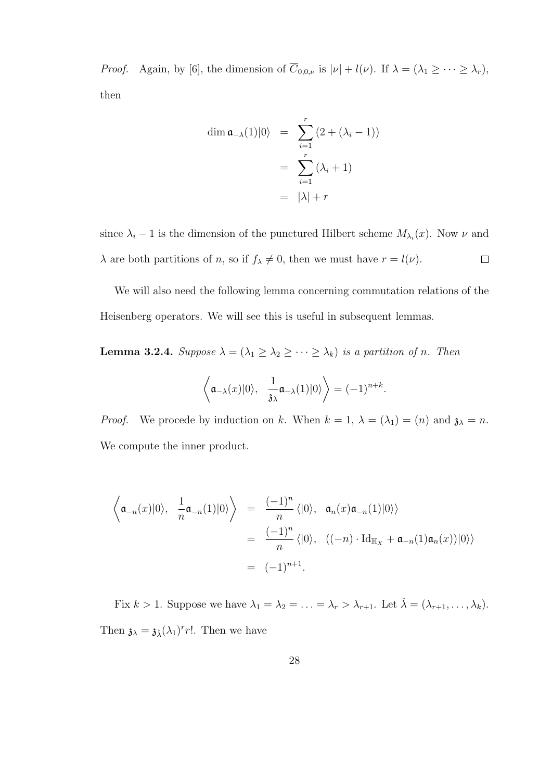*Proof.* Again, by [6], the dimension of  $\overline{C}_{0,0,\nu}$  is  $|\nu| + l(\nu)$ . If  $\lambda = (\lambda_1 \geq \cdots \geq \lambda_r)$ , then

$$
\dim \mathfrak{a}_{-\lambda}(1)|0\rangle = \sum_{i=1}^{r} (2 + (\lambda_i - 1))
$$

$$
= \sum_{i=1}^{r} (\lambda_i + 1)
$$

$$
= |\lambda| + r
$$

since  $\lambda_i - 1$  is the dimension of the punctured Hilbert scheme  $M_{\lambda_i}(x)$ . Now  $\nu$  and  $\lambda$  are both partitions of n, so if  $f_{\lambda} \neq 0$ , then we must have  $r = l(\nu)$ .  $\Box$ 

We will also need the following lemma concerning commutation relations of the Heisenberg operators. We will see this is useful in subsequent lemmas.

**Lemma 3.2.4.** Suppose  $\lambda = (\lambda_1 \geq \lambda_2 \geq \cdots \geq \lambda_k)$  is a partition of n. Then

$$
\langle \mathfrak{a}_{-\lambda}(x)|0\rangle
$$
,  $\frac{1}{3\lambda} \mathfrak{a}_{-\lambda}(1)|0\rangle$   $= (-1)^{n+k}$ .

*Proof.* We procede by induction on k. When  $k = 1$ ,  $\lambda = (\lambda_1) = (n)$  and  $\lambda = n$ . We compute the inner product.

$$
\left\langle \mathfrak{a}_{-n}(x)|0\rangle, \frac{1}{n}\mathfrak{a}_{-n}(1)|0\rangle \right\rangle = \frac{(-1)^n}{n} \langle |0\rangle, \mathfrak{a}_n(x)\mathfrak{a}_{-n}(1)|0\rangle \rangle
$$

$$
= \frac{(-1)^n}{n} \langle |0\rangle, \ \ ((-n)\cdot \mathrm{Id}_{\mathbb{H}_X} + \mathfrak{a}_{-n}(1)\mathfrak{a}_n(x))|0\rangle \rangle
$$

$$
= (-1)^{n+1}.
$$

Fix  $k > 1$ . Suppose we have  $\lambda_1 = \lambda_2 = \ldots = \lambda_r > \lambda_{r+1}$ . Let  $\tilde{\lambda} = (\lambda_{r+1}, \ldots, \lambda_k)$ . Then  $\mathfrak{z}_{\lambda} = \mathfrak{z}_{\lambda}(\lambda_1)^r r!$ . Then we have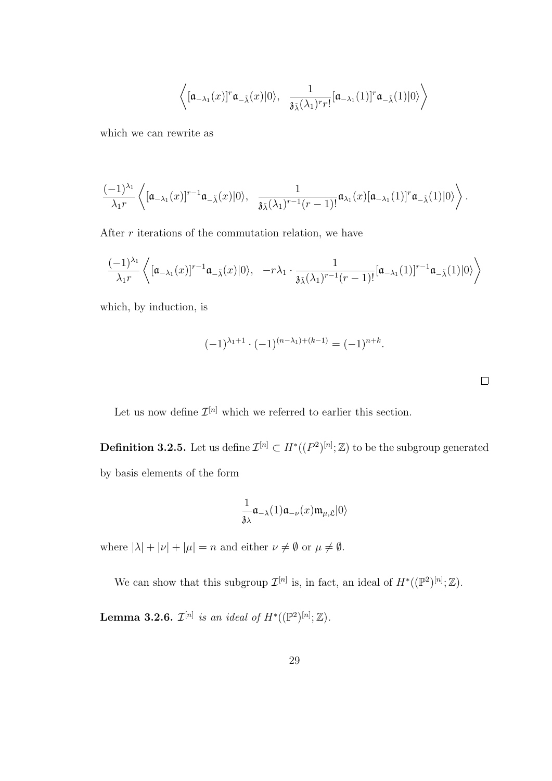$$
\left\langle [\mathfrak{a}_{-\lambda_1}(x)]^r \mathfrak{a}_{-\tilde{\lambda}}(x)|0\rangle, \ \frac{1}{\mathfrak{z}_{\tilde{\lambda}}(\lambda_1)^r r!}[\mathfrak{a}_{-\lambda_1}(1)]^r \mathfrak{a}_{-\tilde{\lambda}}(1)|0\rangle \right\rangle
$$

which we can rewrite as

$$
\frac{(-1)^{\lambda_1}}{\lambda_1 r}\left\langle [\mathfrak{a}_{-\lambda_1}(x)]^{r-1}\mathfrak{a}_{-\tilde{\lambda}}(x)|0\rangle, \ \frac{1}{\mathfrak{z}_{\tilde{\lambda}}(\lambda_1)^{r-1}(r-1)!}\mathfrak{a}_{\lambda_1}(x)[\mathfrak{a}_{-\lambda_1}(1)]^r\mathfrak{a}_{-\tilde{\lambda}}(1)|0\rangle\right\rangle.
$$

After  $r$  iterations of the commutation relation, we have

$$
\frac{(-1)^{\lambda_1}}{\lambda_1 r}\left\langle [\mathfrak{a}_{-\lambda_1}(x)]^{r-1}\mathfrak{a}_{-\tilde{\lambda}}(x)|0\rangle,\ \ -r\lambda_1\cdot \frac{1}{\mathfrak{z}_{\tilde{\lambda}}(\lambda_1)^{r-1}(r-1)!}[\mathfrak{a}_{-\lambda_1}(1)]^{r-1}\mathfrak{a}_{-\tilde{\lambda}}(1)|0\rangle\right\rangle
$$

which, by induction, is

$$
(-1)^{\lambda_1+1} \cdot (-1)^{(n-\lambda_1)+(k-1)} = (-1)^{n+k}.
$$

 $\Box$ 

Let us now define  $\mathcal{I}^{[n]}$  which we referred to earlier this section.

**Definition 3.2.5.** Let us define  $\mathcal{I}^{[n]} \subset H^*(P^2)^{[n]}; \mathbb{Z}$  to be the subgroup generated by basis elements of the form

$$
\frac{1}{\mathfrak{z}_{\lambda}}\mathfrak{a}_{-\lambda}(1)\mathfrak{a}_{-\nu}(x)\mathfrak{m}_{\mu,\mathfrak{L}}|0\rangle
$$

where  $|\lambda| + |\nu| + |\mu| = n$  and either  $\nu \neq \emptyset$  or  $\mu \neq \emptyset$ .

We can show that this subgroup  $\mathcal{I}^{[n]}$  is, in fact, an ideal of  $H^*((\mathbb{P}^2)^{[n]};\mathbb{Z})$ .

**Lemma 3.2.6.**  $\mathcal{I}^{[n]}$  is an ideal of  $H^*((\mathbb{P}^2)^{[n]}; \mathbb{Z})$ .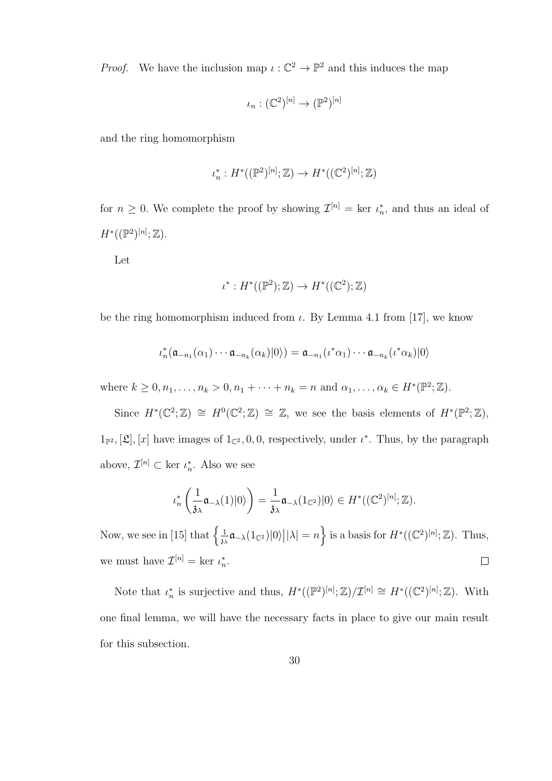*Proof.* We have the inclusion map  $\iota : \mathbb{C}^2 \to \mathbb{P}^2$  and this induces the map

$$
\iota_n : (\mathbb{C}^2)^{[n]} \to (\mathbb{P}^2)^{[n]}
$$

and the ring homomorphism

$$
\iota_n^* : H^*((\mathbb{P}^2)^{[n]}; \mathbb{Z}) \to H^*((\mathbb{C}^2)^{[n]}; \mathbb{Z})
$$

for  $n \geq 0$ . We complete the proof by showing  $\mathcal{I}^{[n]} = \text{ker } \iota_n^*$ , and thus an ideal of  $H^*((\mathbb{P}^2)^{[n]};\mathbb{Z}).$ 

Let

$$
\iota^*: H^*((\mathbb{P}^2); \mathbb{Z}) \to H^*((\mathbb{C}^2); \mathbb{Z})
$$

be the ring homomorphism induced from  $\iota$ . By Lemma 4.1 from [17], we know

$$
\iota_n^*(\mathfrak{a}_{-n_1}(\alpha_1)\cdots \mathfrak{a}_{-n_k}(\alpha_k)|0\rangle)=\mathfrak{a}_{-n_1}(\iota^*\alpha_1)\cdots \mathfrak{a}_{-n_k}(\iota^*\alpha_k)|0\rangle
$$

where  $k \geq 0, n_1, \ldots, n_k > 0, n_1 + \cdots + n_k = n$  and  $\alpha_1, \ldots, \alpha_k \in H^*(\mathbb{P}^2; \mathbb{Z})$ .

Since  $H^*(\mathbb{C}^2;\mathbb{Z}) \cong H^0(\mathbb{C}^2;\mathbb{Z}) \cong \mathbb{Z}$ , we see the basis elements of  $H^*(\mathbb{P}^2;\mathbb{Z})$ ,  $1_{\mathbb{P}^2}$ ,  $[\mathfrak{L}]$ ,  $[x]$  have images of  $1_{\mathbb{C}^2}$ , 0, 0, respectively, under  $\iota^*$ . Thus, by the paragraph above,  $\mathcal{I}^{[n]} \subset \text{ker } \iota_n^*$ . Also we see

$$
\iota_n^*\left(\frac{1}{\mathfrak{z}_{\lambda}}\mathfrak{a}_{-\lambda}(1)|0\rangle\right)=\frac{1}{\mathfrak{z}_{\lambda}}\mathfrak{a}_{-\lambda}(1_{\mathbb{C}^2})|0\rangle\in H^*((\mathbb{C}^2)^{[n]};\mathbb{Z}).
$$

Now, we see in [15] that  $\left\{\frac{1}{n}\right\}$  $\frac{1}{3\lambda}\mathfrak{a}_{-\lambda}(1_{\mathbb{C}^2})|0\rangle\big||\lambda|=n\Big\}$  is a basis for  $H^*((\mathbb{C}^2)^{[n]};\mathbb{Z})$ . Thus, we must have  $\mathcal{I}^{[n]} = \text{ker } \iota_n^*$ .  $\Box$ 

Note that  $\iota_n^*$  is surjective and thus,  $H^*((\mathbb{P}^2)^{[n]}; \mathbb{Z})/\mathcal{I}^{[n]} \cong H^*((\mathbb{C}^2)^{[n]}; \mathbb{Z})$ . With one final lemma, we will have the necessary facts in place to give our main result for this subsection.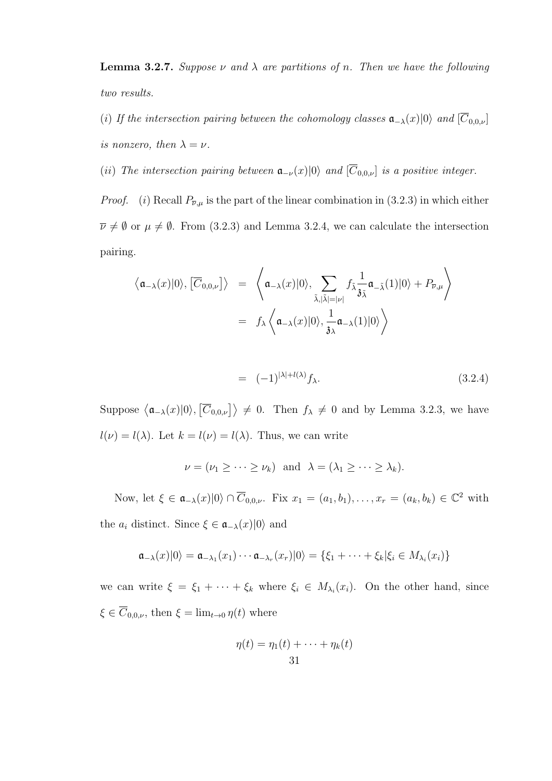**Lemma 3.2.7.** Suppose  $\nu$  and  $\lambda$  are partitions of n. Then we have the following two results.

(i) If the intersection pairing between the cohomology classes  $\mathfrak{a}_{-\lambda}(x)|0\rangle$  and  $[\overline{C}_{0,0,\nu}]$ is nonzero, then  $\lambda = \nu$ .

(ii) The intersection pairing between  $\mathfrak{a}_{-\nu}(x)|0\rangle$  and  $[\overline{C}_{0,0,\nu}]$  is a positive integer.

*Proof.* (i) Recall  $P_{\overline{\nu},\mu}$  is the part of the linear combination in (3.2.3) in which either  $\overline{\nu} \neq \emptyset$  or  $\mu \neq \emptyset$ . From (3.2.3) and Lemma 3.2.4, we can calculate the intersection pairing.

$$
\langle \mathfrak{a}_{-\lambda}(x)|0\rangle, [\overline{C}_{0,0,\nu}]\rangle = \left\langle \mathfrak{a}_{-\lambda}(x)|0\rangle, \sum_{\tilde{\lambda}, |\tilde{\lambda}|=|\nu|} f_{\tilde{\lambda}} \frac{1}{3\tilde{\lambda}} \mathfrak{a}_{-\tilde{\lambda}}(1)|0\rangle + P_{\overline{\nu},\mu} \right\rangle
$$
  
=  $f_{\lambda} \left\langle \mathfrak{a}_{-\lambda}(x)|0\rangle, \frac{1}{3\lambda} \mathfrak{a}_{-\lambda}(1)|0\rangle \right\rangle$ 

$$
= (-1)^{|\lambda| + l(\lambda)} f_{\lambda}.
$$
\n(3.2.4)

Suppose  $\langle \mathfrak{a}_{-\lambda}(x)|0\rangle, \langle \overline{C}_{0,0,\nu}\rangle \rangle \neq 0$ . Then  $f_{\lambda} \neq 0$  and by Lemma 3.2.3, we have  $l(\nu) = l(\lambda)$ . Let  $k = l(\nu) = l(\lambda)$ . Thus, we can write

$$
\nu = (\nu_1 \geq \cdots \geq \nu_k)
$$
 and  $\lambda = (\lambda_1 \geq \cdots \geq \lambda_k)$ .

Now, let  $\xi \in \mathfrak{a}_{-\lambda}(x)|0\rangle \cap \overline{C}_{0,0,\nu}$ . Fix  $x_1 = (a_1, b_1), \ldots, x_r = (a_k, b_k) \in \mathbb{C}^2$  with the  $a_i$  distinct. Since  $\xi \in \mathfrak{a}_{-\lambda}(x)|0\rangle$  and

$$
\mathfrak{a}_{-\lambda}(x)|0\rangle = \mathfrak{a}_{-\lambda_1}(x_1)\cdots \mathfrak{a}_{-\lambda_r}(x_r)|0\rangle = \{\xi_1 + \cdots + \xi_k|\xi_i \in M_{\lambda_i}(x_i)\}
$$

we can write  $\xi = \xi_1 + \cdots + \xi_k$  where  $\xi_i \in M_{\lambda_i}(x_i)$ . On the other hand, since  $\xi \in \overline{C}_{0,0,\nu}$ , then  $\xi = \lim_{t \to 0} \eta(t)$  where

$$
\eta(t) = \eta_1(t) + \dots + \eta_k(t)
$$
  
31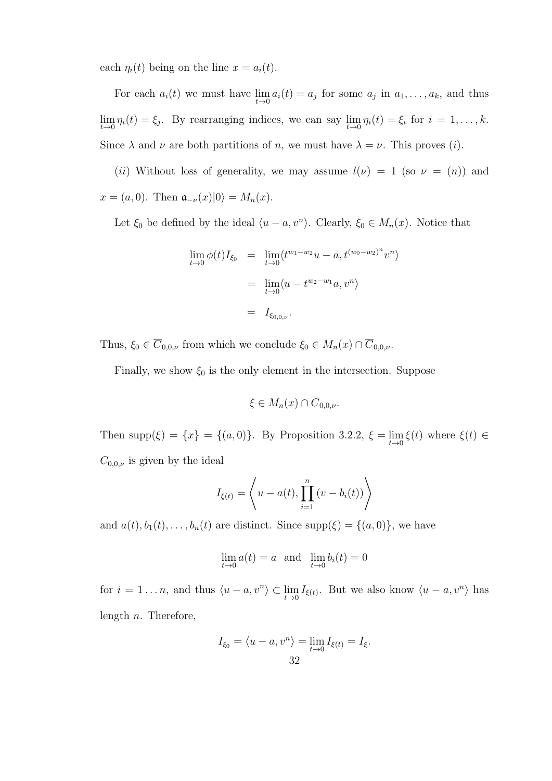each  $\eta_i(t)$  being on the line  $x = a_i(t)$ .

For each  $a_i(t)$  we must have  $\lim_{t\to 0} a_i(t) = a_j$  for some  $a_j$  in  $a_1, \ldots, a_k$ , and thus  $\lim_{t\to 0}\eta_i(t)=\xi_j$ . By rearranging indices, we can say  $\lim_{t\to 0}\eta_i(t)=\xi_i$  for  $i=1,\ldots,k$ . Since  $\lambda$  and  $\nu$  are both partitions of n, we must have  $\lambda = \nu$ . This proves (i).

(ii) Without loss of generality, we may assume  $l(\nu) = 1$  (so  $\nu = (n)$ ) and  $x = (a, 0)$ . Then  $\mathfrak{a}_{-\nu}(x)|0\rangle = M_n(x)$ .

Let  $\xi_0$  be defined by the ideal  $\langle u - a, v^n \rangle$ . Clearly,  $\xi_0 \in M_n(x)$ . Notice that

$$
\lim_{t \to 0} \phi(t) I_{\xi_0} = \lim_{t \to 0} \langle t^{w_1 - w_2} u - a, t^{(w_0 - w_2)^n} v^n \rangle
$$
  
= 
$$
\lim_{t \to 0} \langle u - t^{w_2 - w_1} a, v^n \rangle
$$
  
= 
$$
I_{\xi_{0,0,\nu}}.
$$

Thus,  $\xi_0 \in \overline{C}_{0,0,\nu}$  from which we conclude  $\xi_0 \in M_n(x) \cap \overline{C}_{0,0,\nu}$ .

Finally, we show  $\xi_0$  is the only element in the intersection. Suppose

$$
\xi \in M_n(x) \cap \overline{C}_{0,0,\nu}.
$$

Then supp $(\xi) = \{x\} = \{(a, 0)\}\$ . By Proposition 3.2.2,  $\xi = \lim_{t \to 0} \xi(t)$  where  $\xi(t) \in$  $C_{0,0,\nu}$  is given by the ideal

$$
I_{\xi(t)} = \left\langle u - a(t), \prod_{i=1}^{n} (v - b_i(t)) \right\rangle
$$

and  $a(t), b_1(t), \ldots, b_n(t)$  are distinct. Since  $supp(\xi) = \{(a, 0)\}\)$ , we have

$$
\lim_{t \to 0} a(t) = a \text{ and } \lim_{t \to 0} b_i(t) = 0
$$

for  $i = 1...n$ , and thus  $\langle u - a, v^n \rangle \subset \lim_{t \to 0} I_{\xi(t)}$ . But we also know  $\langle u - a, v^n \rangle$  has length  $n$ . Therefore,

$$
I_{\xi_0} = \langle u - a, v^n \rangle = \lim_{t \to 0} I_{\xi(t)} = I_{\xi}.
$$
  
32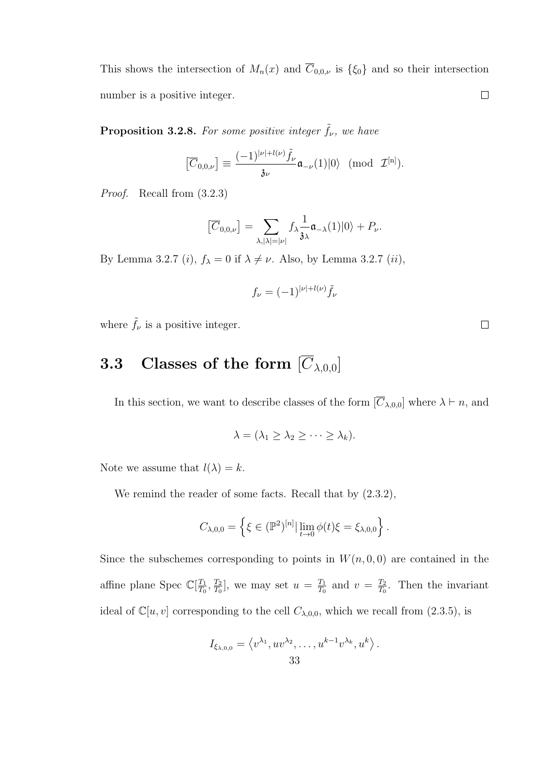This shows the intersection of  $M_n(x)$  and  $\overline{C}_{0,0,\nu}$  is  $\{\xi_0\}$  and so their intersection number is a positive integer.  $\Box$ 

**Proposition 3.2.8.** For some positive integer  $\tilde{f}_{\nu}$ , we have

$$
\left[\overline{C}_{0,0,\nu}\right]\equiv\frac{(-1)^{|\nu|+l(\nu)}\tilde{f}_{\nu}}{3\nu}\mathfrak{a}_{-\nu}(1)|0\rangle\quad (\mathrm{mod}\ \mathcal{I}^{[n]}).
$$

Proof. Recall from (3.2.3)

$$
\left[\overline{C}_{0,0,\nu}\right] = \sum_{\lambda, |\lambda|=|\nu|} f_{\lambda} \frac{1}{\mathfrak{z}_{\lambda}} \mathfrak{a}_{-\lambda}(1)|0\rangle + P_{\nu}.
$$

By Lemma 3.2.7 (*i*),  $f_{\lambda} = 0$  if  $\lambda \neq \nu$ . Also, by Lemma 3.2.7 (*ii*),

$$
f_{\nu}=(-1)^{|\nu|+l(\nu)}\tilde{f}_{\nu}
$$

where  $\tilde{f}_{\nu}$  is a positive integer.

## **3.3** Classes of the form  $[\overline{C}_{\lambda,0,0}]$

In this section, we want to describe classes of the form  $[\overline{C}_{\lambda,0,0}]$  where  $\lambda \vdash n$ , and

$$
\lambda = (\lambda_1 \geq \lambda_2 \geq \cdots \geq \lambda_k).
$$

Note we assume that  $l(\lambda) = k$ .

We remind the reader of some facts. Recall that by (2.3.2),

$$
C_{\lambda,0,0} = \left\{ \xi \in (\mathbb{P}^2)^{[n]} \, | \, \lim_{t \to 0} \phi(t) \xi = \xi_{\lambda,0,0} \right\}.
$$

Since the subschemes corresponding to points in  $W(n, 0, 0)$  are contained in the affine plane Spec  $\mathbb{C}[\frac{T_1}{T_2}]$  $\frac{T_1}{T_0}, \frac{T_2}{T_0}$  $\frac{T_2}{T_0}$ , we may set  $u = \frac{T_1}{T_0}$  $\frac{T_1}{T_0}$  and  $v = \frac{T_2}{T_0}$  $\frac{T_2}{T_0}$ . Then the invariant ideal of  $\mathbb{C}[u, v]$  corresponding to the cell  $C_{\lambda,0,0}$ , which we recall from (2.3.5), is

$$
I_{\xi_{\lambda,0,0}} = \langle v^{\lambda_1}, uv^{\lambda_2}, \dots, u^{k-1}v^{\lambda_k}, u^k \rangle.
$$
  
33

 $\Box$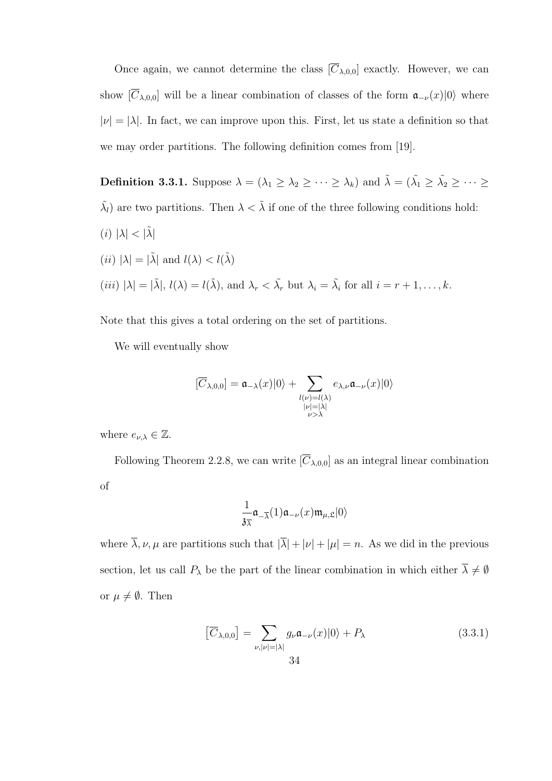Once again, we cannot determine the class  $[\overline{C}_{\lambda,0,0}]$  exactly. However, we can show  $[\overline{C}_{\lambda,0,0}]$  will be a linear combination of classes of the form  $\mathfrak{a}_{-\nu}(x)|0\rangle$  where  $|\nu| = |\lambda|$ . In fact, we can improve upon this. First, let us state a definition so that we may order partitions. The following definition comes from [19].

**Definition 3.3.1.** Suppose  $\lambda = (\lambda_1 \geq \lambda_2 \geq \cdots \geq \lambda_k)$  and  $\tilde{\lambda} = (\tilde{\lambda_1} \geq \tilde{\lambda_2} \geq \cdots \geq \lambda_k)$  $\tilde{\lambda}_l$ ) are two partitions. Then  $\lambda < \tilde{\lambda}$  if one of the three following conditions hold: (i)  $|\lambda| < |\tilde{\lambda}|$ (*ii*)  $|\lambda| = |\tilde{\lambda}|$  and  $l(\lambda) < l(\tilde{\lambda})$ 

(*iii*) 
$$
|\lambda| = |\tilde{\lambda}|
$$
,  $l(\lambda) = l(\tilde{\lambda})$ , and  $\lambda_r < \tilde{\lambda}_r$  but  $\lambda_i = \tilde{\lambda}_i$  for all  $i = r + 1, ..., k$ .

Note that this gives a total ordering on the set of partitions.

We will eventually show

$$
[\overline{C}_{\lambda,0,0}]=\mathfrak{a}_{-\lambda}(x)|0\rangle+\sum_{\substack{l(\nu)=l(\lambda)\\|\nu|=|\lambda|\\ \nu>\lambda}}e_{\lambda,\nu}\mathfrak{a}_{-\nu}(x)|0\rangle
$$

where  $e_{\nu,\lambda} \in \mathbb{Z}$ .

Following Theorem 2.2.8, we can write  $[\overline{C}_{\lambda,0,0}]$  as an integral linear combination of

$$
\frac{1}{3\overline{\lambda}}\mathfrak{a}_{-\overline{\lambda}}(1)\mathfrak{a}_{-\nu}(x)\mathfrak{m}_{\mu,\mathfrak{L}}|0\rangle
$$

where  $\overline{\lambda}, \nu, \mu$  are partitions such that  $|\overline{\lambda}| + |\nu| + |\mu| = n$ . As we did in the previous section, let us call  $P_\lambda$  be the part of the linear combination in which either  $\overline{\lambda}\neq\emptyset$ or  $\mu \neq \emptyset$ . Then

$$
\left[\overline{C}_{\lambda,0,0}\right] = \sum_{\nu, |\nu|=|\lambda|} g_{\nu} \mathfrak{a}_{-\nu}(x)|0\rangle + P_{\lambda}
$$
\n(3.3.1)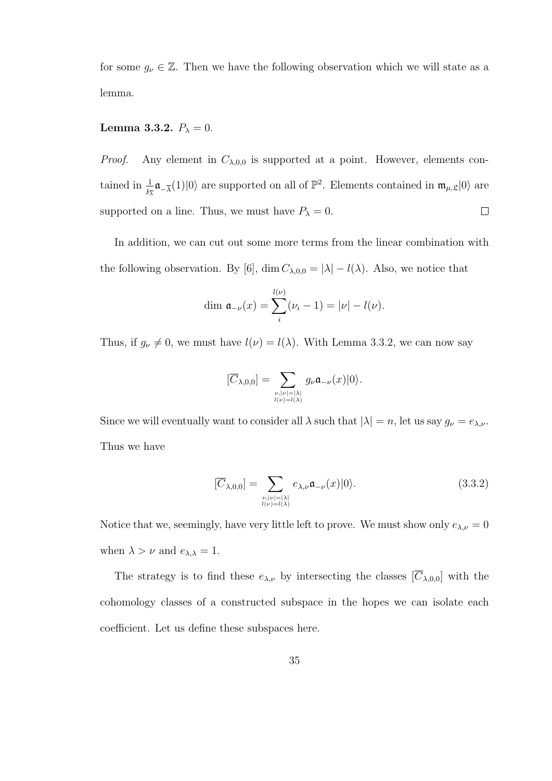for some  $g_{\nu} \in \mathbb{Z}$ . Then we have the following observation which we will state as a lemma.

## Lemma 3.3.2.  $P_{\lambda} = 0$ .

*Proof.* Any element in  $C_{\lambda,0,0}$  is supported at a point. However, elements contained in  $\frac{1}{3\lambda}\mathfrak{a}_{-\overline{\lambda}}(1)|0\rangle$  are supported on all of  $\mathbb{P}^2$ . Elements contained in  $\mathfrak{m}_{\mu,\mathfrak{L}}|0\rangle$  are supported on a line. Thus, we must have  $P_{\lambda} = 0$ .  $\Box$ 

In addition, we can cut out some more terms from the linear combination with the following observation. By [6], dim  $C_{\lambda,0,0} = |\lambda| - l(\lambda)$ . Also, we notice that

$$
\dim \mathfrak{a}_{-\nu}(x) = \sum_{i}^{l(\nu)} (\nu_i - 1) = |\nu| - l(\nu).
$$

Thus, if  $g_{\nu} \neq 0$ , we must have  $l(\nu) = l(\lambda)$ . With Lemma 3.3.2, we can now say

$$
[\overline{C}_{\lambda,0,0}]=\sum_{\stackrel{\nu,|\nu|=|\lambda|}{\iota(\nu)=\iota(\lambda)}}g_{\nu}\mathfrak{a}_{-\nu}(x)|0\rangle.
$$

Since we will eventually want to consider all  $\lambda$  such that  $|\lambda| = n$ , let us say  $g_{\nu} = e_{\lambda,\nu}$ . Thus we have

$$
[\overline{C}_{\lambda,0,0}] = \sum_{\substack{\nu, |\nu| = |\lambda| \\ l(\nu) = l(\lambda)}} e_{\lambda,\nu} \mathfrak{a}_{-\nu}(x)|0\rangle.
$$
 (3.3.2)

Notice that we, seemingly, have very little left to prove. We must show only  $e_{\lambda,\nu} = 0$ when  $\lambda > \nu$  and  $e_{\lambda,\lambda} = 1$ .

The strategy is to find these  $e_{\lambda,\nu}$  by intersecting the classes  $[\overline{C}_{\lambda,0,0}]$  with the cohomology classes of a constructed subspace in the hopes we can isolate each coefficient. Let us define these subspaces here.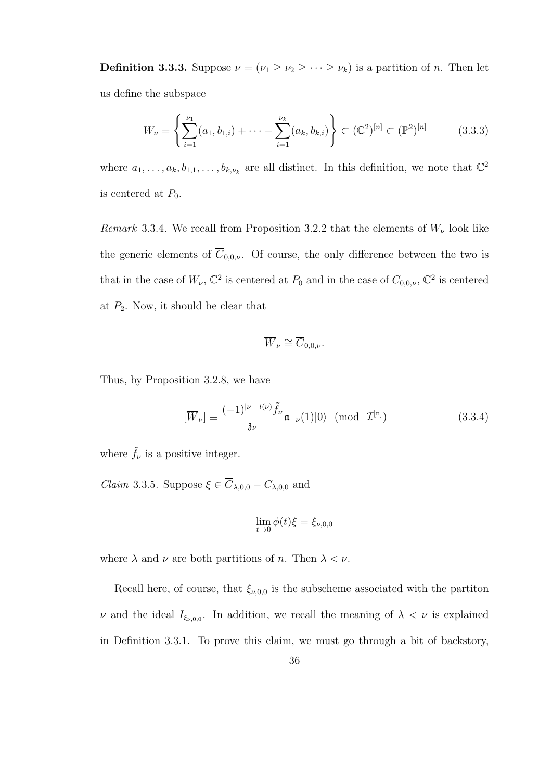**Definition 3.3.3.** Suppose  $\nu = (\nu_1 \geq \nu_2 \geq \cdots \geq \nu_k)$  is a partition of *n*. Then let us define the subspace

$$
W_{\nu} = \left\{ \sum_{i=1}^{\nu_1} (a_1, b_{1,i}) + \dots + \sum_{i=1}^{\nu_k} (a_k, b_{k,i}) \right\} \subset (\mathbb{C}^2)^{[n]} \subset (\mathbb{P}^2)^{[n]}
$$
(3.3.3)

where  $a_1, \ldots, a_k, b_{1,1}, \ldots, b_{k,\nu_k}$  are all distinct. In this definition, we note that  $\mathbb{C}^2$ is centered at  $P_0$ .

Remark 3.3.4. We recall from Proposition 3.2.2 that the elements of  $W_{\nu}$  look like the generic elements of  $\overline{C}_{0,0,\nu}$ . Of course, the only difference between the two is that in the case of  $W_{\nu}$ ,  $\mathbb{C}^2$  is centered at  $P_0$  and in the case of  $C_{0,0,\nu}$ ,  $\mathbb{C}^2$  is centered at  $P_2$ . Now, it should be clear that

$$
\overline{W}_{\nu}\cong \overline{C}_{0,0,\nu}.
$$

Thus, by Proposition 3.2.8, we have

$$
[\overline{W}_{\nu}] \equiv \frac{(-1)^{|\nu| + l(\nu)} \tilde{f}_{\nu}}{\mathfrak{z}_{\nu}} \mathfrak{a}_{-\nu}(1)|0\rangle \pmod{\mathcal{I}^{[n]}}
$$
(3.3.4)

where  $\tilde{f}_{\nu}$  is a positive integer.

*Claim* 3.3.5. Suppose  $\xi \in \overline{C}_{\lambda,0,0} - C_{\lambda,0,0}$  and

$$
\lim_{t \to 0} \phi(t)\xi = \xi_{\nu,0,0}
$$

where  $\lambda$  and  $\nu$  are both partitions of n. Then  $\lambda < \nu$ .

Recall here, of course, that  $\xi_{\nu,0,0}$  is the subscheme associated with the partiton  $\nu$  and the ideal  $I_{\xi_{\nu,0,0}}$ . In addition, we recall the meaning of  $\lambda < \nu$  is explained in Definition 3.3.1. To prove this claim, we must go through a bit of backstory,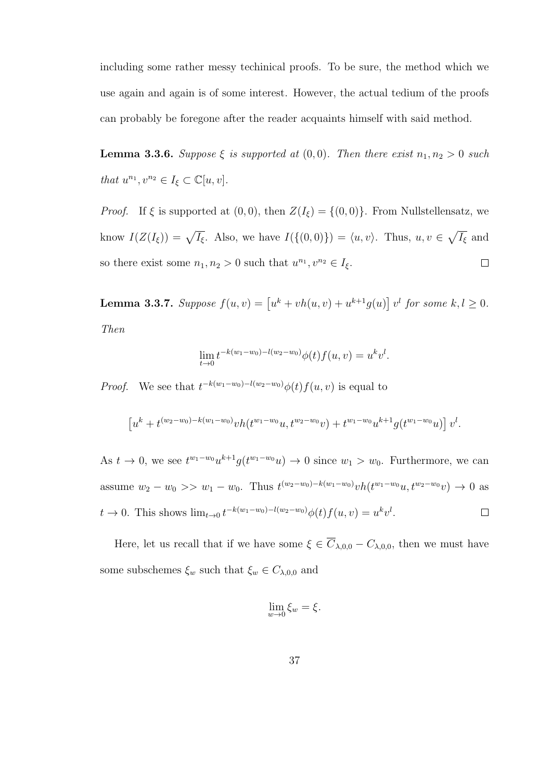including some rather messy techinical proofs. To be sure, the method which we use again and again is of some interest. However, the actual tedium of the proofs can probably be foregone after the reader acquaints himself with said method.

**Lemma 3.3.6.** Suppose  $\xi$  is supported at  $(0, 0)$ . Then there exist  $n_1, n_2 > 0$  such that  $u^{n_1}, v^{n_2} \in I_{\xi} \subset \mathbb{C}[u, v].$ 

*Proof.* If  $\xi$  is supported at  $(0, 0)$ , then  $Z(I_{\xi}) = \{(0, 0)\}\$ . From Nullstellensatz, we know  $I(Z(I_{\xi})) = \sqrt{I_{\xi}}$ . Also, we have  $I(\{(0,0)\}) = \langle u, v \rangle$ . Thus,  $u, v \in \sqrt{I_{\xi}}$  and so there exist some  $n_1, n_2 > 0$  such that  $u^{n_1}, v^{n_2} \in I_{\xi}$ .  $\Box$ 

**Lemma 3.3.7.** Suppose  $f(u, v) = [u^k + vh(u, v) + u^{k+1}g(u)]v^l$  for some  $k, l \geq 0$ . Then

$$
\lim_{t \to 0} t^{-k(w_1 - w_0) - l(w_2 - w_0)} \phi(t) f(u, v) = u^k v^l.
$$

*Proof.* We see that  $t^{-k(w_1-w_0)-l(w_2-w_0)}\phi(t)f(u, v)$  is equal to

$$
\left[u^{k}+t^{(w_{2}-w_{0})-k(w_{1}-w_{0})}vh(t^{w_{1}-w_{0}}u,t^{w_{2}-w_{0}}v)+t^{w_{1}-w_{0}}u^{k+1}g(t^{w_{1}-w_{0}}u)\right]v^{l}.
$$

As  $t \to 0$ , we see  $t^{w_1 - w_0} u^{k+1} g(t^{w_1 - w_0} u) \to 0$  since  $w_1 > w_0$ . Furthermore, we can assume  $w_2 - w_0 >> w_1 - w_0$ . Thus  $t^{(w_2-w_0)-k(w_1-w_0)}v h(t^{w_1-w_0}u, t^{w_2-w_0}v) \to 0$  as  $t \to 0$ . This shows  $\lim_{t \to 0} t^{-k(w_1 - w_0) - l(w_2 - w_0)} \phi(t) f(u, v) = u^k v^l$ .  $\Box$ 

Here, let us recall that if we have some  $\xi \in \overline{C}_{\lambda,0,0} - C_{\lambda,0,0}$ , then we must have some subschemes  $\xi_w$  such that  $\xi_w \in C_{\lambda,0,0}$  and

$$
\lim_{w \to 0} \xi_w = \xi.
$$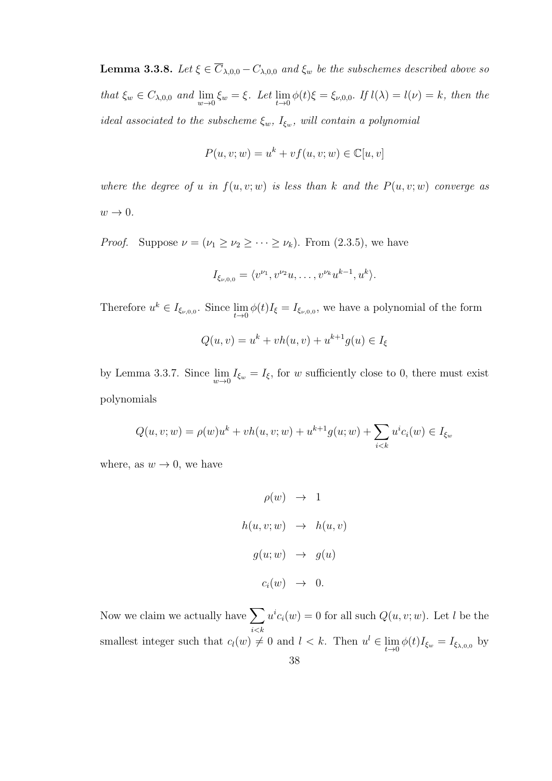**Lemma 3.3.8.** Let  $\xi \in \overline{C}_{\lambda,0,0} - C_{\lambda,0,0}$  and  $\xi_w$  be the subschemes described above so that  $\xi_w \in C_{\lambda,0,0}$  and  $\lim_{w \to 0} \xi_w = \xi$ . Let  $\lim_{t \to 0} \phi(t)\xi = \xi_{\nu,0,0}$ . If  $l(\lambda) = l(\nu) = k$ , then the ideal associated to the subscheme  $\xi_w$ ,  $I_{\xi_w}$ , will contain a polynomial

$$
P(u, v; w) = u^k + v f(u, v; w) \in \mathbb{C}[u, v]
$$

where the degree of u in  $f(u, v; w)$  is less than k and the  $P(u, v; w)$  converge as  $w\rightarrow 0.$ 

*Proof.* Suppose  $\nu = (\nu_1 \ge \nu_2 \ge \cdots \ge \nu_k)$ . From (2.3.5), we have

$$
I_{\xi_{\nu,0,0}} = \langle v^{\nu_1}, v^{\nu_2}u, \dots, v^{\nu_k}u^{k-1}, u^k \rangle.
$$

Therefore  $u^k \in I_{\xi_{\nu,0,0}}$ . Since  $\lim_{t\to 0} \phi(t)I_{\xi} = I_{\xi_{\nu,0,0}}$ , we have a polynomial of the form

$$
Q(u, v) = u^{k} + vh(u, v) + u^{k+1}g(u) \in I_{\xi}
$$

by Lemma 3.3.7. Since  $\lim_{w\to 0} I_{\xi_w} = I_{\xi}$ , for w sufficiently close to 0, there must exist polynomials

$$
Q(u, v; w) = \rho(w)u^k + vh(u, v; w) + u^{k+1}g(u; w) + \sum_{i < k} u^i c_i(w) \in I_{\xi_w}
$$

where, as  $w \to 0$ , we have

$$
\rho(w) \rightarrow 1
$$
  
\n
$$
h(u, v; w) \rightarrow h(u, v)
$$
  
\n
$$
g(u; w) \rightarrow g(u)
$$
  
\n
$$
c_i(w) \rightarrow 0.
$$

Now we claim we actually have  $\sum$  $i < k$  $u^i c_i(w) = 0$  for all such  $Q(u, v; w)$ . Let l be the smallest integer such that  $c_l(w) \neq 0$  and  $l < k$ . Then  $u^l \in \lim_{t \to 0} \phi(t)I_{\xi_w} = I_{\xi_{\lambda,0,0}}$  by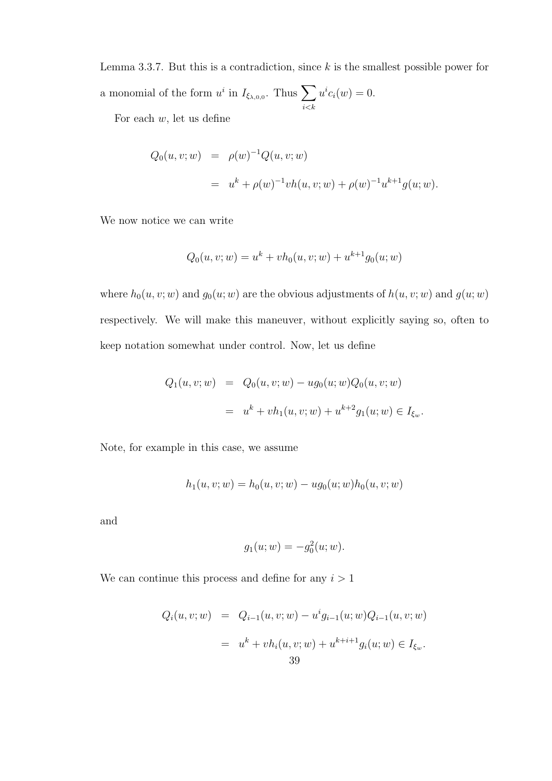Lemma 3.3.7. But this is a contradiction, since  $k$  is the smallest possible power for a monomial of the form  $u^i$  in  $I_{\xi_{\lambda,0,0}}$ . Thus  $\sum$  $i < k$  $u^i c_i(w) = 0.$ 

For each  $w$ , let us define

$$
Q_0(u, v; w) = \rho(w)^{-1} Q(u, v; w)
$$
  
=  $u^k + \rho(w)^{-1} v h(u, v; w) + \rho(w)^{-1} u^{k+1} g(u; w).$ 

We now notice we can write

$$
Q_0(u, v; w) = u^k + vh_0(u, v; w) + u^{k+1}g_0(u; w)
$$

where  $h_0(u, v; w)$  and  $g_0(u; w)$  are the obvious adjustments of  $h(u, v; w)$  and  $g(u; w)$ respectively. We will make this maneuver, without explicitly saying so, often to keep notation somewhat under control. Now, let us define

$$
Q_1(u, v; w) = Q_0(u, v; w) - ug_0(u; w)Q_0(u, v; w)
$$
  
=  $u^k + vh_1(u, v; w) + u^{k+2}g_1(u; w) \in I_{\xi_w}.$ 

Note, for example in this case, we assume

$$
h_1(u, v; w) = h_0(u, v; w) - ug_0(u; w)h_0(u, v; w)
$$

and

$$
g_1(u; w) = -g_0^2(u; w).
$$

We can continue this process and define for any  $i > 1$ 

$$
Q_i(u, v; w) = Q_{i-1}(u, v; w) - u^i g_{i-1}(u; w) Q_{i-1}(u, v; w)
$$
  
=  $u^k + v h_i(u, v; w) + u^{k+i+1} g_i(u; w) \in I_{\xi_w}.$   
39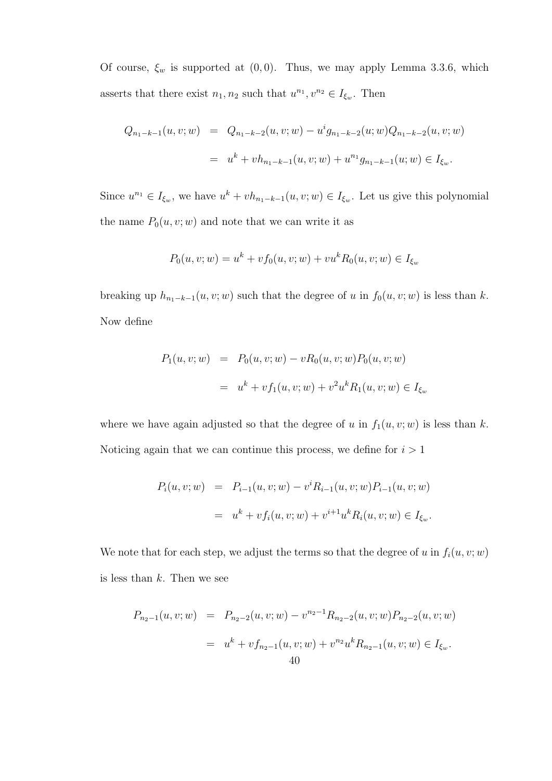Of course,  $\xi_w$  is supported at  $(0, 0)$ . Thus, we may apply Lemma 3.3.6, which asserts that there exist  $n_1, n_2$  such that  $u^{n_1}, v^{n_2} \in I_{\xi_w}$ . Then

$$
Q_{n_1-k-1}(u, v; w) = Q_{n_1-k-2}(u, v; w) - u^i g_{n_1-k-2}(u; w) Q_{n_1-k-2}(u, v; w)
$$
  

$$
= u^k + v h_{n_1-k-1}(u, v; w) + u^{n_1} g_{n_1-k-1}(u; w) \in I_{\xi_w}.
$$

Since  $u^{n_1} \in I_{\xi_w}$ , we have  $u^k + v h_{n_1-k-1}(u, v; w) \in I_{\xi_w}$ . Let us give this polynomial the name  $P_0(u, v; w)$  and note that we can write it as

$$
P_0(u, v; w) = u^k + v f_0(u, v; w) + v u^k R_0(u, v; w) \in I_{\xi_w}
$$

breaking up  $h_{n_1-k-1}(u, v; w)$  such that the degree of u in  $f_0(u, v; w)$  is less than k. Now define

$$
P_1(u, v; w) = P_0(u, v; w) - vR_0(u, v; w)P_0(u, v; w)
$$
  
=  $u^k + v f_1(u, v; w) + v^2 u^k R_1(u, v; w) \in I_{\xi_w}$ 

where we have again adjusted so that the degree of u in  $f_1(u, v; w)$  is less than k. Noticing again that we can continue this process, we define for  $i > 1$ 

$$
P_i(u, v; w) = P_{i-1}(u, v; w) - v^i R_{i-1}(u, v; w) P_{i-1}(u, v; w)
$$
  
=  $u^k + v f_i(u, v; w) + v^{i+1} u^k R_i(u, v; w) \in I_{\xi_w}.$ 

We note that for each step, we adjust the terms so that the degree of u in  $f_i(u, v; w)$ is less than  $k$ . Then we see

$$
P_{n_2-1}(u, v; w) = P_{n_2-2}(u, v; w) - v^{n_2-1} R_{n_2-2}(u, v; w) P_{n_2-2}(u, v; w)
$$
  
=  $u^k + v f_{n_2-1}(u, v; w) + v^{n_2} u^k R_{n_2-1}(u, v; w) \in I_{\xi_w}.$   
40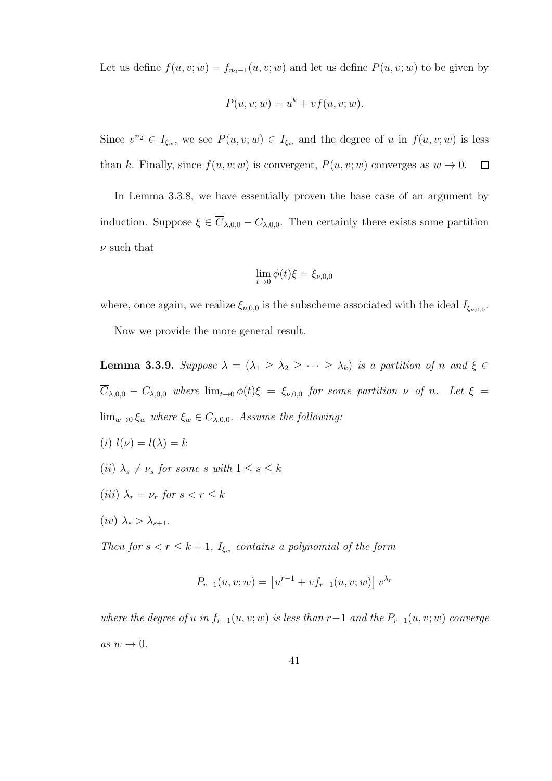Let us define  $f(u, v; w) = f_{n_2-1}(u, v; w)$  and let us define  $P(u, v; w)$  to be given by

$$
P(u, v; w) = u^k + v f(u, v; w).
$$

Since  $v^{n_2} \in I_{\xi_w}$ , we see  $P(u, v; w) \in I_{\xi_w}$  and the degree of u in  $f(u, v; w)$  is less than k. Finally, since  $f(u, v; w)$  is convergent,  $P(u, v; w)$  converges as  $w \to 0$ .  $\Box$ 

In Lemma 3.3.8, we have essentially proven the base case of an argument by induction. Suppose  $\xi \in \overline{C}_{\lambda,0,0} - C_{\lambda,0,0}$ . Then certainly there exists some partition  $\nu$  such that

$$
\lim_{t \to 0} \phi(t)\xi = \xi_{\nu,0,0}
$$

where, once again, we realize  $\xi_{\nu,0,0}$  is the subscheme associated with the ideal  $I_{\xi_{\nu,0,0}}$ .

Now we provide the more general result.

**Lemma 3.3.9.** Suppose  $\lambda = (\lambda_1 \geq \lambda_2 \geq \cdots \geq \lambda_k)$  is a partition of n and  $\xi \in \mathcal{E}$  $\overline{C}_{\lambda,0,0}$  –  $C_{\lambda,0,0}$  where  $\lim_{t\to 0}\phi(t)\xi = \xi_{\nu,0,0}$  for some partition  $\nu$  of n. Let  $\xi =$  $\lim_{w\to 0} \xi_w$  where  $\xi_w \in C_{\lambda,0,0}$ . Assume the following:

- (i)  $l(\nu) = l(\lambda) = k$ (ii)  $\lambda_s \neq \nu_s$  for some s with  $1 \leq s \leq k$
- (iii)  $\lambda_r = \nu_r$  for  $s < r \leq k$
- $(iv)$   $\lambda_s > \lambda_{s+1}$ .

Then for  $s < r \leq k+1$ ,  $I_{\xi_w}$  contains a polynomial of the form

$$
P_{r-1}(u, v; w) = \left[ u^{r-1} + v f_{r-1}(u, v; w) \right] v^{\lambda_r}
$$

where the degree of u in  $f_{r-1}(u, v; w)$  is less than r -1 and the  $P_{r-1}(u, v; w)$  converge as  $w \to 0$ .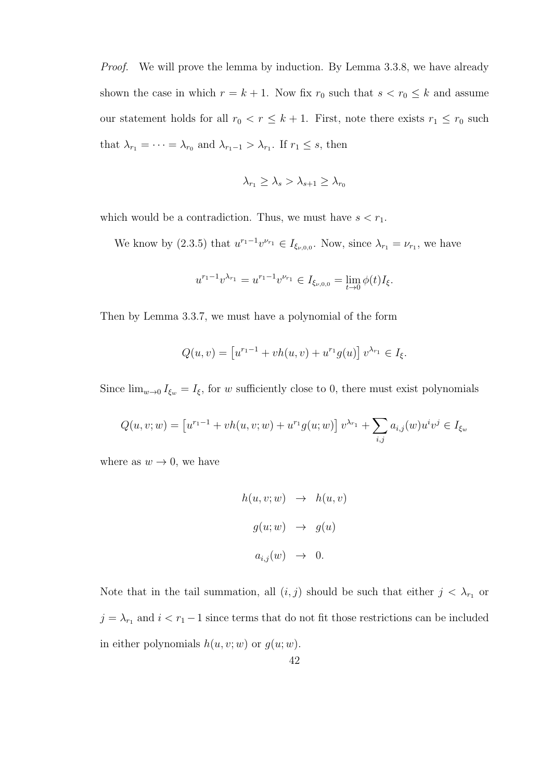Proof. We will prove the lemma by induction. By Lemma 3.3.8, we have already shown the case in which  $r = k + 1$ . Now fix  $r_0$  such that  $s < r_0 \leq k$  and assume our statement holds for all  $r_0 < r \leq k+1$ . First, note there exists  $r_1 \leq r_0$  such that  $\lambda_{r_1} = \cdots = \lambda_{r_0}$  and  $\lambda_{r_1-1} > \lambda_{r_1}$ . If  $r_1 \leq s$ , then

$$
\lambda_{r_1} \ge \lambda_s > \lambda_{s+1} \ge \lambda_{r_0}
$$

which would be a contradiction. Thus, we must have  $s < r_1$ .

We know by (2.3.5) that  $u^{r_1-1}v^{\nu_{r_1}} \in I_{\xi_{\nu,0,0}}$ . Now, since  $\lambda_{r_1} = \nu_{r_1}$ , we have

$$
u^{r_1-1}v^{\lambda_{r_1}} = u^{r_1-1}v^{\nu_{r_1}} \in I_{\xi_{\nu,0,0}} = \lim_{t \to 0} \phi(t)I_{\xi}.
$$

Then by Lemma 3.3.7, we must have a polynomial of the form

$$
Q(u, v) = [u^{r_1 - 1} + vh(u, v) + u^{r_1}g(u)] v^{\lambda_{r_1}} \in I_{\xi}.
$$

Since  $\lim_{w\to 0} I_{\xi_w} = I_{\xi}$ , for w sufficiently close to 0, there must exist polynomials

$$
Q(u, v; w) = [u^{r_1 - 1} + vh(u, v; w) + u^{r_1}g(u; w)] v^{\lambda_{r_1}} + \sum_{i,j} a_{i,j}(w)u^iv^j \in I_{\xi_w}
$$

where as  $w \to 0$ , we have

$$
h(u, v; w) \rightarrow h(u, v)
$$
  

$$
g(u; w) \rightarrow g(u)
$$
  

$$
a_{i,j}(w) \rightarrow 0.
$$

Note that in the tail summation, all  $(i, j)$  should be such that either  $j < \lambda_{r_1}$  or  $j = \lambda_{r_1}$  and  $i < r_1 - 1$  since terms that do not fit those restrictions can be included in either polynomials  $h(u, v; w)$  or  $g(u; w)$ .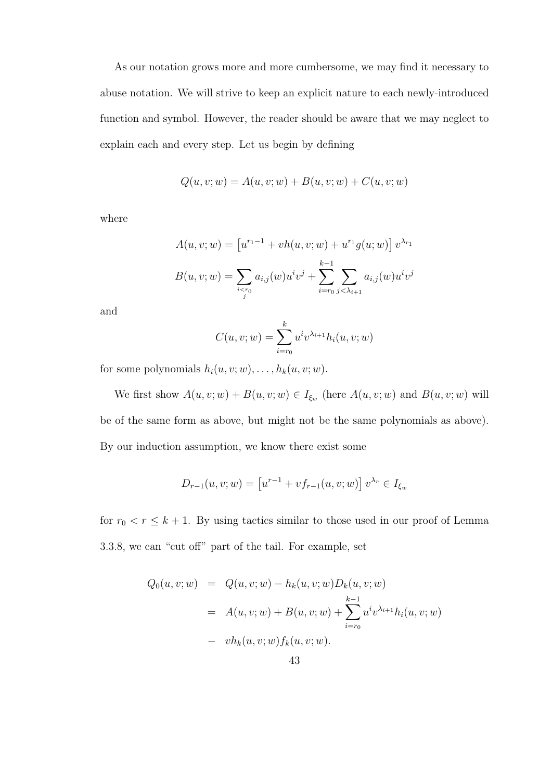As our notation grows more and more cumbersome, we may find it necessary to abuse notation. We will strive to keep an explicit nature to each newly-introduced function and symbol. However, the reader should be aware that we may neglect to explain each and every step. Let us begin by defining

$$
Q(u, v; w) = A(u, v; w) + B(u, v; w) + C(u, v; w)
$$

where

$$
A(u, v; w) = [u^{r_1 - 1} + vh(u, v; w) + u^{r_1}g(u; w)] v^{\lambda_{r_1}}
$$
  

$$
B(u, v; w) = \sum_{i < r_0} a_{i,j}(w)u^iv^j + \sum_{i = r_0}^{k-1} \sum_{j < \lambda_{i+1}} a_{i,j}(w)u^iv^j
$$

and

$$
C(u, v; w) = \sum_{i=r_0}^{k} u^{i} v^{\lambda_{i+1}} h_i(u, v; w)
$$

for some polynomials  $h_i(u, v; w), \ldots, h_k(u, v; w)$ .

We first show  $A(u, v; w) + B(u, v; w) \in I_{\xi_w}$  (here  $A(u, v; w)$  and  $B(u, v; w)$  will be of the same form as above, but might not be the same polynomials as above). By our induction assumption, we know there exist some

$$
D_{r-1}(u, v; w) = \left[ u^{r-1} + v f_{r-1}(u, v; w) \right] v^{\lambda_r} \in I_{\xi_w}
$$

for  $r_0 < r \leq k+1$ . By using tactics similar to those used in our proof of Lemma 3.3.8, we can "cut off" part of the tail. For example, set

$$
Q_0(u, v; w) = Q(u, v; w) - h_k(u, v; w)D_k(u, v; w)
$$
  
=  $A(u, v; w) + B(u, v; w) + \sum_{i=r_0}^{k-1} u^i v^{\lambda_{i+1}} h_i(u, v; w)$   
-  $v h_k(u, v; w) f_k(u, v; w).$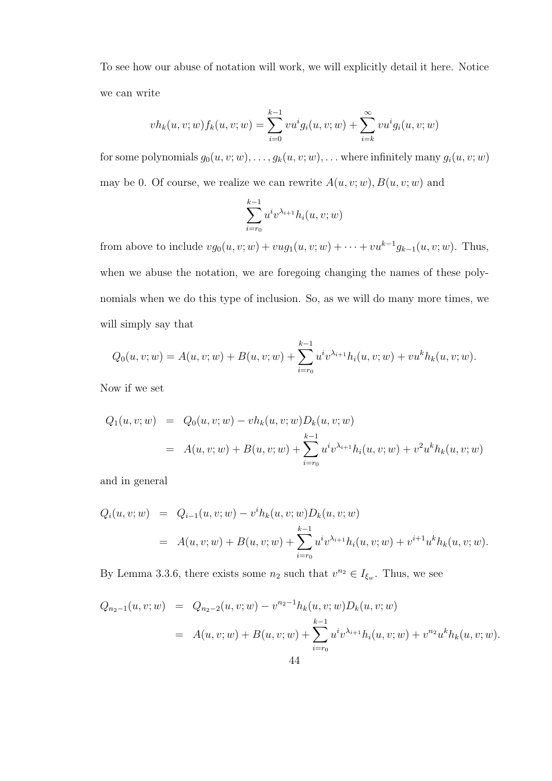To see how our abuse of notation will work, we will explicitly detail it here. Notice we can write

$$
vh_k(u, v; w) f_k(u, v; w) = \sum_{i=0}^{k-1} vu^i g_i(u, v; w) + \sum_{i=k}^{\infty} vu^i g_i(u, v; w)
$$

for some polynomials  $g_0(u, v; w), \ldots, g_k(u, v; w), \ldots$  where infinitely many  $g_i(u, v; w)$ may be 0. Of course, we realize we can rewrite  $A(u, v; w)$ ,  $B(u, v; w)$  and

$$
\sum_{i=r_0}^{k-1} u^i v^{\lambda_{i+1}} h_i(u, v; w)
$$

from above to include  $vg_0(u, v; w) + vug_1(u, v; w) + \cdots + vu^{k-1}g_{k-1}(u, v; w)$ . Thus, when we abuse the notation, we are foregoing changing the names of these polynomials when we do this type of inclusion. So, as we will do many more times, we will simply say that

$$
Q_0(u, v; w) = A(u, v; w) + B(u, v; w) + \sum_{i=r_0}^{k-1} u^i v^{\lambda_{i+1}} h_i(u, v; w) + v u^k h_k(u, v; w).
$$

Now if we set

$$
Q_1(u, v; w) = Q_0(u, v; w) - v h_k(u, v; w) D_k(u, v; w)
$$
  
=  $A(u, v; w) + B(u, v; w) + \sum_{i=r_0}^{k-1} u^i v^{\lambda_{i+1}} h_i(u, v; w) + v^2 u^k h_k(u, v; w)$ 

and in general

$$
Q_i(u, v; w) = Q_{i-1}(u, v; w) - v^i h_k(u, v; w) D_k(u, v; w)
$$
  
=  $A(u, v; w) + B(u, v; w) + \sum_{i=r_0}^{k-1} u^i v^{\lambda_{i+1}} h_i(u, v; w) + v^{i+1} u^k h_k(u, v; w).$ 

By Lemma 3.3.6, there exists some  $n_2$  such that  $v^{n_2} \in I_{\xi_w}$ . Thus, we see

$$
Q_{n_2-1}(u, v; w) = Q_{n_2-2}(u, v; w) - v^{n_2-1} h_k(u, v; w) D_k(u, v; w)
$$
  
=  $A(u, v; w) + B(u, v; w) + \sum_{i=r_0}^{k-1} u^i v^{\lambda_{i+1}} h_i(u, v; w) + v^{n_2} u^k h_k(u, v; w).$   
44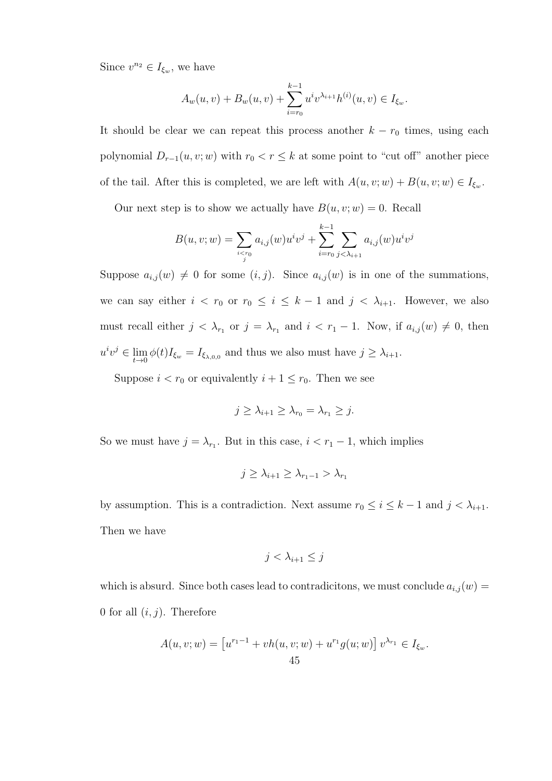Since  $v^{n_2} \in I_{\xi_w}$ , we have

$$
A_w(u, v) + B_w(u, v) + \sum_{i=r_0}^{k-1} u^i v^{\lambda_{i+1}} h^{(i)}(u, v) \in I_{\xi_w}.
$$

It should be clear we can repeat this process another  $k - r_0$  times, using each polynomial  $D_{r-1}(u, v; w)$  with  $r_0 < r \leq k$  at some point to "cut off" another piece of the tail. After this is completed, we are left with  $A(u, v; w) + B(u, v; w) \in I_{\xi_w}$ .

Our next step is to show we actually have  $B(u, v; w) = 0$ . Recall

$$
B(u, v; w) = \sum_{i < r_0} a_{i,j}(w) u^i v^j + \sum_{i = r_0}^{k-1} \sum_{j < \lambda_{i+1}} a_{i,j}(w) u^i v^j
$$

Suppose  $a_{i,j}(w) \neq 0$  for some  $(i, j)$ . Since  $a_{i,j}(w)$  is in one of the summations, we can say either  $i < r_0$  or  $r_0 \le i \le k-1$  and  $j < \lambda_{i+1}$ . However, we also must recall either  $j < \lambda_{r_1}$  or  $j = \lambda_{r_1}$  and  $i < r_1 - 1$ . Now, if  $a_{i,j}(w) \neq 0$ , then  $u^i v^j \in \lim_{t \to 0} \phi(t) I_{\xi_w} = I_{\xi_{\lambda,0,0}}$  and thus we also must have  $j \geq \lambda_{i+1}$ .

Suppose  $i < r_0$  or equivalently  $i + 1 \le r_0$ . Then we see

$$
j \geq \lambda_{i+1} \geq \lambda_{r_0} = \lambda_{r_1} \geq j.
$$

So we must have  $j = \lambda_{r_1}$ . But in this case,  $i < r_1 - 1$ , which implies

$$
j \geq \lambda_{i+1} \geq \lambda_{r_1-1} > \lambda_{r_1}
$$

by assumption. This is a contradiction. Next assume  $r_0 \leq i \leq k-1$  and  $j < \lambda_{i+1}$ . Then we have

$$
j < \lambda_{i+1} \leq j
$$

which is absurd. Since both cases lead to contradicitons, we must conclude  $a_{i,j}(w) =$ 0 for all  $(i, j)$ . Therefore

$$
A(u, v; w) = [u^{r_1 - 1} + vh(u, v; w) + u^{r_1}g(u; w)] v^{\lambda_{r_1}} \in I_{\xi_w}.
$$
  
45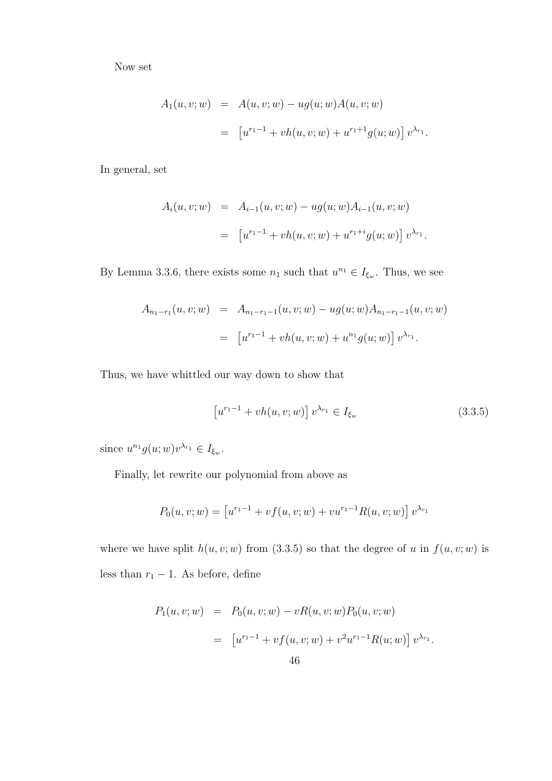Now set

$$
A_1(u, v; w) = A(u, v; w) - ug(u; w)A(u, v; w)
$$
  
= 
$$
[u^{r_1-1} + vh(u, v; w) + u^{r_1+1}g(u; w)] v^{\lambda_{r_1}}.
$$

In general, set

$$
A_i(u, v; w) = A_{i-1}(u, v; w) - ug(u; w) A_{i-1}(u, v; w)
$$
  
= 
$$
[u^{r_1-1} + vh(u, v; w) + u^{r_1+i}g(u; w)] v^{\lambda_{r_1}}.
$$

By Lemma 3.3.6, there exists some  $n_1$  such that  $u^{n_1} \in I_{\xi_w}$ . Thus, we see

$$
A_{n_1-r_1}(u, v; w) = A_{n_1-r_1-1}(u, v; w) - ug(u; w) A_{n_1-r_1-1}(u, v; w)
$$
  
= 
$$
[u^{r_1-1} + vh(u, v; w) + u^{n_1}g(u; w)] v^{\lambda_{r_1}}.
$$

Thus, we have whittled our way down to show that

$$
[u^{r_1-1} + vh(u, v; w)] v^{\lambda_{r_1}} \in I_{\xi_w}
$$
\n(3.3.5)

since  $u^{n_1}g(u;w)v^{\lambda_{r_1}} \in I_{\xi_w}$ .

Finally, let rewrite our polynomial from above as

$$
P_0(u, v; w) = [u^{r_1 - 1} + v f(u, v; w) + v u^{r_1 - 1} R(u, v; w)] v^{\lambda_{r_1}}
$$

where we have split  $h(u, v; w)$  from (3.3.5) so that the degree of u in  $f(u, v; w)$  is less than  $r_1 - 1$ . As before, define

$$
P_1(u, v; w) = P_0(u, v; w) - vR(u, v; w)P_0(u, v; w)
$$
  
= 
$$
[u^{r_1-1} + v f(u, v; w) + v^2 u^{r_1-1} R(u; w)] v^{\lambda_{r_1}}.
$$
  
46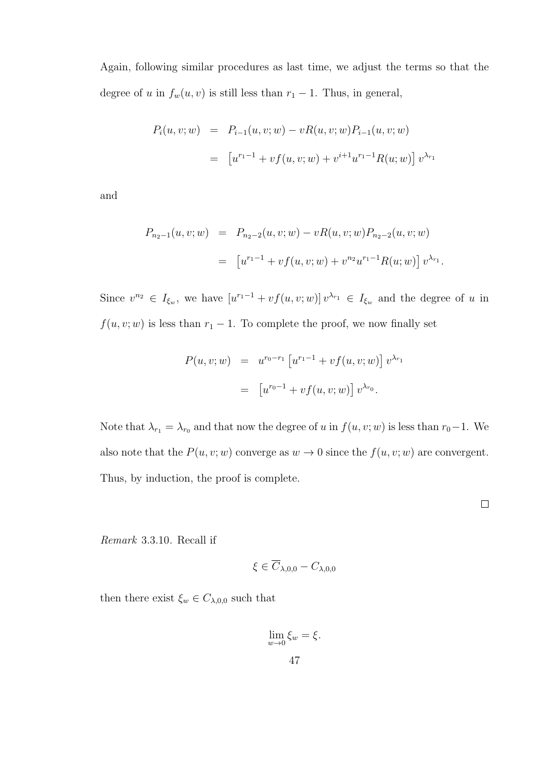Again, following similar procedures as last time, we adjust the terms so that the degree of u in  $f_w(u, v)$  is still less than  $r_1 - 1$ . Thus, in general,

$$
P_i(u, v; w) = P_{i-1}(u, v; w) - vR(u, v; w)P_{i-1}(u, v; w)
$$
  
= 
$$
[u^{r_1-1} + v f(u, v; w) + v^{i+1} u^{r_1-1} R(u; w)] v^{\lambda_{r_1}}
$$

and

$$
P_{n_2-1}(u, v; w) = P_{n_2-2}(u, v; w) - vR(u, v; w)P_{n_2-2}(u, v; w)
$$
  
= 
$$
\left[ u^{r_1-1} + v f(u, v; w) + v^{n_2} u^{r_1-1} R(u; w) \right] v^{\lambda_{r_1}}.
$$

Since  $v^{n_2} \in I_{\xi_w}$ , we have  $[u^{r_1-1} + v f(u, v; w)] v^{\lambda_{r_1}} \in I_{\xi_w}$  and the degree of u in  $f(u, v; w)$  is less than  $r_1 - 1$ . To complete the proof, we now finally set

$$
P(u, v; w) = u^{r_0 - r_1} [u^{r_1 - 1} + v f(u, v; w)] v^{\lambda_{r_1}}
$$
  
= 
$$
[u^{r_0 - 1} + v f(u, v; w)] v^{\lambda_{r_0}}.
$$

Note that  $\lambda_{r_1} = \lambda_{r_0}$  and that now the degree of u in  $f(u, v; w)$  is less than  $r_0-1$ . We also note that the  $P(u, v; w)$  converge as  $w \to 0$  since the  $f(u, v; w)$  are convergent. Thus, by induction, the proof is complete.

 $\Box$ 

Remark 3.3.10. Recall if

$$
\xi \in \overline{C}_{\lambda,0,0} - C_{\lambda,0,0}
$$

then there exist  $\xi_w \in C_{\lambda,0,0}$  such that

$$
\lim_{w \to 0} \xi_w = \xi.
$$
  
47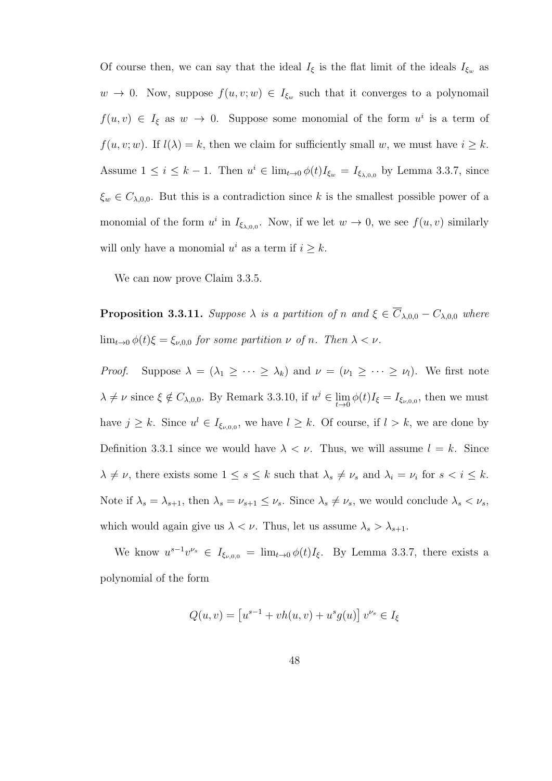Of course then, we can say that the ideal  $I_{\xi}$  is the flat limit of the ideals  $I_{\xi_w}$  as  $w \to 0$ . Now, suppose  $f(u, v; w) \in I_{\xi_w}$  such that it converges to a polynomail  $f(u, v) \in I_{\xi}$  as  $w \to 0$ . Suppose some monomial of the form  $u^{i}$  is a term of  $f(u, v; w)$ . If  $l(\lambda) = k$ , then we claim for sufficiently small w, we must have  $i \geq k$ . Assume  $1 \leq i \leq k-1$ . Then  $u^i \in \lim_{t\to 0} \phi(t)I_{\xi_w} = I_{\xi_{\lambda,0,0}}$  by Lemma 3.3.7, since  $\xi_w \in C_{\lambda,0,0}$ . But this is a contradiction since k is the smallest possible power of a monomial of the form  $u^i$  in  $I_{\xi_{\lambda,0,0}}$ . Now, if we let  $w \to 0$ , we see  $f(u, v)$  similarly will only have a monomial  $u^i$  as a term if  $i \geq k$ .

We can now prove Claim 3.3.5.

**Proposition 3.3.11.** Suppose  $\lambda$  is a partition of n and  $\xi \in \overline{C}_{\lambda,0,0} - C_{\lambda,0,0}$  where  $\lim_{t\to 0} \phi(t)\xi = \xi_{\nu,0,0}$  for some partition  $\nu$  of n. Then  $\lambda < \nu$ .

*Proof.* Suppose  $\lambda = (\lambda_1 \geq \cdots \geq \lambda_k)$  and  $\nu = (\nu_1 \geq \cdots \geq \nu_l)$ . We first note  $\lambda \neq \nu$  since  $\xi \notin C_{\lambda,0,0}$ . By Remark 3.3.10, if  $u^j \in \lim_{t \to 0} \phi(t)I_{\xi} = I_{\xi_{\nu,0,0}}$ , then we must have  $j \geq k$ . Since  $u^l \in I_{\xi_{\nu,0,0}},$  we have  $l \geq k$ . Of course, if  $l > k$ , we are done by Definition 3.3.1 since we would have  $\lambda < \nu$ . Thus, we will assume  $l = k$ . Since  $\lambda \neq \nu$ , there exists some  $1 \leq s \leq k$  such that  $\lambda_s \neq \nu_s$  and  $\lambda_i = \nu_i$  for  $s < i \leq k$ . Note if  $\lambda_s = \lambda_{s+1}$ , then  $\lambda_s = \nu_{s+1} \leq \nu_s$ . Since  $\lambda_s \neq \nu_s$ , we would conclude  $\lambda_s < \nu_s$ , which would again give us  $\lambda < \nu$ . Thus, let us assume  $\lambda_s > \lambda_{s+1}$ .

We know  $u^{s-1}v^{\nu_s} \in I_{\xi_{\nu,0,0}} = \lim_{t \to 0} \phi(t)I_{\xi}$ . By Lemma 3.3.7, there exists a polynomial of the form

$$
Q(u, v) = [u^{s-1} + vh(u, v) + u^s g(u)] v^{\nu_s} \in I_{\xi}
$$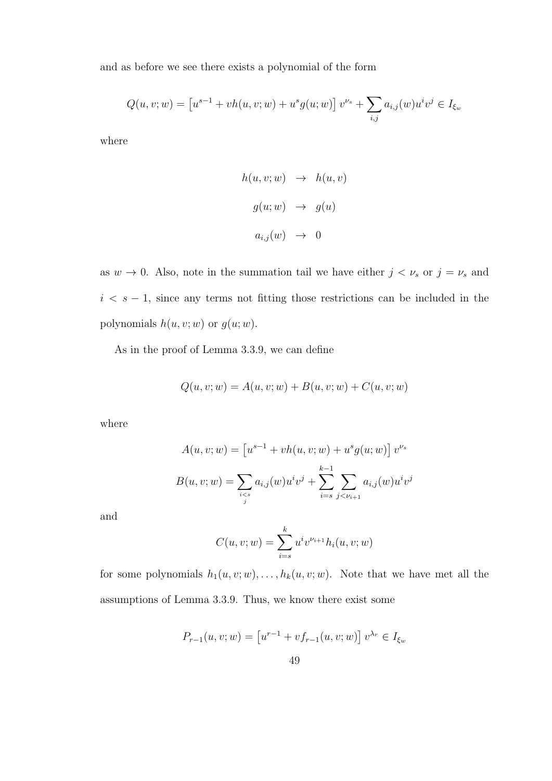and as before we see there exists a polynomial of the form

$$
Q(u, v; w) = [u^{s-1} + vh(u, v; w) + u^s g(u; w)] v^{\nu_s} + \sum_{i,j} a_{i,j}(w) u^i v^j \in I_{\xi_w}
$$

where

$$
h(u, v; w) \rightarrow h(u, v)
$$
  

$$
g(u; w) \rightarrow g(u)
$$
  

$$
a_{i,j}(w) \rightarrow 0
$$

as  $w \to 0$ . Also, note in the summation tail we have either  $j < \nu_s$  or  $j = \nu_s$  and  $i < s - 1$ , since any terms not fitting those restrictions can be included in the polynomials  $h(u, v; w)$  or  $g(u; w)$ .

As in the proof of Lemma 3.3.9, we can define

$$
Q(u, v; w) = A(u, v; w) + B(u, v; w) + C(u, v; w)
$$

where

$$
A(u, v; w) = [u^{s-1} + vh(u, v; w) + u^s g(u; w)] v^{\nu_s}
$$

$$
B(u, v; w) = \sum_{i \le s} a_{i,j}(w) u^i v^j + \sum_{i=s}^{k-1} \sum_{j < \nu_{i+1}} a_{i,j}(w) u^i v^j
$$

and

$$
C(u, v; w) = \sum_{i=s}^{k} u^{i} v^{\nu_{i+1}} h_i(u, v; w)
$$

for some polynomials  $h_1(u, v; w), \ldots, h_k(u, v; w)$ . Note that we have met all the assumptions of Lemma 3.3.9. Thus, we know there exist some

$$
P_{r-1}(u, v; w) = [u^{r-1} + v f_{r-1}(u, v; w)] v^{\lambda_r} \in I_{\xi_w}
$$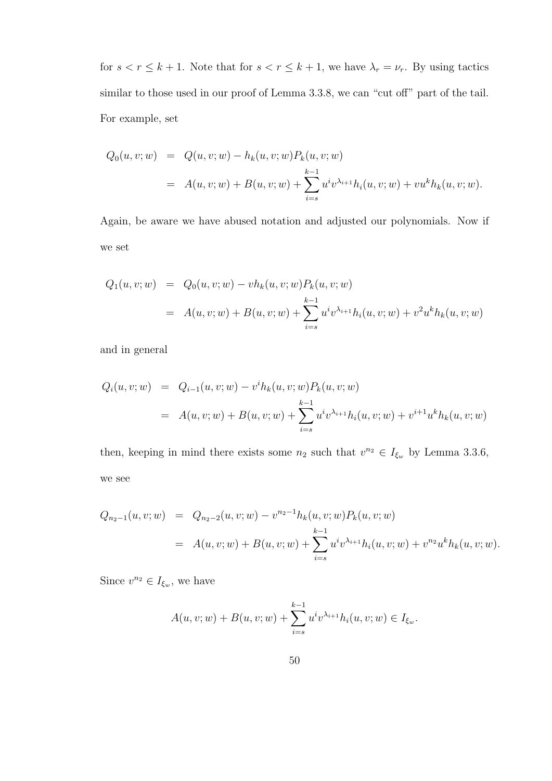for  $s < r \leq k + 1$ . Note that for  $s < r \leq k + 1$ , we have  $\lambda_r = \nu_r$ . By using tactics similar to those used in our proof of Lemma 3.3.8, we can "cut off" part of the tail. For example, set

$$
Q_0(u, v; w) = Q(u, v; w) - h_k(u, v; w) P_k(u, v; w)
$$
  
=  $A(u, v; w) + B(u, v; w) + \sum_{i=s}^{k-1} u^i v^{\lambda_{i+1}} h_i(u, v; w) + v u^k h_k(u, v; w).$ 

Again, be aware we have abused notation and adjusted our polynomials. Now if we set

$$
Q_1(u, v; w) = Q_0(u, v; w) - v h_k(u, v; w) P_k(u, v; w)
$$
  
=  $A(u, v; w) + B(u, v; w) + \sum_{i=s}^{k-1} u^i v^{\lambda_{i+1}} h_i(u, v; w) + v^2 u^k h_k(u, v; w)$ 

and in general

$$
Q_i(u, v; w) = Q_{i-1}(u, v; w) - v^i h_k(u, v; w) P_k(u, v; w)
$$
  
=  $A(u, v; w) + B(u, v; w) + \sum_{i=s}^{k-1} u^i v^{\lambda_{i+1}} h_i(u, v; w) + v^{i+1} u^k h_k(u, v; w)$ 

then, keeping in mind there exists some  $n_2$  such that  $v^{n_2} \in I_{\xi_w}$  by Lemma 3.3.6, we see

$$
Q_{n_2-1}(u, v; w) = Q_{n_2-2}(u, v; w) - v^{n_2-1}h_k(u, v; w)P_k(u, v; w)
$$
  
=  $A(u, v; w) + B(u, v; w) + \sum_{i=s}^{k-1} u^i v^{\lambda_{i+1}} h_i(u, v; w) + v^{n_2} u^k h_k(u, v; w).$ 

Since  $v^{n_2} \in I_{\xi_w}$ , we have

$$
A(u, v; w) + B(u, v; w) + \sum_{i=s}^{k-1} u^i v^{\lambda_{i+1}} h_i(u, v; w) \in I_{\xi_w}.
$$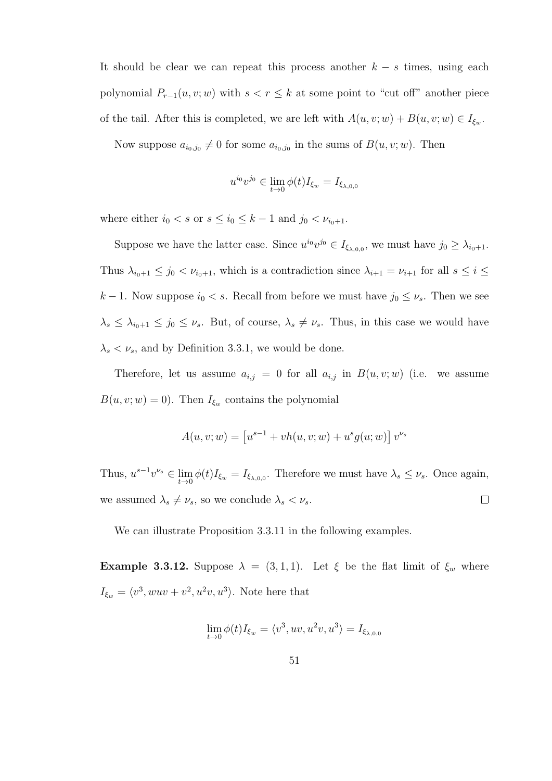It should be clear we can repeat this process another  $k - s$  times, using each polynomial  $P_{r-1}(u, v; w)$  with  $s < r \leq k$  at some point to "cut off" another piece of the tail. After this is completed, we are left with  $A(u, v; w) + B(u, v; w) \in I_{\xi_w}$ .

Now suppose  $a_{i_0,j_0}\neq 0$  for some  $a_{i_0,j_0}$  in the sums of  $B(u, v; w)$ . Then

$$
u^{i_0}v^{j_0} \in \lim_{t \to 0} \phi(t)I_{\xi_w} = I_{\xi_{\lambda,0,0}}
$$

where either  $i_0 < s$  or  $s \leq i_0 \leq k-1$  and  $j_0 < \nu_{i_0+1}$ .

Suppose we have the latter case. Since  $u^{i_0}v^{j_0} \in I_{\xi_{\lambda,0,0}},$  we must have  $j_0 \geq \lambda_{i_0+1}.$ Thus  $\lambda_{i_0+1} \leq j_0 < \nu_{i_0+1}$ , which is a contradiction since  $\lambda_{i+1} = \nu_{i+1}$  for all  $s \leq i \leq$ k − 1. Now suppose  $i_0 < s$ . Recall from before we must have  $j_0 \leq \nu_s$ . Then we see  $\lambda_s \leq \lambda_{i_0+1} \leq j_0 \leq \nu_s$ . But, of course,  $\lambda_s \neq \nu_s$ . Thus, in this case we would have  $\lambda_s < \nu_s$ , and by Definition 3.3.1, we would be done.

Therefore, let us assume  $a_{i,j} = 0$  for all  $a_{i,j}$  in  $B(u, v; w)$  (i.e. we assume  $B(u, v; w) = 0$ . Then  $I_{\xi_w}$  contains the polynomial

$$
A(u, v; w) = [u^{s-1} + vh(u, v; w) + u^{s}g(u; w)] v^{\nu_{s}}
$$

Thus,  $u^{s-1}v^{\nu_s} \in \lim_{t \to 0} \phi(t)I_{\xi_w} = I_{\xi_{\lambda,0,0}}$ . Therefore we must have  $\lambda_s \leq \nu_s$ . Once again, we assumed  $\lambda_s \neq \nu_s,$  so we conclude  $\lambda_s < \nu_s.$  $\Box$ 

We can illustrate Proposition 3.3.11 in the following examples.

Example 3.3.12. Suppose  $\lambda = (3, 1, 1)$ . Let  $\xi$  be the flat limit of  $\xi_w$  where  $I_{\xi_w} = \langle v^3, wuv + v^2, u^2v, u^3 \rangle$ . Note here that

$$
\lim_{t\to 0}\phi(t)I_{\xi_w}=\langle v^3,uv,u^2v,u^3\rangle=I_{\xi_{\lambda,0,0}}
$$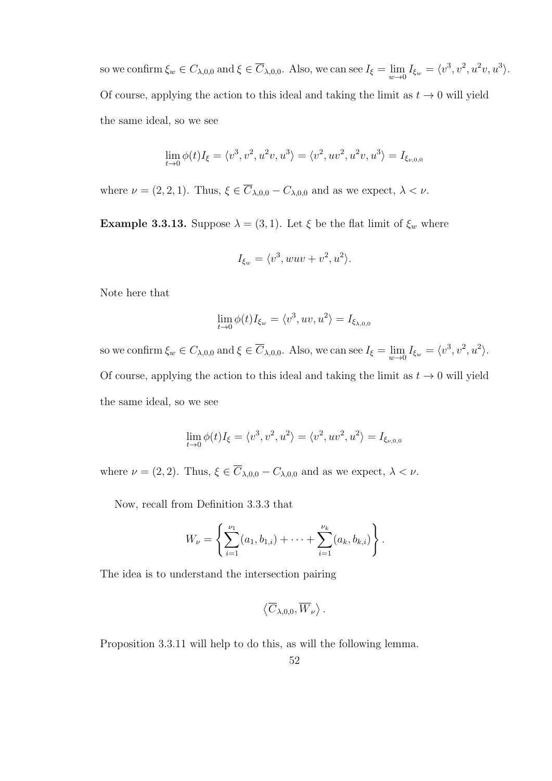so we confirm  $\xi_w \in C_{\lambda,0,0}$  and  $\xi \in \overline{C}_{\lambda,0,0}$ . Also, we can see  $I_{\xi} = \lim_{w \to 0} I_{\xi_w} = \langle v^3, v^2, u^2v, u^3 \rangle$ . Of course, applying the action to this ideal and taking the limit as  $t \to 0$  will yield the same ideal, so we see

$$
\lim_{t \to 0} \phi(t)I_{\xi} = \langle v^3, v^2, u^2v, u^3 \rangle = \langle v^2, uv^2, u^2v, u^3 \rangle = I_{\xi_{\nu,0,0}}
$$

where  $\nu = (2, 2, 1)$ . Thus,  $\xi \in \overline{C}_{\lambda,0,0} - C_{\lambda,0,0}$  and as we expect,  $\lambda < \nu$ .

**Example 3.3.13.** Suppose  $\lambda = (3, 1)$ . Let  $\xi$  be the flat limit of  $\xi_w$  where

$$
I_{\xi_w} = \langle v^3, wuv + v^2, u^2 \rangle.
$$

Note here that

$$
\lim_{t \to 0} \phi(t) I_{\xi_w} = \langle v^3, uv, u^2 \rangle = I_{\xi_{\lambda,0,0}}
$$

so we confirm  $\xi_w \in C_{\lambda,0,0}$  and  $\xi \in \overline{C}_{\lambda,0,0}$ . Also, we can see  $I_{\xi} = \lim_{w \to 0} I_{\xi_w} = \langle v^3, v^2, u^2 \rangle$ . Of course, applying the action to this ideal and taking the limit as  $t \to 0$  will yield the same ideal, so we see

$$
\lim_{t \to 0} \phi(t) I_{\xi} = \langle v^3, v^2, u^2 \rangle = \langle v^2, uv^2, u^2 \rangle = I_{\xi_{\nu,0,0}}
$$

where  $\nu = (2, 2)$ . Thus,  $\xi \in \overline{C}_{\lambda,0,0} - C_{\lambda,0,0}$  and as we expect,  $\lambda < \nu$ .

Now, recall from Definition 3.3.3 that

$$
W_{\nu} = \left\{ \sum_{i=1}^{\nu_1} (a_1, b_{1,i}) + \cdots + \sum_{i=1}^{\nu_k} (a_k, b_{k,i}) \right\}.
$$

The idea is to understand the intersection pairing

$$
\left\langle \overline C_{\lambda,0,0},\overline W_\nu\right\rangle.
$$

Proposition 3.3.11 will help to do this, as will the following lemma.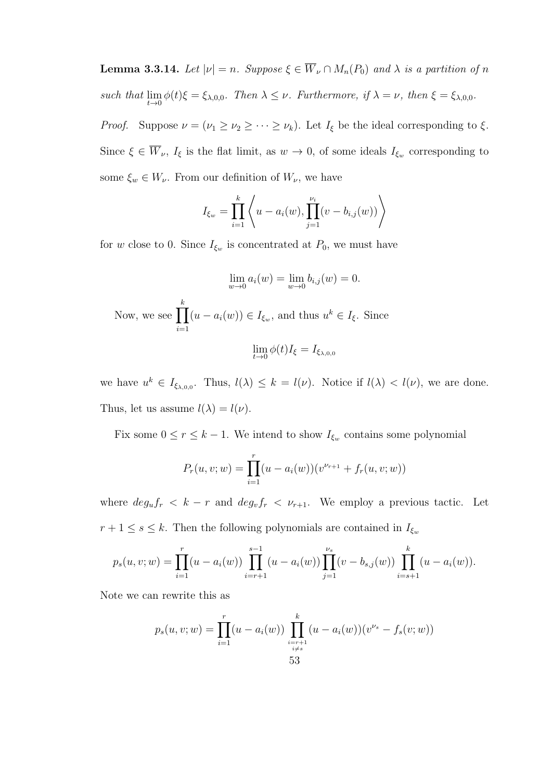**Lemma 3.3.14.** Let  $|\nu| = n$ . Suppose  $\xi \in \overline{W}_{\nu} \cap M_n(P_0)$  and  $\lambda$  is a partition of n such that  $\lim_{t\to 0} \phi(t)\xi = \xi_{\lambda,0,0}$ . Then  $\lambda \leq \nu$ . Furthermore, if  $\lambda = \nu$ , then  $\xi = \xi_{\lambda,0,0}$ .

*Proof.* Suppose  $\nu = (\nu_1 \ge \nu_2 \ge \cdots \ge \nu_k)$ . Let  $I_{\xi}$  be the ideal corresponding to  $\xi$ . Since  $\xi \in W_{\nu}$ ,  $I_{\xi}$  is the flat limit, as  $w \to 0$ , of some ideals  $I_{\xi_w}$  corresponding to some  $\xi_w \in W_\nu$ . From our definition of  $W_\nu$ , we have

$$
I_{\xi_w} = \prod_{i=1}^k \left\langle u - a_i(w), \prod_{j=1}^{\nu_i} (v - b_{i,j}(w)) \right\rangle
$$

for w close to 0. Since  $I_{\xi_w}$  is concentrated at  $P_0$ , we must have

$$
\lim_{w \to 0} a_i(w) = \lim_{w \to 0} b_{i,j}(w) = 0.
$$
  
Now, we see 
$$
\prod_{i=1}^k (u - a_i(w)) \in I_{\xi_w}
$$
, and thus  $u^k \in I_{\xi}$ . Since  

$$
\lim_{t \to 0} \phi(t)I_{\xi} = I_{\xi_{\lambda,0,0}}
$$

we have  $u^k \in I_{\xi_{\lambda,0,0}}$ . Thus,  $l(\lambda) \leq k = l(\nu)$ . Notice if  $l(\lambda) < l(\nu)$ , we are done. Thus, let us assume  $l(\lambda) = l(\nu)$ .

Fix some  $0 \le r \le k - 1$ . We intend to show  $I_{\xi_w}$  contains some polynomial

$$
P_r(u, v; w) = \prod_{i=1}^r (u - a_i(w))(v^{\nu_{r+1}} + f_r(u, v; w))
$$

where  $deg_u f_r < k - r$  and  $deg_v f_r < \nu_{r+1}$ . We employ a previous tactic. Let  $r+1\leq s\leq k.$  Then the following polynomials are contained in  $I_{\xi_w}$ 

$$
p_s(u, v; w) = \prod_{i=1}^r (u - a_i(w)) \prod_{i=r+1}^{s-1} (u - a_i(w)) \prod_{j=1}^{\nu_s} (v - b_{s,j}(w)) \prod_{i=s+1}^k (u - a_i(w)).
$$

Note we can rewrite this as

$$
p_s(u, v; w) = \prod_{i=1}^r (u - a_i(w)) \prod_{\substack{i=r+1 \\ i \neq s}}^k (u - a_i(w))(v^{\nu_s} - f_s(v; w))
$$
  
53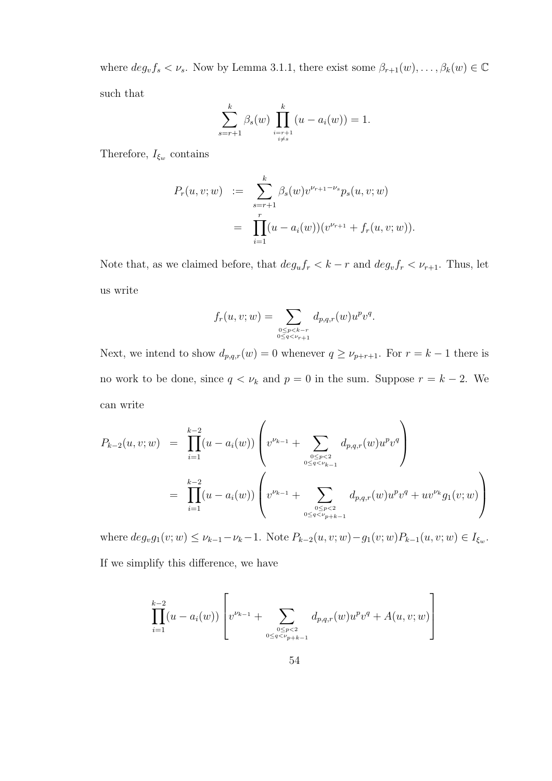where  $deg_v f_s < v_s$ . Now by Lemma 3.1.1, there exist some  $\beta_{r+1}(w), \ldots, \beta_k(w) \in \mathbb{C}$ such that

$$
\sum_{s=r+1}^{k} \beta_s(w) \prod_{\substack{i=r+1\\i\neq s}}^{k} (u - a_i(w)) = 1.
$$

Therefore,  $I_{\xi_w}$  contains

$$
P_r(u, v; w) := \sum_{s=r+1}^k \beta_s(w) v^{\nu_{r+1} - \nu_s} p_s(u, v; w)
$$
  
= 
$$
\prod_{i=1}^r (u - a_i(w))(v^{\nu_{r+1}} + f_r(u, v; w)).
$$

Note that, as we claimed before, that  $deg_u f_r < k - r$  and  $deg_v f_r < \nu_{r+1}$ . Thus, let us write

$$
f_r(u, v; w) = \sum_{\substack{0 \le p < k - r \\ 0 \le q < \nu_{r+1}}} d_{p, q, r}(w) u^p v^q.
$$

Next, we intend to show  $d_{p,q,r}(w) = 0$  whenever  $q \ge \nu_{p+r+1}$ . For  $r = k-1$  there is no work to be done, since  $q < \nu_k$  and  $p = 0$  in the sum. Suppose  $r = k - 2$ . We can write

$$
P_{k-2}(u, v; w) = \prod_{i=1}^{k-2} (u - a_i(w)) \left( v^{\nu_{k-1}} + \sum_{0 \leq p < 2 \atop 0 \leq q < \nu_{k-1}} d_{p,q,r}(w) u^p v^q \right)
$$
  
= 
$$
\prod_{i=1}^{k-2} (u - a_i(w)) \left( v^{\nu_{k-1}} + \sum_{0 \leq p < 2 \atop 0 \leq q < \nu_{p+k-1}} d_{p,q,r}(w) u^p v^q + u v^{\nu_k} g_1(v; w) \right)
$$

where  $deg_v g_1(v; w) \leq \nu_{k-1} - \nu_k - 1$ . Note  $P_{k-2}(u, v; w) - g_1(v; w) P_{k-1}(u, v; w) \in I_{\xi_w}$ . If we simplify this difference, we have

$$
\prod_{i=1}^{k-2} (u - a_i(w)) \left[ v^{\nu_{k-1}} + \sum_{\substack{0 \le p < 2 \\ 0 \le q < \nu_{p+k-1}}} d_{p,q,r}(w) u^p v^q + A(u, v; w) \right]
$$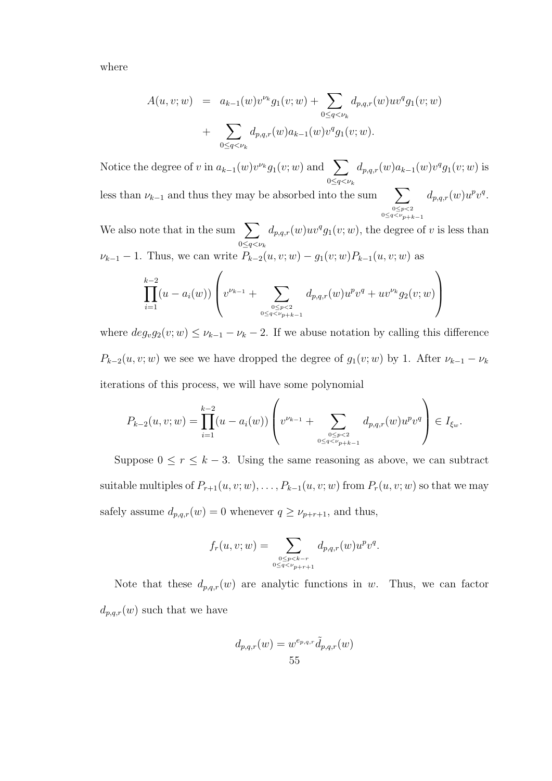where

$$
A(u, v; w) = a_{k-1}(w)v^{\nu_k}g_1(v; w) + \sum_{0 \le q < \nu_k} d_{p,q,r}(w)uv^qg_1(v; w) + \sum_{0 \le q < \nu_k} d_{p,q,r}(w)a_{k-1}(w)v^qg_1(v; w).
$$

Notice the degree of v in  $a_{k-1}(w)v^{\nu_k}g_1(v;w)$  and  $\sum$  $0 \leq q < \nu_k$  $d_{p,q,r}(w)a_{k-1}(w)v^qg_1(v;w)$  is less than  $\nu_{k-1}$  and thus they may be absorbed into the sum  $\sum$  $0 \leq p < 2$ <br> $0 \leq q < \nu_{p+k-1}$  $d_{p,q,r}(w)u^pv^q.$ 

We also note that in the sum  $\sum$  $0 \leq q < \nu_k$  $d_{p,q,r}(w)uv^q g_1(v;w)$ , the degree of v is less than  $\nu_{k-1} - 1$ . Thus, we can write  $P_{k-2}(u, v; w) - g_1(v; w)P_{k-1}(u, v; w)$  as

$$
\prod_{i=1}^{k-2} (u - a_i(w)) \left( v^{\nu_{k-1}} + \sum_{\substack{0 \le p < 2 \\ 0 \le q < \nu_{p+k-1}}} d_{p,q,r}(w) u^p v^q + u v^{\nu_k} g_2(v; w) \right)
$$

where  $deg_v g_2(v;w) \leq \nu_{k-1} - \nu_k - 2$ . If we abuse notation by calling this difference  $P_{k-2}(u, v; w)$  we see we have dropped the degree of  $g_1(v; w)$  by 1. After  $\nu_{k-1} - \nu_k$ iterations of this process, we will have some polynomial

$$
P_{k-2}(u,v;w) = \prod_{i=1}^{k-2} (u - a_i(w)) \left( v^{\nu_{k-1}} + \sum_{\substack{0 \le p < 2 \\ 0 \le q < \nu_{p+k-1}}} d_{p,q,r}(w) u^p v^q \right) \in I_{\xi_w}.
$$

Suppose  $0 \le r \le k-3$ . Using the same reasoning as above, we can subtract suitable multiples of  $P_{r+1}(u, v; w), \ldots, P_{k-1}(u, v; w)$  from  $P_r(u, v; w)$  so that we may safely assume  $d_{p,q,r}(w) = 0$  whenever  $q \ge \nu_{p+r+1}$ , and thus,

$$
f_r(u, v; w) = \sum_{\substack{0 \le p < k - r \\ 0 \le q < \nu_{p+r+1}}} d_{p,q,r}(w) u^p v^q.
$$

Note that these  $d_{p,q,r}(w)$  are analytic functions in w. Thus, we can factor  $d_{p,q,r}(w)$  such that we have

$$
d_{p,q,r}(w) = w^{e_{p,q,r}} \tilde{d}_{p,q,r}(w)
$$
  
55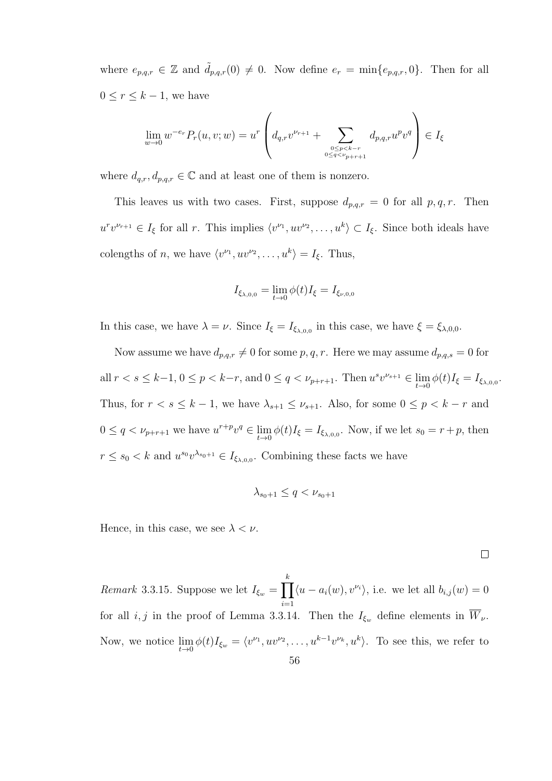where  $e_{p,q,r} \in \mathbb{Z}$  and  $\tilde{d}_{p,q,r}(0) \neq 0$ . Now define  $e_r = \min\{e_{p,q,r}, 0\}$ . Then for all  $0 \leq r \leq k-1$ , we have

$$
\lim_{w \to 0} w^{-e_r} P_r(u, v; w) = u^r \left( d_{q,r} v^{\nu_{r+1}} + \sum_{\substack{0 \le p < k-r \\ 0 \le q < \nu_{p+r+1}}} d_{p,q,r} u^p v^q \right) \in I_{\xi}
$$

where  $d_{q,r}, d_{p,q,r} \in \mathbb{C}$  and at least one of them is nonzero.

This leaves us with two cases. First, suppose  $d_{p,q,r} = 0$  for all  $p,q,r$ . Then  $u^r v^{\nu_{r+1}} \in I_\xi$  for all r. This implies  $\langle v^{\nu_1}, uv^{\nu_2}, \dots, u^k \rangle \subset I_\xi$ . Since both ideals have colengths of *n*, we have  $\langle v^{\nu_1}, uv^{\nu_2}, \dots, u^k \rangle = I_{\xi}$ . Thus,

$$
I_{\xi_{\lambda,0,0}} = \lim_{t \to 0} \phi(t) I_{\xi} = I_{\xi_{\nu,0,0}}
$$

In this case, we have  $\lambda = \nu$ . Since  $I_{\xi} = I_{\xi_{\lambda,0,0}}$  in this case, we have  $\xi = \xi_{\lambda,0,0}$ .

Now assume we have  $d_{p,q,r} \neq 0$  for some p, q, r. Here we may assume  $d_{p,q,s} = 0$  for all  $r < s \leq k-1, 0 \leq p < k-r$ , and  $0 \leq q < \nu_{p+r+1}$ . Then  $u^s v^{\nu_{s+1}} \in \lim_{t \to 0} \phi(t)I_{\xi} = I_{\xi_{\lambda,0,0}}$ . Thus, for  $r < s \leq k - 1$ , we have  $\lambda_{s+1} \leq \nu_{s+1}$ . Also, for some  $0 \leq p < k - r$  and  $0 \le q < \nu_{p+r+1}$  we have  $u^{r+p}v^q \in \lim_{t \to 0} \phi(t)I_{\xi} = I_{\xi_{\lambda,0,0}}$ . Now, if we let  $s_0 = r+p$ , then  $r \leq s_0 < k$  and  $u^{s_0}v^{\lambda_{s_0+1}} \in I_{\xi_{\lambda,0,0}}$ . Combining these facts we have

$$
\lambda_{s_0+1}\leq q<\nu_{s_0+1}
$$

Hence, in this case, we see  $\lambda < \nu$ .

*Remark* 3.3.15. Suppose we let  $I_{\xi_w} = \prod$ k  $i=1$  $\langle u - a_i(w), v^{\nu_i} \rangle$ , i.e. we let all  $b_{i,j}(w) = 0$ for all  $i, j$  in the proof of Lemma 3.3.14. Then the  $I_{\xi_w}$  define elements in  $\overline{W}_{\nu}$ . Now, we notice  $\lim_{t\to 0} \phi(t)I_{\xi_w} = \langle v^{\nu_1}, uv^{\nu_2}, \dots, u^{k-1}v^{\nu_k}, u^k \rangle$ . To see this, we refer to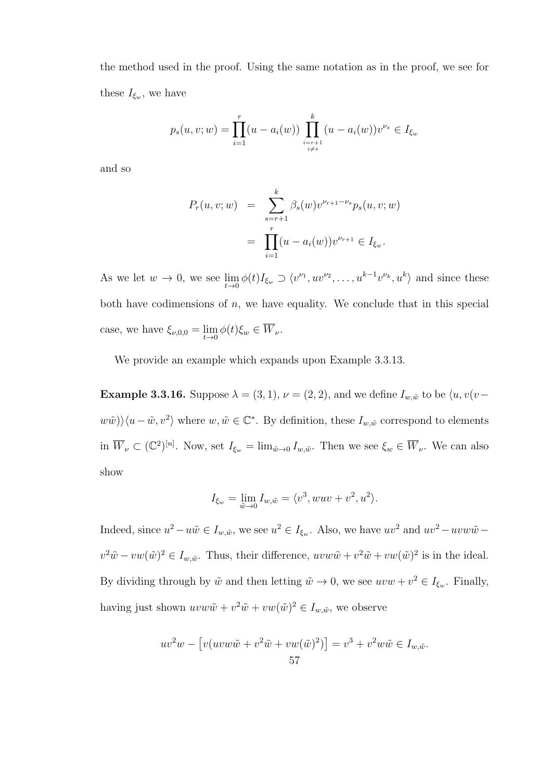the method used in the proof. Using the same notation as in the proof, we see for these  $I_{\xi_w}$ , we have

$$
p_s(u, v; w) = \prod_{i=1}^r (u - a_i(w)) \prod_{\substack{i=r+1 \ i \neq s}}^k (u - a_i(w)) v^{\nu_s} \in I_{\xi_w}
$$

and so

$$
P_r(u, v; w) = \sum_{s=r+1}^k \beta_s(w) v^{\nu_{r+1} - \nu_s} p_s(u, v; w)
$$
  
= 
$$
\prod_{i=1}^r (u - a_i(w)) v^{\nu_{r+1}} \in I_{\xi_w}.
$$

As we let  $w \to 0$ , we see  $\lim_{t \to 0} \phi(t) I_{\xi_w} \supset \langle v^{\nu_1}, uv^{\nu_2}, \dots, u^{k-1} v^{\nu_k}, u^k \rangle$  and since these both have codimensions of  $n$ , we have equality. We conclude that in this special case, we have  $\xi_{\nu,0,0} = \lim_{t \to 0} \phi(t) \xi_w \in \overline{W}_{\nu}$ .

We provide an example which expands upon Example 3.3.13.

**Example 3.3.16.** Suppose  $\lambda = (3, 1), \nu = (2, 2)$ , and we define  $I_{w, \tilde{w}}$  to be  $\langle u, v(v - \mu) \rangle$  $\langle w\tilde{w}\rangle\langle u-\tilde{w}, v^2\rangle$  where  $w,\tilde{w}\in\mathbb{C}^*$ . By definition, these  $I_{w,\tilde{w}}$  correspond to elements in  $\overline{W}_{\nu} \subset (\mathbb{C}^2)^{[n]}$ . Now, set  $I_{\xi_w} = \lim_{\tilde{w} \to 0} I_{w,\tilde{w}}$ . Then we see  $\xi_w \in \overline{W}_{\nu}$ . We can also show

$$
I_{\xi_w} = \lim_{\tilde{w}\to 0} I_{w,\tilde{w}} = \langle v^3, wuv + v^2, u^2 \rangle.
$$

Indeed, since  $u^2 - u\tilde{w} \in I_{w,\tilde{w}}$ , we see  $u^2 \in I_{\xi_w}$ . Also, we have  $uv^2$  and  $uv^2 - uvw\tilde{w}$  $v^2\tilde{w} - vw(\tilde{w})^2 \in I_{w,\tilde{w}}$ . Thus, their difference,  $uvw\tilde{w} + v^2\tilde{w} + vw(\tilde{w})^2$  is in the ideal. By dividing through by  $\tilde{w}$  and then letting  $\tilde{w} \to 0$ , we see  $uvw + v^2 \in I_{\xi_w}$ . Finally, having just shown  $uvw\tilde{w} + v^2\tilde{w} + vw(\tilde{w})^2 \in I_{w,\tilde{w}}$ , we observe

$$
uv2w - [v(uvw\tilde{w} + v2\tilde{w} + vw(\tilde{w})2)] = v3 + v2w\tilde{w} \in I_{w,\tilde{w}}.
$$
  
57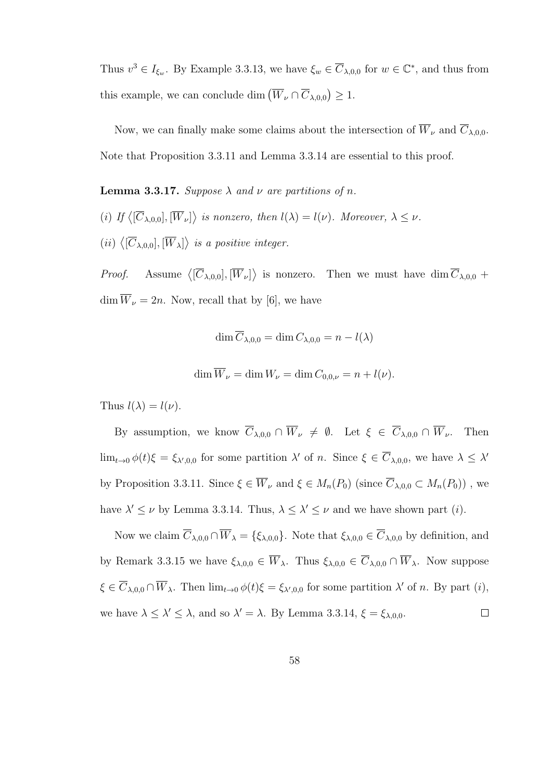Thus  $v^3 \in I_{\xi_w}$ . By Example 3.3.13, we have  $\xi_w \in \overline{C}_{\lambda,0,0}$  for  $w \in \mathbb{C}^*$ , and thus from this example, we can conclude dim  $(\overline{W}_{\nu} \cap \overline{C}_{\lambda,0,0}) \geq 1$ .

Now, we can finally make some claims about the intersection of  $\overline{W}_{\nu}$  and  $\overline{C}_{\lambda,0,0}$ . Note that Proposition 3.3.11 and Lemma 3.3.14 are essential to this proof.

**Lemma 3.3.17.** Suppose  $\lambda$  and  $\nu$  are partitions of n.

- (i) If  $\langle [\overline{C}_{\lambda,0,0}], [\overline{W}_{\nu}] \rangle$  is nonzero, then  $l(\lambda) = l(\nu)$ . Moreover,  $\lambda \leq \nu$ .
- $(ii) \langle [\overline{C}_{\lambda,0,0}], [\overline{W}_{\lambda}] \rangle$  is a positive integer.

*Proof.* Assume  $\langle [\overline{C}_{\lambda,0,0}], [\overline{W}_{\nu}] \rangle$  is nonzero. Then we must have dim  $\overline{C}_{\lambda,0,0}$  +  $\dim \overline{W}_{\nu} = 2n$ . Now, recall that by [6], we have

$$
\dim \overline{C}_{\lambda,0,0} = \dim C_{\lambda,0,0} = n - l(\lambda)
$$

$$
\dim \overline{W}_{\nu} = \dim W_{\nu} = \dim C_{0,0,\nu} = n + l(\nu).
$$

Thus  $l(\lambda) = l(\nu)$ .

By assumption, we know  $\overline{C}_{\lambda,0,0} \cap \overline{W}_{\nu} \neq \emptyset$ . Let  $\xi \in \overline{C}_{\lambda,0,0} \cap \overline{W}_{\nu}$ . Then  $\lim_{t\to 0}\phi(t)\xi=\xi_{\lambda',0,0}$  for some partition  $\lambda'$  of n. Since  $\xi\in\overline{C}_{\lambda,0,0}$ , we have  $\lambda\leq\lambda'$ by Proposition 3.3.11. Since  $\xi \in \overline{W}_{\nu}$  and  $\xi \in M_n(P_0)$  (since  $\overline{C}_{\lambda,0,0} \subset M_n(P_0)$ ), we have  $\lambda' \leq \nu$  by Lemma 3.3.14. Thus,  $\lambda \leq \lambda' \leq \nu$  and we have shown part (*i*).

Now we claim  $\overline{C}_{\lambda,0,0} \cap \overline{W}_{\lambda} = {\{\xi_{\lambda,0,0}\}}$ . Note that  $\xi_{\lambda,0,0} \in \overline{C}_{\lambda,0,0}$  by definition, and by Remark 3.3.15 we have  $\xi_{\lambda,0,0} \in \overline{W}_{\lambda}$ . Thus  $\xi_{\lambda,0,0} \in \overline{C}_{\lambda,0,0} \cap \overline{W}_{\lambda}$ . Now suppose  $\xi \in \overline{C}_{\lambda,0,0} \cap \overline{W}_{\lambda}$ . Then  $\lim_{t \to 0} \phi(t)\xi = \xi_{\lambda',0,0}$  for some partition  $\lambda'$  of n. By part  $(i)$ , we have  $\lambda \leq \lambda' \leq \lambda$ , and so  $\lambda' = \lambda$ . By Lemma 3.3.14,  $\xi = \xi_{\lambda,0,0}$ .  $\Box$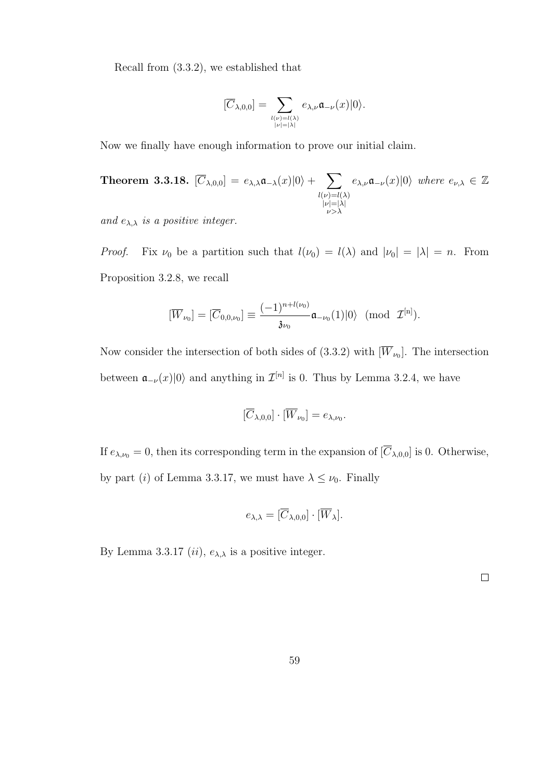Recall from (3.3.2), we established that

$$
[\overline{C}_{\lambda,0,0}]=\sum_{\genfrac{}{}{0pt}{}{l(\nu)=l(\lambda)}{| \nu|=|\lambda|}}e_{\lambda,\nu}\mathfrak{a}_{-\nu}(x)|0\rangle.
$$

Now we finally have enough information to prove our initial claim.

Theorem 3.3.18.  $[\overline{C}_{\lambda,0,0}]=e_{\lambda,\lambda}\mathfrak{a}_{-\lambda}(x)|0\rangle+\sum_{\lambda}$  $l(\nu)=l(\lambda)$  $|\nu|=|\lambda|$ ν>λ  $e_{\lambda,\nu}\mathfrak{a}_{-\nu}(x)|0\rangle$  where  $e_{\nu,\lambda}\in\mathbb{Z}$ 

and  $e_{\lambda,\lambda}$  is a positive integer.

*Proof.* Fix  $\nu_0$  be a partition such that  $l(\nu_0) = l(\lambda)$  and  $|\nu_0| = |\lambda| = n$ . From Proposition 3.2.8, we recall

$$
[\overline{W}_{\nu_0}]=[\overline{C}_{0,0,\nu_0}]\equiv \frac{(-1)^{n+l(\nu_0)}}{\mathfrak{z}_{\nu_0}}\mathfrak{a}_{-\nu_0}(1)|0\rangle\ \ (\mathrm{mod}\ \ \mathcal{I}^{[n]}).
$$

Now consider the intersection of both sides of  $(3.3.2)$  with  $[W_{\nu_0}]$ . The intersection between  $\mathfrak{a}_{-\nu}(x)|0\rangle$  and anything in  $\mathcal{I}^{[n]}$  is 0. Thus by Lemma 3.2.4, we have

$$
[\overline{C}_{\lambda,0,0}]\cdot [\overline{W}_{\nu_0}]=e_{\lambda,\nu_0}.
$$

If  $e_{\lambda,\nu_0} = 0$ , then its corresponding term in the expansion of  $[\overline{C}_{\lambda,0,0}]$  is 0. Otherwise, by part (i) of Lemma 3.3.17, we must have  $\lambda \leq \nu_0$ . Finally

$$
e_{\lambda,\lambda} = [\overline{C}_{\lambda,0,0}] \cdot [\overline{W}_{\lambda}].
$$

By Lemma 3.3.17 (*ii*),  $e_{\lambda,\lambda}$  is a positive integer.

 $\Box$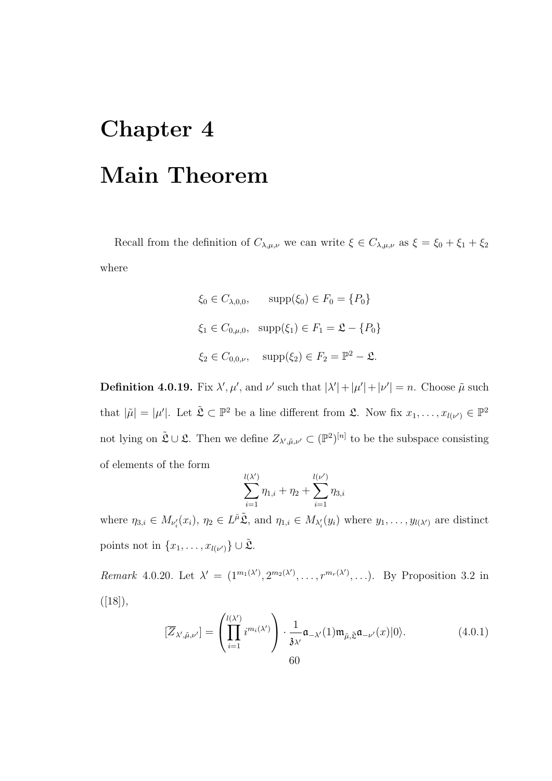## Chapter 4 Main Theorem

Recall from the definition of  $C_{\lambda,\mu,\nu}$  we can write  $\xi \in C_{\lambda,\mu,\nu}$  as  $\xi = \xi_0 + \xi_1 + \xi_2$ where

$$
\xi_0 \in C_{\lambda,0,0}
$$
,  $\text{supp}(\xi_0) \in F_0 = \{P_0\}$   
\n $\xi_1 \in C_{0,\mu,0}$ ,  $\text{supp}(\xi_1) \in F_1 = \mathfrak{L} - \{P_0\}$   
\n $\xi_2 \in C_{0,0,\nu}$ ,  $\text{supp}(\xi_2) \in F_2 = \mathbb{P}^2 - \mathfrak{L}$ .

**Definition 4.0.19.** Fix  $\lambda', \mu'$ , and  $\nu'$  such that  $|\lambda'| + |\mu'| + |\nu'| = n$ . Choose  $\tilde{\mu}$  such that  $|\tilde{\mu}| = |\mu'|$ . Let  $\tilde{\mathfrak{L}} \subset \mathbb{P}^2$  be a line different from  $\mathfrak{L}$ . Now fix  $x_1, \ldots, x_{l(\nu')} \in \mathbb{P}^2$ not lying on  $\tilde{\mathfrak{L}} \cup \mathfrak{L}$ . Then we define  $Z_{\lambda',\tilde{\mu},\nu'} \subset (\mathbb{P}^2)^{[n]}$  to be the subspace consisting of elements of the form

$$
\sum_{i=1}^{l(\lambda')} \eta_{1,i} + \eta_2 + \sum_{i=1}^{l(\nu')} \eta_{3,i}
$$

where  $\eta_{3,i} \in M_{\nu'_i}(x_i)$ ,  $\eta_2 \in L^{\tilde{\mu}}\tilde{\mathfrak{L}}$ , and  $\eta_{1,i} \in M_{\lambda'_i}(y_i)$  where  $y_1, \ldots, y_{l(\lambda')}$  are distinct points not in  $\{x_1, \ldots, x_{l(\nu')}\} \cup \tilde{\mathfrak{L}}$ .

Remark 4.0.20. Let  $\lambda' = (1^{m_1(\lambda')}, 2^{m_2(\lambda')}, \ldots, r^{m_r(\lambda')}, \ldots)$ . By Proposition 3.2 in  $([18]),$ 

$$
[\overline{Z}_{\lambda',\tilde{\mu},\nu'}] = \left(\prod_{i=1}^{l(\lambda')} i^{m_i(\lambda')}\right) \cdot \frac{1}{\lambda \lambda'} \mathfrak{a}_{-\lambda'}(1) \mathfrak{m}_{\tilde{\mu},\tilde{\Sigma}} \mathfrak{a}_{-\nu'}(x)|0\rangle.
$$
(4.0.1)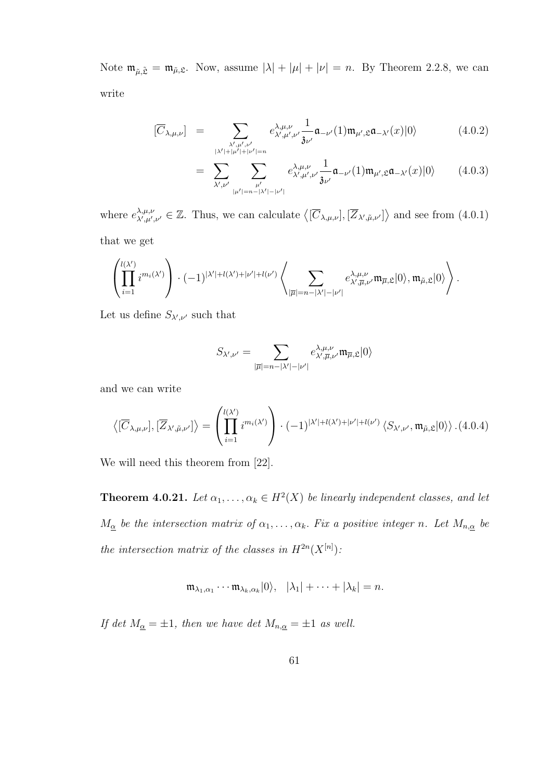Note  $\mathfrak{m}_{\tilde{\mu},\tilde{\mathfrak{L}}} = \mathfrak{m}_{\tilde{\mu},\mathfrak{L}}$ . Now, assume  $|\lambda| + |\mu| + |\nu| = n$ . By Theorem 2.2.8, we can write

$$
\left[\overline{C}_{\lambda,\mu,\nu}\right] = \sum_{\substack{\lambda',\mu',\nu'\\ |\lambda'|+|\mu'|+|\nu'|=n}} e^{\lambda,\mu,\nu}_{\lambda',\mu',\nu'} \frac{1}{\mathfrak{z}_{\nu'}} \mathfrak{a}_{-\nu'}(1)\mathfrak{m}_{\mu',\mathfrak{L}} \mathfrak{a}_{-\lambda'}(x)|0\rangle \tag{4.0.2}
$$

$$
= \sum_{\lambda',\nu'} \sum_{\substack{\mu'\\|\mu'|=n-|\lambda'|-|\nu'|}} e^{\lambda,\mu,\nu}_{\lambda',\mu',\nu'} \frac{1}{\mathfrak{z}_{\nu'}} \mathfrak{a}_{-\nu'}(1) \mathfrak{m}_{\mu',\mathfrak{L}} \mathfrak{a}_{-\lambda'}(x) |0\rangle \qquad (4.0.3)
$$

where  $e^{\lambda,\mu,\nu}_{\lambda',\mu'}$  $\lambda,\mu,\nu,\lambda,\mu',\nu' \in \mathbb{Z}$ . Thus, we can calculate  $\langle [\overline{C}_{\lambda,\mu,\nu}], [\overline{Z}_{\lambda',\tilde{\mu},\nu'}] \rangle$  and see from  $(4.0.1)$ 

that we get

$$
\left(\prod_{i=1}^{l(\lambda')}\,i^{m_i(\lambda')}\right)\cdot (-1)^{|\lambda'|+l(\lambda')+l\nu'|+l(\nu')}\left\langle\sum_{|\overline{\mu}|=n-|\lambda'|-|\nu'|}e^{\lambda,\mu,\nu}_{\lambda',\overline{\mu},\nu'}\mathfrak{m}_{\overline{\mu},\mathfrak{L}}|0\rangle,\mathfrak{m}_{\tilde{\mu},\mathfrak{L}}|0\rangle\right).
$$

Let us define  $S_{\lambda',\nu'}$  such that

$$
S_{\lambda',\nu'} = \sum_{|\overline{\mu}|=n-|\lambda'|-|\nu'|} e^{\lambda,\mu,\nu}_{\lambda',\overline{\mu},\nu'} \mathfrak{m}_{\overline{\mu},\mathfrak{L}}|0\rangle
$$

and we can write

$$
\left\langle [\overline{C}_{\lambda,\mu,\nu}], [\overline{Z}_{\lambda',\tilde{\mu},\nu'}] \right\rangle = \left( \prod_{i=1}^{l(\lambda')} i^{m_i(\lambda')} \right) \cdot (-1)^{|\lambda'|+l(\lambda')+l\nu'|+l(\nu')} \left\langle S_{\lambda',\nu'}, \mathfrak{m}_{\tilde{\mu},\mathfrak{L}} |0\rangle \right\rangle . (4.0.4)
$$

We will need this theorem from [22].

**Theorem 4.0.21.** Let  $\alpha_1, \ldots, \alpha_k \in H^2(X)$  be linearly independent classes, and let  $M_{\underline{\alpha}}$  be the intersection matrix of  $\alpha_1, \ldots, \alpha_k$ . Fix a positive integer n. Let  $M_{n,\underline{\alpha}}$  be the intersection matrix of the classes in  $H^{2n}(X^{[n]})$ :

$$
\mathfrak{m}_{\lambda_1,\alpha_1}\cdots \mathfrak{m}_{\lambda_k,\alpha_k}|0\rangle, \quad |\lambda_1|+\cdots+|\lambda_k|=n.
$$

If det  $M_{\alpha} = \pm 1$ , then we have det  $M_{n,\alpha} = \pm 1$  as well.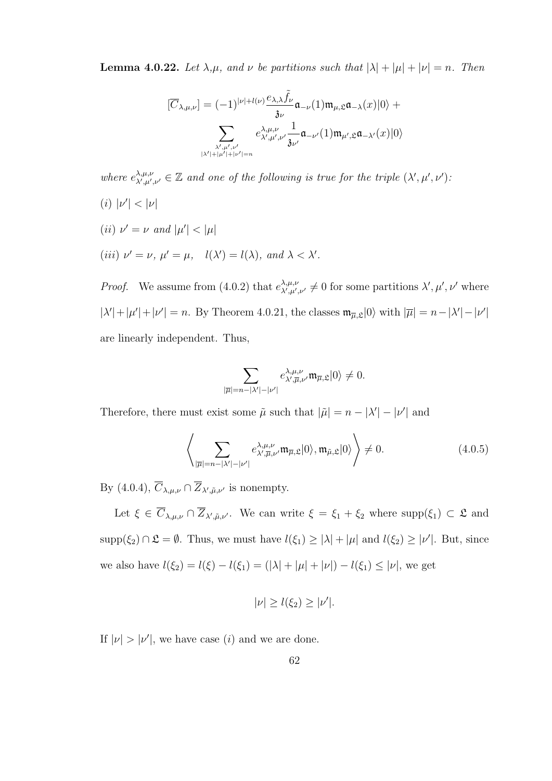**Lemma 4.0.22.** Let  $\lambda, \mu$ , and  $\nu$  be partitions such that  $|\lambda| + |\mu| + |\nu| = n$ . Then

$$
[\overline{C}_{\lambda,\mu,\nu}] = (-1)^{|\nu|+l(\nu)} \frac{e_{\lambda,\lambda} \tilde{f}_{\nu}}{\mathfrak{z}_{\nu}} \mathfrak{a}_{-\nu}(1) \mathfrak{m}_{\mu,\mathfrak{L}} \mathfrak{a}_{-\lambda}(x)|0\rangle + \sum_{\substack{\lambda',\mu',\nu' \\ |\lambda'|+|\mu'|+|\nu'|=n}} e_{\lambda',\mu',\nu'}^{\lambda,\mu,\nu} \frac{1}{\mathfrak{z}_{\nu'}} \mathfrak{a}_{-\nu'}(1) \mathfrak{m}_{\mu',\mathfrak{L}} \mathfrak{a}_{-\lambda'}(x)|0\rangle
$$

where  $e^{\lambda,\mu,\nu}_{\lambda',\mu'}$  $\lambda,\mu,\nu,\lambda',\mu',\nu' \in \mathbb{Z}$  and one of the following is true for the triple  $(\lambda',\mu',\nu')$ . (*i*)  $|\nu'| < |\nu|$ 

- (*ii*)  $\nu' = \nu$  and  $|\mu'| < |\mu|$
- (iii)  $\nu' = \nu$ ,  $\mu' = \mu$ ,  $l(\lambda') = l(\lambda)$ , and  $\lambda < \lambda'$ .

*Proof.* We assume from (4.0.2) that  $e^{\lambda,\mu,\nu}_{\lambda',\mu'}$  $\lambda^{\lambda,\mu,\nu}_{\lambda',\mu',\nu'} \neq 0$  for some partitions  $\lambda', \mu', \nu'$  where  $|\lambda'| + |\mu'| + |\nu'| = n$ . By Theorem 4.0.21, the classes  $\mathfrak{m}_{\overline{\mu},\mathfrak{L}}|0\rangle$  with  $|\overline{\mu}| = n - |\lambda'| - |\nu'|$ are linearly independent. Thus,

$$
\sum_{|\overline{\mu}|=n-|\lambda'|-|\nu'|}e_{\lambda',\overline{\mu},\nu'}^{\lambda,\mu,\nu}\mathfrak{m}_{\overline{\mu},\mathfrak{L}}|0\rangle\neq 0.
$$

Therefore, there must exist some  $\tilde{\mu}$  such that  $|\tilde{\mu}| = n - |\lambda'| - |\nu'|$  and

$$
\left\langle \sum_{|\overline{\mu}|=n-|\lambda'|-|\nu'|} e^{\lambda,\mu,\nu}_{\lambda',\overline{\mu},\nu'} \mathfrak{m}_{\overline{\mu},\mathfrak{L}} |0\rangle, \mathfrak{m}_{\tilde{\mu},\mathfrak{L}} |0\rangle \right\rangle \neq 0.
$$
 (4.0.5)

By  $(4.0.4), \overline{C}_{\lambda,\mu,\nu} \cap \overline{Z}_{\lambda',\tilde{\mu},\nu'}$  is nonempty.

Let  $\xi \in C_{\lambda,\mu,\nu} \cap Z_{\lambda',\tilde{\mu},\nu'}$ . We can write  $\xi = \xi_1 + \xi_2$  where supp $(\xi_1) \subset \mathfrak{L}$  and  $\text{supp}(\xi_2) \cap \mathfrak{L} = \emptyset$ . Thus, we must have  $l(\xi_1) \geq |\lambda| + |\mu|$  and  $l(\xi_2) \geq |\nu'|$ . But, since we also have  $l(\xi_2) = l(\xi) - l(\xi_1) = (|\lambda| + |\mu| + |\nu|) - l(\xi_1) \leq |\nu|$ , we get

$$
|\nu| \ge l(\xi_2) \ge |\nu'|.
$$

If  $|\nu| > |\nu'|$ , we have case (i) and we are done.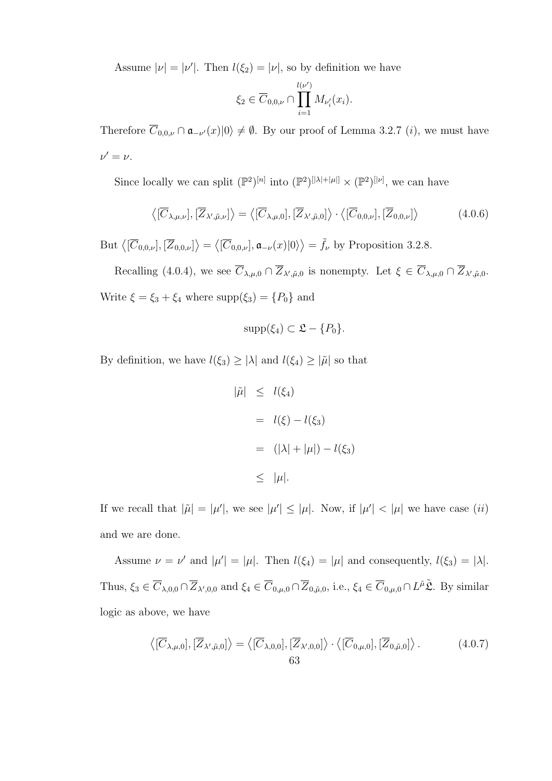Assume  $|\nu| = |\nu'|$ . Then  $l(\xi_2) = |\nu|$ , so by definition we have

$$
\xi_2 \in \overline{C}_{0,0,\nu} \cap \prod_{i=1}^{l(\nu')} M_{\nu'_i}(x_i).
$$

Therefore  $C_{0,0,\nu} \cap \mathfrak{a}_{-\nu'}(x)|0\rangle \neq \emptyset$ . By our proof of Lemma 3.2.7 (*i*), we must have  $\nu'=\nu$ .

Since locally we can split  $(\mathbb{P}^2)^{[n]}$  into  $(\mathbb{P}^2)^{[|\lambda|+|\mu|]} \times (\mathbb{P}^2)^{[|\nu]}$ , we can have

$$
\langle [\overline{C}_{\lambda,\mu,\nu}], [\overline{Z}_{\lambda',\tilde{\mu},\nu}] \rangle = \langle [\overline{C}_{\lambda,\mu,0}], [\overline{Z}_{\lambda',\tilde{\mu},0}] \rangle \cdot \langle [\overline{C}_{0,0,\nu}], [\overline{Z}_{0,0,\nu}] \rangle \tag{4.0.6}
$$

But  $\langle [\overline{C}_{0,0,\nu}], [\overline{Z}_{0,0,\nu}] \rangle = \langle [\overline{C}_{0,0,\nu}], \mathfrak{a}_{-\nu}(x)|0 \rangle \rangle = \tilde{f}_{\nu}$  by Proposition 3.2.8.

Recalling (4.0.4), we see  $\overline{C}_{\lambda,\mu,0} \cap \overline{Z}_{\lambda',\tilde{\mu},0}$  is nonempty. Let  $\xi \in \overline{C}_{\lambda,\mu,0} \cap \overline{Z}_{\lambda',\tilde{\mu},0}$ . Write  $\xi = \xi_3 + \xi_4$  where  $\text{supp}(\xi_3) = \{P_0\}$  and

$$
\mathrm{supp}(\xi_4) \subset \mathfrak{L} - \{P_0\}.
$$

By definition, we have  $l(\xi_3) \geq |\lambda|$  and  $l(\xi_4) \geq |\tilde{\mu}|$  so that

$$
\begin{array}{rcl}\n|\tilde{\mu}| & \leq & l(\xi_4) \\
 & = & l(\xi) - l(\xi_3) \\
 & = & (|\lambda| + |\mu|) - l(\xi_3) \\
 & \leq & |\mu|. \\
\end{array}
$$

If we recall that  $|\tilde{\mu}| = |\mu'|$ , we see  $|\mu'| \leq |\mu|$ . Now, if  $|\mu'| < |\mu|$  we have case *(ii)* and we are done.

Assume  $\nu = \nu'$  and  $|\mu'| = |\mu|$ . Then  $l(\xi_4) = |\mu|$  and consequently,  $l(\xi_3) = |\lambda|$ . Thus,  $\xi_3 \in \overline{C}_{\lambda,0,0} \cap \overline{Z}_{\lambda',0,0}$  and  $\xi_4 \in \overline{C}_{0,\mu,0} \cap \overline{Z}_{0,\tilde{\mu},0}$ , i.e.,  $\xi_4 \in \overline{C}_{0,\mu,0} \cap L^{\tilde{\mu}}\tilde{\mathfrak{L}}$ . By similar logic as above, we have

$$
\langle [\overline{C}_{\lambda,\mu,0}], [\overline{Z}_{\lambda',\tilde{\mu},0}] \rangle = \langle [\overline{C}_{\lambda,0,0}], [\overline{Z}_{\lambda',0,0}] \rangle \cdot \langle [\overline{C}_{0,\mu,0}], [\overline{Z}_{0,\tilde{\mu},0}] \rangle.
$$
 (4.0.7)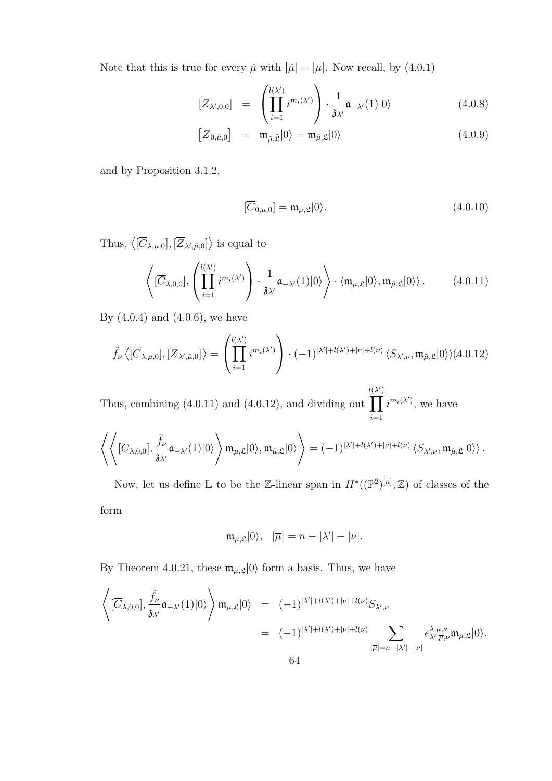Note that this is true for every  $\tilde{\mu}$  with  $|\tilde{\mu}| = |\mu|$ . Now recall, by (4.0.1)

$$
\left[\overline{Z}_{\lambda',0,0}\right] = \left(\prod_{i=1}^{l(\lambda')} i^{m_i(\lambda')}\right) \cdot \frac{1}{\mathfrak{z}_{\lambda'}} \mathfrak{a}_{-\lambda'}(1)|0\rangle \tag{4.0.8}
$$

$$
\left[\overline{Z}_{0,\tilde{\mu},0}\right] = \mathfrak{m}_{\tilde{\mu},\tilde{\mathfrak{L}}}|0\rangle = \mathfrak{m}_{\tilde{\mu},\mathfrak{L}}|0\rangle \qquad (4.0.9)
$$

and by Proposition 3.1.2,

$$
[\overline{C}_{0,\mu,0}] = \mathfrak{m}_{\mu,\mathfrak{L}}|0\rangle.
$$
\n(4.0.10)

Thus,  $\langle [\overline{C}_{\lambda,\mu,0}], [\overline{Z}_{\lambda',\tilde{\mu},0}] \rangle$  is equal to

$$
\left\langle [\overline{C}_{\lambda,0,0}], \left( \prod_{i=1}^{l(\lambda')} i^{m_i(\lambda')} \right) \cdot \frac{1}{\mathfrak{z}_{\lambda'}} \mathfrak{a}_{-\lambda'}(1) |0\rangle \right\rangle \cdot \langle \mathfrak{m}_{\mu,\mathfrak{L}} |0\rangle, \mathfrak{m}_{\tilde{\mu},\mathfrak{L}} |0\rangle \rangle. \tag{4.0.11}
$$

By (4.0.4) and (4.0.6), we have

$$
\tilde{f}_{\nu}\left\langle [\overline{C}_{\lambda,\mu,0}], [\overline{Z}_{\lambda',\tilde{\mu},0}] \right\rangle = \left( \prod_{i=1}^{l(\lambda')} i^{m_i(\lambda')} \right) \cdot (-1)^{|\lambda'|+l(\lambda')+|\nu|+l(\nu)} \langle S_{\lambda',\nu}, \mathfrak{m}_{\tilde{\mu},\mathfrak{L}} |0 \rangle \rangle (4.0.12)
$$

Thus, combining (4.0.11) and (4.0.12), and dividing out  $l(\lambda)$  $\Pi$ )  $i=1$  $i^{m_i(\lambda')}$ , we have

$$
\left\langle\left\langle [\overline{C}_{\lambda,0,0}],\frac{\tilde{f}_{\nu}}{\mathfrak{z}_{\lambda'}}\mathfrak{a}_{-\lambda'}(1)|0\rangle\right\rangle\mathfrak{m}_{\mu,\mathfrak{L}}|0\rangle,\mathfrak{m}_{\tilde{\mu},\mathfrak{L}}|0\rangle\right\rangle=(-1)^{|\lambda'|+l(\lambda')+|\nu|+l(\nu)}\left\langle S_{\lambda',\nu},\mathfrak{m}_{\tilde{\mu},\mathfrak{L}}|0\rangle\right\rangle.
$$

Now, let us define  $\mathbb L$  to be the Z-linear span in  $H^*((\mathbb P^2)^{[n]},\mathbb Z)$  of classes of the form

$$
\mathfrak{m}_{\overline{\mu},\mathfrak{L}}|0\rangle, \quad |\overline{\mu}|=n-|\lambda'|-|\nu|.
$$

By Theorem 4.0.21, these  $\mathfrak{m}_{\overline{\mu},\mathfrak{L}}|0\rangle$  form a basis. Thus, we have

$$
\left\langle \left[ \overline{C}_{\lambda,0,0} \right], \frac{\tilde{f}_{\nu}}{\mathfrak{z}_{\lambda'}} \mathfrak{a}_{-\lambda'}(1) |0\rangle \right\rangle \mathfrak{m}_{\mu,\mathfrak{L}} |0\rangle = (-1)^{|\lambda'|+l(\lambda')+|\nu|+l(\nu)} S_{\lambda',\nu}
$$
  

$$
= (-1)^{|\lambda'|+l(\lambda')+|\nu|+l(\nu)} \sum_{|\overline{\mu}|=n-|\lambda'|-|\nu|} e^{\lambda,\mu,\nu}_{\lambda',\overline{\mu},\nu} \mathfrak{m}_{\overline{\mu},\mathfrak{L}} |0\rangle.
$$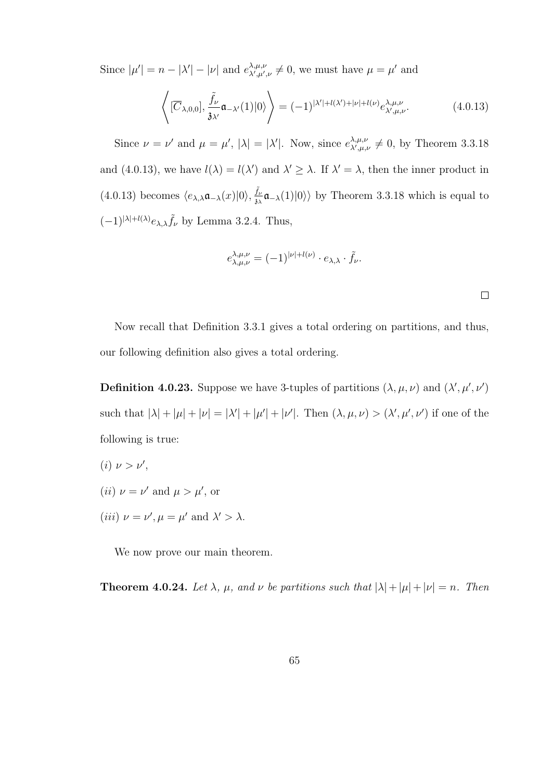Since  $|\mu'| = n - |\lambda'| - |\nu|$  and  $e^{\lambda,\mu,\nu}_{\lambda',\mu'}$  $\lambda, \mu, \nu, \lambda', \mu', \nu \neq 0$ , we must have  $\mu = \mu'$  and

$$
\left\langle [\overline{C}_{\lambda,0,0}], \frac{\tilde{f}_{\nu}}{\mathfrak{z}_{\lambda'}} \mathfrak{a}_{-\lambda'}(1)|0\rangle \right\rangle = (-1)^{|\lambda'|+l(\lambda')+|\nu|+l(\nu)} e^{\lambda,\mu,\nu}_{\lambda',\mu,\nu}.
$$
 (4.0.13)

Since  $\nu = \nu'$  and  $\mu = \mu'$ ,  $|\lambda| = |\lambda'|$ . Now, since  $e^{\lambda,\mu,\nu}_{\lambda',\mu,\lambda'}$  $\lambda^{\lambda,\mu,\nu}_{\lambda',\mu,\nu} \neq 0$ , by Theorem 3.3.18 and (4.0.13), we have  $l(\lambda) = l(\lambda')$  and  $\lambda' \geq \lambda$ . If  $\lambda' = \lambda$ , then the inner product in  $(4.0.13)$  becomes  $\langle e_{\lambda,\lambda}\mathfrak{a}_{-\lambda}(x)|0\rangle, \frac{\tilde{f}_{\lambda}}{3\nu}$  $\frac{f_{\nu}}{\delta\lambda}\mathfrak{a}_{-\lambda}(1)|0\rangle\rangle$  by Theorem 3.3.18 which is equal to  $(-1)^{|\lambda|+l(\lambda)}e_{\lambda,\lambda}\tilde{f}_{\nu}$  by Lemma 3.2.4. Thus,

$$
e^{\lambda,\mu,\nu}_{\lambda,\mu,\nu} = (-1)^{|\nu|+l(\nu)} \cdot e_{\lambda,\lambda} \cdot \tilde{f}_{\nu}.
$$

 $\Box$ 

Now recall that Definition 3.3.1 gives a total ordering on partitions, and thus, our following definition also gives a total ordering.

**Definition 4.0.23.** Suppose we have 3-tuples of partitions  $(\lambda, \mu, \nu)$  and  $(\lambda', \mu', \nu')$ such that  $|\lambda| + |\mu| + |\nu| = |\lambda'| + |\mu'| + |\nu'|$ . Then  $(\lambda, \mu, \nu) > (\lambda', \mu', \nu')$  if one of the following is true:

- (*i*)  $\nu > \nu'$ ,
- (*ii*)  $\nu = \nu'$  and  $\mu > \mu'$ , or
- (*iii*)  $\nu = \nu', \mu = \mu'$  and  $\lambda' > \lambda$ .

We now prove our main theorem.

**Theorem 4.0.24.** Let  $\lambda$ ,  $\mu$ , and  $\nu$  be partitions such that  $|\lambda| + |\mu| + |\nu| = n$ . Then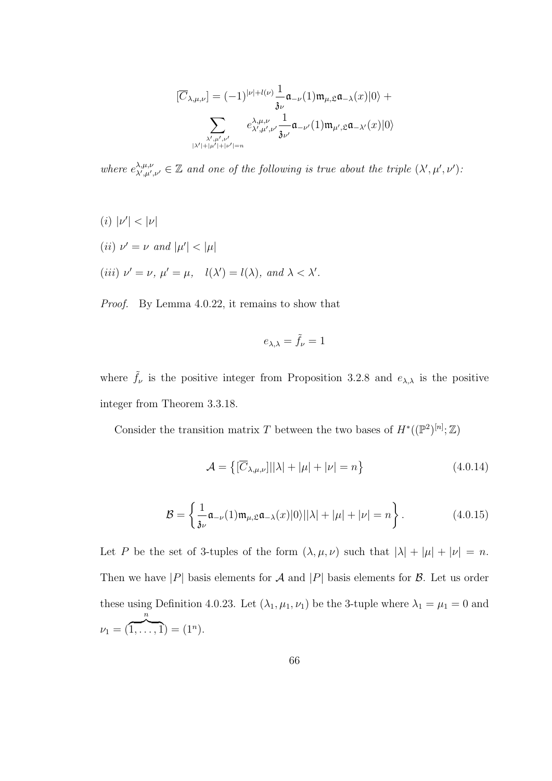$$
[\overline{C}_{\lambda,\mu,\nu}] = (-1)^{|\nu|+l(\nu)} \frac{1}{\mathfrak{z}_{\nu}} \mathfrak{a}_{-\nu}(1) \mathfrak{m}_{\mu,\mathfrak{L}} \mathfrak{a}_{-\lambda}(x) |0\rangle +
$$

$$
\sum_{\substack{\lambda',\mu',\nu' \\ |\lambda'|+|\mu'|+|\nu'|=n}} e^{\lambda,\mu,\nu}_{\lambda',\mu',\nu'} \frac{1}{\mathfrak{z}_{\nu'}} \mathfrak{a}_{-\nu'}(1) \mathfrak{m}_{\mu',\mathfrak{L}} \mathfrak{a}_{-\lambda'}(x) |0\rangle
$$

where  $e^{\lambda,\mu,\nu}_{\lambda',\mu'}$  $\lambda,\mu,\nu,\lambda,\mu',\nu' \in \mathbb{Z}$  and one of the following is true about the triple  $(\lambda',\mu',\nu')$ .

(*i*)  $|\nu'| < |\nu|$ (*ii*)  $\nu' = \nu$  and  $|\mu'| < |\mu|$ (iii)  $\nu' = \nu$ ,  $\mu' = \mu$ ,  $l(\lambda') = l(\lambda)$ , and  $\lambda < \lambda'$ .

Proof. By Lemma 4.0.22, it remains to show that

$$
e_{\lambda,\lambda} = \tilde{f}_{\nu} = 1
$$

where  $\tilde{f}_{\nu}$  is the positive integer from Proposition 3.2.8 and  $e_{\lambda,\lambda}$  is the positive integer from Theorem 3.3.18.

Consider the transition matrix T between the two bases of  $H^*((\mathbb{P}^2)^{[n]}; \mathbb{Z})$ 

$$
\mathcal{A} = \left\{ \left[ \overline{C}_{\lambda,\mu,\nu} \right] \middle| |\lambda| + |\mu| + |\nu| = n \right\}
$$
\n(4.0.14)

$$
\mathcal{B} = \left\{ \frac{1}{3\nu} \mathfrak{a}_{-\nu}(1) \mathfrak{m}_{\mu, \mathfrak{L}} \mathfrak{a}_{-\lambda}(x) |0\rangle ||\lambda| + |\mu| + |\nu| = n \right\}.
$$
 (4.0.15)

Let P be the set of 3-tuples of the form  $(\lambda, \mu, \nu)$  such that  $|\lambda| + |\mu| + |\nu| = n$ . Then we have |P| basis elements for A and |P| basis elements for B. Let us order these using Definition 4.0.23. Let  $(\lambda_1, \mu_1, \nu_1)$  be the 3-tuple where  $\lambda_1 = \mu_1 = 0$  and  $\nu_1 = ($ n  ${\overline{1,\ldots,1}} = (1^n).$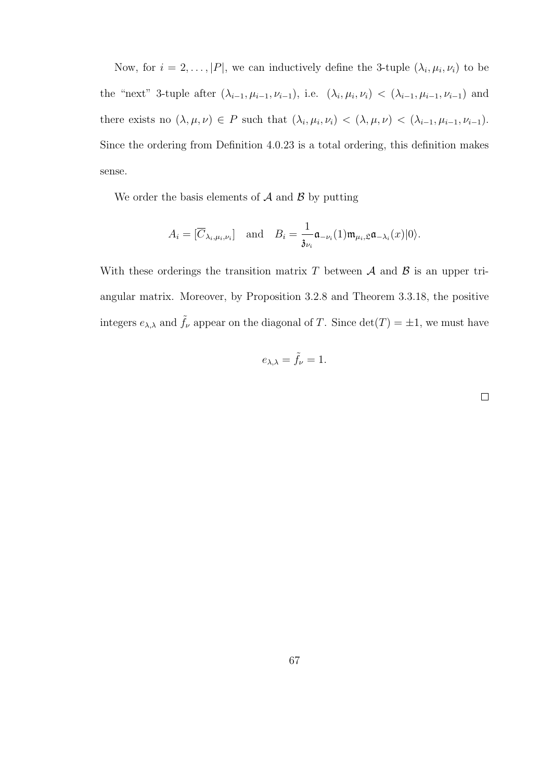Now, for  $i = 2, ..., |P|$ , we can inductively define the 3-tuple  $(\lambda_i, \mu_i, \nu_i)$  to be the "next" 3-tuple after  $(\lambda_{i-1}, \mu_{i-1}, \nu_{i-1}),$  i.e.  $(\lambda_i, \mu_i, \nu_i) < (\lambda_{i-1}, \mu_{i-1}, \nu_{i-1})$  and there exists no  $(\lambda, \mu, \nu) \in P$  such that  $(\lambda_i, \mu_i, \nu_i) < (\lambda, \mu, \nu) < (\lambda_{i-1}, \mu_{i-1}, \nu_{i-1}).$ Since the ordering from Definition 4.0.23 is a total ordering, this definition makes sense.

We order the basis elements of  $A$  and  $B$  by putting

$$
A_i = [\overline{C}_{\lambda_i, \mu_i, \nu_i}] \quad \text{and} \quad B_i = \frac{1}{\mathfrak{z}_{\nu_i}} \mathfrak{a}_{-\nu_i}(1) \mathfrak{m}_{\mu_i, \mathfrak{L}} \mathfrak{a}_{-\lambda_i}(x) |0\rangle.
$$

With these orderings the transition matrix T between  $A$  and  $B$  is an upper triangular matrix. Moreover, by Proposition 3.2.8 and Theorem 3.3.18, the positive integers  $e_{\lambda,\lambda}$  and  $\tilde{f}_{\nu}$  appear on the diagonal of T. Since  $\det(T) = \pm 1$ , we must have

$$
e_{\lambda,\lambda} = \tilde{f}_{\nu} = 1.
$$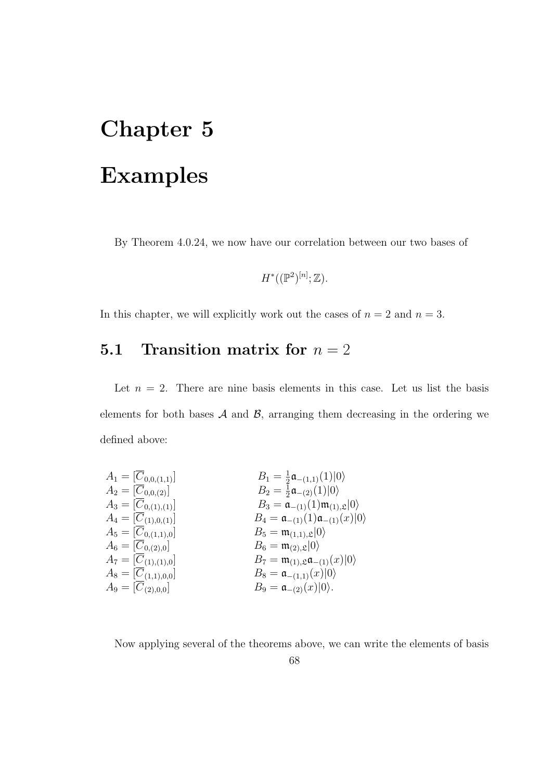## Chapter 5 Examples

By Theorem 4.0.24, we now have our correlation between our two bases of

$$
H^*((\mathbb{P}^2)^{[n]};\mathbb{Z}).
$$

In this chapter, we will explicitly work out the cases of  $n = 2$  and  $n = 3$ .

## 5.1 Transition matrix for  $n = 2$

Let  $n = 2$ . There are nine basis elements in this case. Let us list the basis elements for both bases  $A$  and  $B$ , arranging them decreasing in the ordering we defined above:

$$
A_1 = [\overline{C}_{0,0,(1,1)}]
$$
\n
$$
A_2 = [\overline{C}_{0,0,(2)}]
$$
\n
$$
A_3 = [\overline{C}_{0,1),(1)}]
$$
\n
$$
A_4 = [\overline{C}_{0,1,0,(1)}]
$$
\n
$$
A_5 = [\overline{C}_{0,(1,1,0)}]
$$
\n
$$
A_6 = [\overline{C}_{0,(2,0)}]
$$
\n
$$
A_7 = [\overline{C}_{(1,1,0,0]}]
$$
\n
$$
A_8 = [\overline{C}_{(1,1,0,0]}]
$$
\n
$$
A_9 = [\overline{C}_{(2,0,0)}]
$$
\n
$$
A_1 = [\overline{C}_{(1,1,0,1,0]}]
$$
\n
$$
A_2 = [\overline{C}_{(1,1,0,0]}]
$$
\n
$$
A_3 = [\overline{C}_{(1,1,0,1,0]}]
$$
\n
$$
A_5 = [\overline{C}_{(1,1,0,0]}]
$$
\n
$$
A_6 = [\overline{C}_{(1,1,0,0]}]
$$
\n
$$
A_7 = [\overline{C}_{(1,1,0,0]}]
$$
\n
$$
A_8 = [\overline{C}_{(2,1,0,0]}]
$$
\n
$$
A_9 = [\overline{C}_{(2,0,0,0]}]
$$
\n
$$
A_9 = \overline{C}_{(2,1,0,0,0]}]
$$
\n
$$
A_0 = \overline{C}_{(2,1,0,0,0]}]
$$
\n
$$
A_1 = [\overline{C}_{(2,1,0,0,0]}]
$$
\n
$$
A_2 = \overline{C}_{(2,1,0,0,0]}]
$$
\n
$$
A_3 = [\overline{C}_{(2,1,0,0,0]}]
$$
\n
$$
A_5 = [\overline{C}_{(2,1,0,0,0]}]
$$
\n
$$
A_6 = [\overline{C}_{(2,1,0,0,0]}]
$$
\n
$$
A_7 = [\overline{C}_{(2,1,0,0,0]}]
$$
\n
$$
A_8 = [\overline{C}_{(2,1,0,0,0]}]
$$
\n $$ 

Now applying several of the theorems above, we can write the elements of basis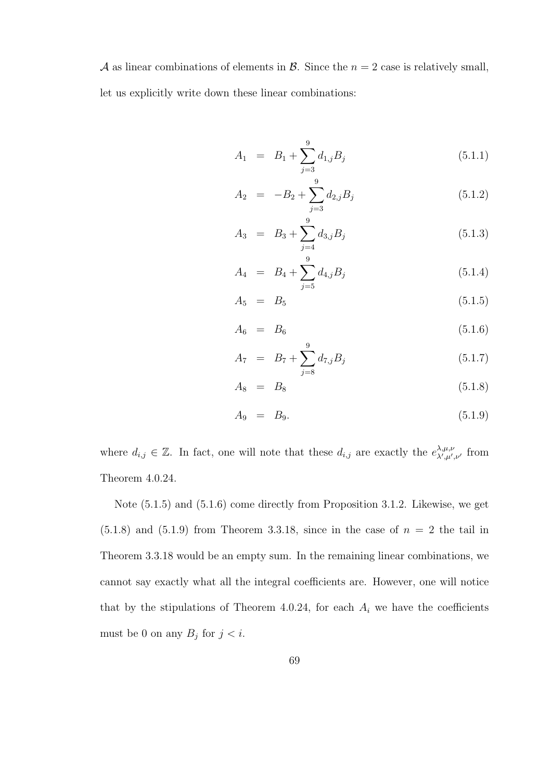A as linear combinations of elements in B. Since the  $n = 2$  case is relatively small, let us explicitly write down these linear combinations:

$$
A_1 = B_1 + \sum_{j=3}^{9} d_{1,j} B_j \tag{5.1.1}
$$

$$
A_2 = -B_2 + \sum_{j=3}^{9} d_{2,j} B_j \tag{5.1.2}
$$

$$
A_3 = B_3 + \sum_{j=4}^{9} d_{3,j} B_j \tag{5.1.3}
$$

$$
A_4 = B_4 + \sum_{j=5}^{9} d_{4,j} B_j \tag{5.1.4}
$$

$$
A_5 = B_5 \t\t(5.1.5)
$$

$$
A_6 = B_6 \t\t(5.1.6)
$$

$$
A_7 = B_7 + \sum_{j=8}^{9} d_{7,j} B_j \tag{5.1.7}
$$

$$
A_8 = B_8 \tag{5.1.8}
$$

$$
A_9 = B_9. \t\t(5.1.9)
$$

where  $d_{i,j} \in \mathbb{Z}$ . In fact, one will note that these  $d_{i,j}$  are exactly the  $e^{\lambda,\mu,\nu}_{\lambda',\mu'}$  $\chi^{\lambda,\mu,\nu}_{\lambda',\mu',\nu'}$  from Theorem 4.0.24.

Note (5.1.5) and (5.1.6) come directly from Proposition 3.1.2. Likewise, we get  $(5.1.8)$  and  $(5.1.9)$  from Theorem 3.3.18, since in the case of  $n = 2$  the tail in Theorem 3.3.18 would be an empty sum. In the remaining linear combinations, we cannot say exactly what all the integral coefficients are. However, one will notice that by the stipulations of Theorem 4.0.24, for each  $A_i$  we have the coefficients must be 0 on any  $B_j$  for  $j < i$ .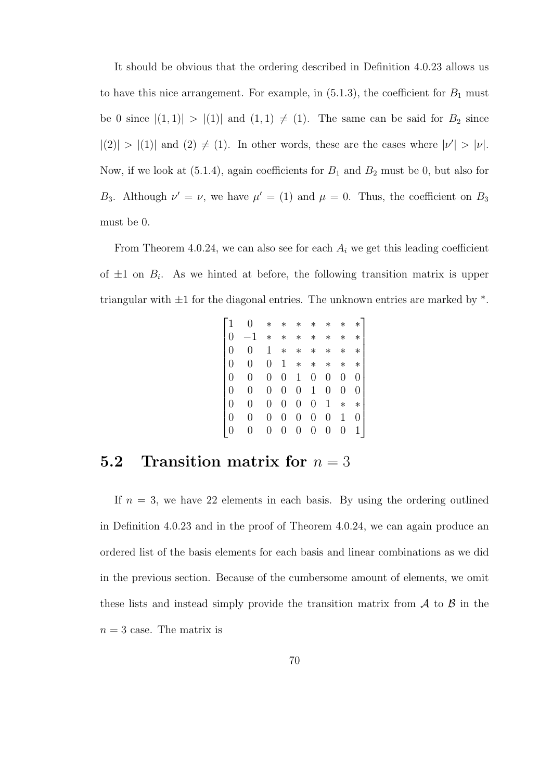It should be obvious that the ordering described in Definition 4.0.23 allows us to have this nice arrangement. For example, in  $(5.1.3)$ , the coefficient for  $B_1$  must be 0 since  $|(1,1)| > |(1)|$  and  $(1,1) \neq (1)$ . The same can be said for  $B_2$  since  $|(2)| > |(1)|$  and  $(2) \neq (1)$ . In other words, these are the cases where  $|\nu'| > |\nu|$ . Now, if we look at  $(5.1.4)$ , again coefficients for  $B_1$  and  $B_2$  must be 0, but also for B<sub>3</sub>. Although  $\nu' = \nu$ , we have  $\mu' = (1)$  and  $\mu = 0$ . Thus, the coefficient on B<sub>3</sub> must be 0.

From Theorem 4.0.24, we can also see for each  $A_i$  we get this leading coefficient of  $\pm 1$  on  $B_i$ . As we hinted at before, the following transition matrix is upper triangular with  $\pm 1$  for the diagonal entries. The unknown entries are marked by  $*$ .

|          | 0 | ∗       | $^\ast$          | $\ast$ | $^\ast$ | $\ast$  | $\ast$  | $\ast$           |
|----------|---|---------|------------------|--------|---------|---------|---------|------------------|
| $\Omega$ |   | $^\ast$ | $^\ast$          | $\ast$ | $^\ast$ | $^\ast$ | $^\ast$ | $\ast$           |
|          | 0 | 1       | $\ast$           | $\ast$ | $\ast$  | $^\ast$ | $^\ast$ | $\ast$           |
|          | 0 | 0       | 1                | $\ast$ | $\ast$  | $\ast$  | $\ast$  | $\ast$           |
|          | 0 | 0       | $\hspace{.0cm}0$ | 1      | 0       | 0       | 0       | $\left( \right)$ |
|          | 0 | 0       | 0                | 0      | 1       | 0       | 0       | 0                |
|          | 0 | 0       | 0                | 0      | 0       | 1       | $\ast$  | $\ast$           |
|          | 0 | 0       | 0                | 0      | 0       | 0       | 1       | 0                |
|          | 0 |         | 0                | 0      | 0       | 0       | 0       | $1\vert$         |

## **5.2** Transition matrix for  $n = 3$

If  $n = 3$ , we have 22 elements in each basis. By using the ordering outlined in Definition 4.0.23 and in the proof of Theorem 4.0.24, we can again produce an ordered list of the basis elements for each basis and linear combinations as we did in the previous section. Because of the cumbersome amount of elements, we omit these lists and instead simply provide the transition matrix from  $A$  to  $B$  in the  $n = 3$  case. The matrix is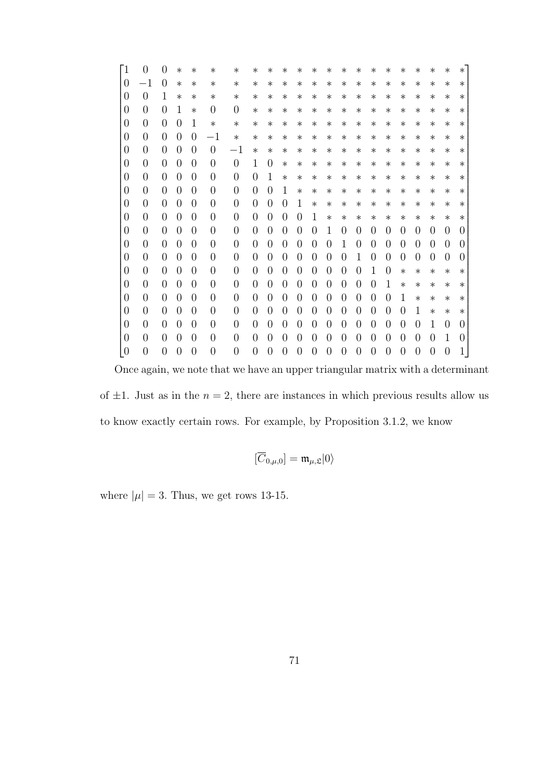| `1               | $\Omega$         | 0              | $^\ast$ | $^{\ast}$        | $^\ast$        | $\ast$           | $^{\ast}$        | $^{\ast}$        | $^\ast$        | $^{\ast}$      | $^\ast$        | ∗                | $^\ast$          | $^{\ast}$        | $^\ast$          | ∗        | $^{\ast}$        | ∗              | $^{\ast}$      | $\ast$           | $^\ast$          |
|------------------|------------------|----------------|---------|------------------|----------------|------------------|------------------|------------------|----------------|----------------|----------------|------------------|------------------|------------------|------------------|----------|------------------|----------------|----------------|------------------|------------------|
| $\overline{0}$   | $^{-1}$          | $\theta$       | $\ast$  | $\ast$           | $\ast$         | $\ast$           | $\ast$           | $\ast$           | $\ast$         | $\ast$         | $\ast$         | $\ast$           | $\ast$           | $\ast$           | $\ast$           | $\ast$   | $\ast$           | $\ast$         | $\ast$         | $\ast$           | $\ast$           |
| 0                | $\overline{0}$   | 1              | $^\ast$ | ∗                | $\ast$         | $\ast$           | $\ast$           | $\ast$           | $\ast$         | $\ast$         | $\ast$         | $\ast$           | $\ast$           | $^\ast$          | $^\ast$          | $\ast$   | $\ast$           | $\ast$         | $\ast$         | $\ast$           | $\ast$           |
| $\overline{0}$   | $\overline{0}$   | $\overline{0}$ | 1       | $\ast$           | $\overline{0}$ | $\overline{0}$   | $\ast$           | $\ast$           | $\ast$         | $\ast$         | $\ast$         | $\ast$           | $\ast$           | $\ast$           | $\ast$           | $\ast$   | $\ast$           | $\ast$         | $\ast$         | $\ast$           | $^\ast$          |
| $\boldsymbol{0}$ | $\overline{0}$   | $\overline{0}$ | 0       | 1                | $\ast$         | $\ast$           | $\ast$           | $\ast$           | $\ast$         | $\ast$         | $\ast$         | $\ast$           | $\ast$           | $\ast$           | $\ast$           | $\ast$   | $\ast$           | $\ast$         | $\ast$         | $\ast$           | $\ast$           |
| 0                | $\overline{0}$   | $\overline{0}$ | 0       | $\overline{0}$   | $^{-1}$        | $\ast$           | $\ast$           | $\ast$           | $\ast$         | $\ast$         | $\ast$         | $\ast$           | $\ast$           | $\ast$           | $\ast$           | $\ast$   | $\ast$           | $\ast$         | $\ast$         | $\ast$           | $^\ast$          |
| $\overline{0}$   | $\overline{0}$   | $\overline{0}$ | 0       | $\overline{0}$   | $\overline{0}$ | $-1$             | $\ast$           | $\ast$           | $\ast$         | $\ast$         | $\ast$         | $\ast$           | $\ast$           | $\ast$           | $\ast$           | $\ast$   | $\ast$           | $\ast$         | $\ast$         | $\ast$           | $\ast$           |
| $\boldsymbol{0}$ | $\overline{0}$   | $\overline{0}$ | 0       | $\boldsymbol{0}$ | $\overline{0}$ | $\overline{0}$   | 1                | $\overline{0}$   | $\ast$         | $\ast$         | $\ast$         | $\ast$           | $\ast$           | $^\ast$          | $^\ast$          | $\ast$   | $\ast$           | $\ast$         | $\ast$         | $\ast$           | $\ast$           |
| 0                | $\overline{0}$   | $\overline{0}$ | 0       | $\boldsymbol{0}$ | $\overline{0}$ | $\overline{0}$   | $\overline{0}$   | 1                | $\ast$         | $\ast$         | $\ast$         | $\ast$           | $\ast$           | $\ast$           | $\ast$           | $\ast$   | $\ast$           | $\ast$         | $\ast$         | $\ast$           | $\ast$           |
| $\boldsymbol{0}$ | $\overline{0}$   | $\overline{0}$ | 0       | $\boldsymbol{0}$ | $\overline{0}$ | $\overline{0}$   | $\overline{0}$   | $\boldsymbol{0}$ | $\mathbf{1}$   | $\ast$         | $\ast$         | $\ast$           | $\ast$           | $^\ast$          | $\ast$           | $\ast$   | $\ast$           | $\ast$         | $\ast$         | $\ast$           | $\ast$           |
| $\overline{0}$   | $\overline{0}$   | $\overline{0}$ | 0       | $\boldsymbol{0}$ | $\overline{0}$ | $\overline{0}$   | $\overline{0}$   | 0                | $\Omega$       | 1              | $\ast$         | $\ast$           | $\ast$           | $\ast$           | $\ast$           | $\ast$   | $\ast$           | $\ast$         | $\ast$         | $\ast$           | $^\ast$          |
| $\overline{0}$   | $\overline{0}$   | $\overline{0}$ | 0       | $\overline{0}$   | $\overline{0}$ | $\overline{0}$   | $\boldsymbol{0}$ | 0                | 0              | 0              | 1              | $\ast$           | $\ast$           | $\ast$           | $\ast$           | $\ast$   | $\ast$           | $\ast$         | $\ast$         | $\ast$           | ∗                |
| 0                | $\overline{0}$   | $\overline{0}$ | 0       | $\overline{0}$   | $\overline{0}$ | $\overline{0}$   | $\overline{0}$   | 0                | 0              | 0              | 0              | 1                | 0                | $\left( \right)$ | 0                | 0        | 0                | $\theta$       | $\overline{0}$ | $\theta$         | $\theta$         |
| $\overline{0}$   | $\overline{0}$   | $\overline{0}$ | 0       | $\boldsymbol{0}$ | $\overline{0}$ | $\overline{0}$   | $\overline{0}$   | $\overline{0}$   | 0              | $\theta$       | $\overline{0}$ | $\theta$         | 1                | $\theta$         | 0                | 0        | 0                | $\theta$       | $\overline{0}$ | $\overline{0}$   | $\theta$         |
| $\overline{0}$   | $\overline{0}$   | $\overline{0}$ | 0       | $\overline{0}$   | $\overline{0}$ | $\boldsymbol{0}$ | $\overline{0}$   | $\overline{0}$   | 0              | $\theta$       | 0              | $\theta$         | 0                | 1                | 0                | 0        | 0                | $\overline{0}$ | $\overline{0}$ | $\overline{0}$   | $\theta$         |
| $\boldsymbol{0}$ | $\overline{0}$   | $\overline{0}$ | 0       | $\overline{0}$   | $\overline{0}$ | $\overline{0}$   | $\overline{0}$   | 0                | 0              | 0              | 0              | $\theta$         | $\left( \right)$ | $\left( \right)$ | 1                | $\theta$ | $\ast$           | $\ast$         | $\ast$         | $\ast$           | $\ast$           |
| $\overline{0}$   | $\overline{0}$   | $\overline{0}$ | 0       | $\boldsymbol{0}$ | $\overline{0}$ | $\overline{0}$   | $\boldsymbol{0}$ | $\overline{0}$   | 0              | $\overline{0}$ | $\overline{0}$ | $\theta$         | $\overline{0}$   | 0                | 0                | 1        | $\ast$           | $\ast$         | $\ast$         | $\ast$           | $\ast$           |
| $\boldsymbol{0}$ | $\overline{0}$   | $\overline{0}$ | 0       | $\boldsymbol{0}$ | $\overline{0}$ | $\overline{0}$   | $\overline{0}$   | $\overline{0}$   | $\theta$       | $\theta$       | $\overline{0}$ | $\theta$         | 0                | $\theta$         | 0                | 0        | $\mathbf{1}$     | $\ast$         | $\ast$         | $\ast$           | $\ast$           |
| $\overline{0}$   | $\overline{0}$   | $\overline{0}$ | 0       | $\overline{0}$   | $\overline{0}$ | $\overline{0}$   | $\overline{0}$   | 0                | 0              | $\overline{0}$ | 0              | 0                | 0                | $\theta$         | 0                | 0        | 0                | 1              | $\ast$         | $\ast$           | $\ast$           |
| $\overline{0}$   | $\overline{0}$   | $\overline{0}$ | 0       | $\overline{0}$   | $\overline{0}$ | $\overline{0}$   | $\overline{0}$   | 0                | 0              | $\theta$       | 0              | $\left( \right)$ | 0                | $\Omega$         | $\left( \right)$ | 0        | 0                | $\overline{0}$ | 1              | $\theta$         | $\left( \right)$ |
| 0                | $\overline{0}$   | $\theta$       | 0       | $\theta$         | $\overline{0}$ | $\overline{0}$   | $\theta$         | 0                | $\theta$       | 0              | 0              | $\theta$         | 0                | 0                | 0                | 0        | $\left( \right)$ | $\theta$       | 0              | $\mathbf{1}$     | $\theta$         |
| $\boldsymbol{0}$ | $\boldsymbol{0}$ | $\overline{0}$ | 0       | $\overline{0}$   | $\overline{0}$ | $\overline{0}$   | $\boldsymbol{0}$ | $\boldsymbol{0}$ | $\overline{0}$ | $\overline{0}$ | $\overline{0}$ | $\overline{0}$   | $\overline{0}$   | 0                | 0                | 0        | 0                | $\overline{0}$ | $\overline{0}$ | $\boldsymbol{0}$ | 1                |

Once again, we note that we have an upper triangular matrix with a determinant of  $\pm 1$ . Just as in the  $n = 2$ , there are instances in which previous results allow us to know exactly certain rows. For example, by Proposition 3.1.2, we know

$$
[\overline{C}_{0,\mu,0}] = \mathfrak{m}_{\mu,\mathfrak{L}}|0\rangle
$$

where  $|\mu|=3$ . Thus, we get rows 13-15.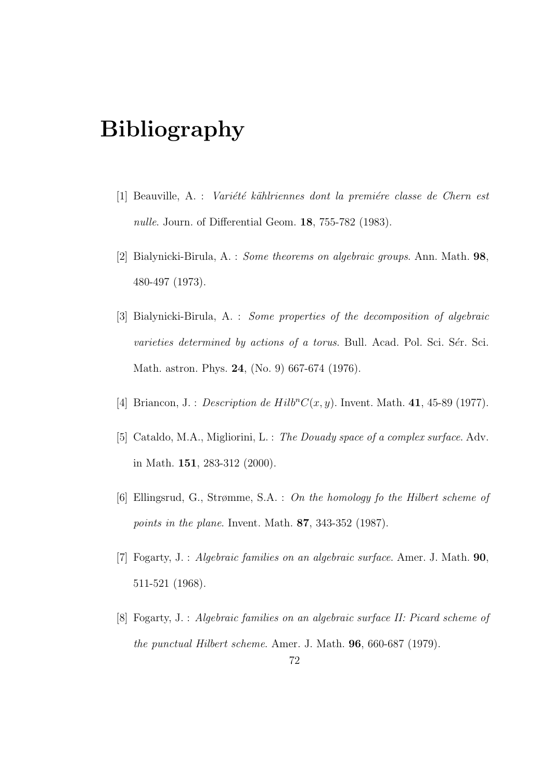## Bibliography

- $[1]$  Beauville, A. : *Variété kählriennes dont la première classe de Chern est* nulle. Journ. of Differential Geom. **18**, 755-782 (1983).
- [2] Bialynicki-Birula, A. : Some theorems on algebraic groups. Ann. Math. 98, 480-497 (1973).
- [3] Bialynicki-Birula, A. : Some properties of the decomposition of algebraic  $varieties$  determined by actions of a torus. Bull. Acad. Pol. Sci. Sér. Sci. Math. astron. Phys. 24, (No. 9) 667-674 (1976).
- [4] Briancon, J. : *Description de Hilb<sup>n</sup>C*( $x, y$ ). Invent. Math. 41, 45-89 (1977).
- [5] Cataldo, M.A., Migliorini, L. : The Douady space of a complex surface. Adv. in Math. 151, 283-312 (2000).
- [6] Ellingsrud, G., Strømme, S.A. : On the homology fo the Hilbert scheme of points in the plane. Invent. Math. 87, 343-352 (1987).
- [7] Fogarty, J. : Algebraic families on an algebraic surface. Amer. J. Math. 90, 511-521 (1968).
- [8] Fogarty, J. : Algebraic families on an algebraic surface II: Picard scheme of the punctual Hilbert scheme. Amer. J. Math. 96, 660-687 (1979).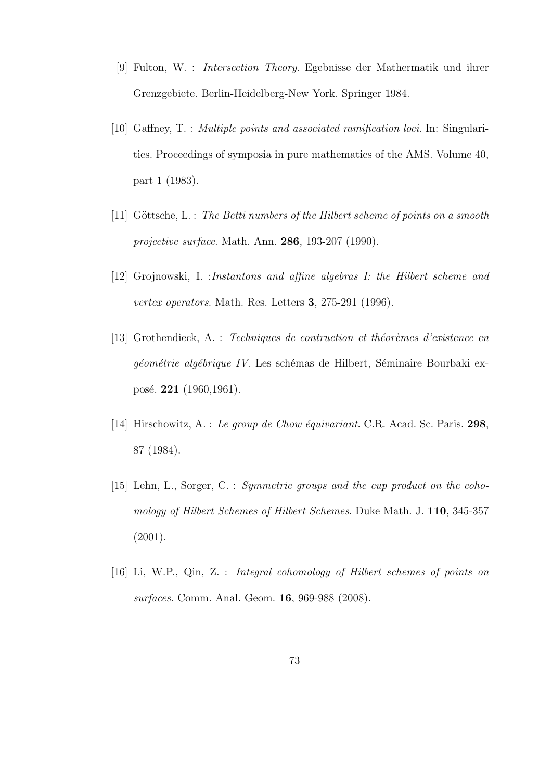- [9] Fulton, W. : Intersection Theory. Egebnisse der Mathermatik und ihrer Grenzgebiete. Berlin-Heidelberg-New York. Springer 1984.
- [10] Gaffney, T. : Multiple points and associated ramification loci. In: Singularities. Proceedings of symposia in pure mathematics of the AMS. Volume 40, part 1 (1983).
- [11] Göttsche, L. : The Betti numbers of the Hilbert scheme of points on a smooth projective surface. Math. Ann. 286, 193-207 (1990).
- [12] Grojnowski, I. :Instantons and affine algebras I: the Hilbert scheme and vertex operators. Math. Res. Letters 3, 275-291 (1996).
- [13] Grothendieck, A. : Techniques de contruction et théorèmes d'existence en géométrie algébrique IV. Les schémas de Hilbert, Séminaire Bourbaki exposé. **221** (1960,1961).
- [14] Hirschowitz, A. : Le group de Chow équivariant. C.R. Acad. Sc. Paris.  $298$ , 87 (1984).
- [15] Lehn, L., Sorger, C. : Symmetric groups and the cup product on the cohomology of Hilbert Schemes of Hilbert Schemes. Duke Math. J. 110, 345-357 (2001).
- [16] Li, W.P., Qin, Z. : Integral cohomology of Hilbert schemes of points on surfaces. Comm. Anal. Geom. 16, 969-988 (2008).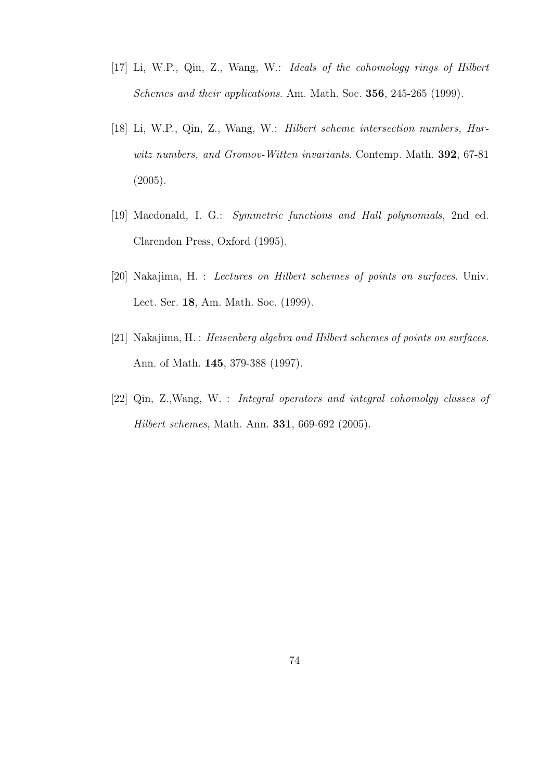- [17] Li, W.P., Qin, Z., Wang, W.: Ideals of the cohomology rings of Hilbert Schemes and their applications. Am. Math. Soc. 356, 245-265 (1999).
- [18] Li, W.P., Qin, Z., Wang, W.: Hilbert scheme intersection numbers, Hurwitz numbers, and Gromov-Witten invariants. Contemp. Math. 392, 67-81 (2005).
- [19] Macdonald, I. G.: Symmetric functions and Hall polynomials, 2nd ed. Clarendon Press, Oxford (1995).
- [20] Nakajima, H. : Lectures on Hilbert schemes of points on surfaces. Univ. Lect. Ser. 18, Am. Math. Soc. (1999).
- [21] Nakajima, H. : Heisenberg algebra and Hilbert schemes of points on surfaces. Ann. of Math. 145, 379-388 (1997).
- [22] Qin, Z.,Wang, W. : Integral operators and integral cohomolgy classes of Hilbert schemes, Math. Ann. 331, 669-692 (2005).